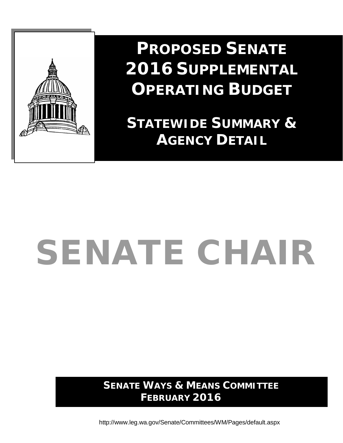

**PROPOSED SENATE 2016 SUPPLEMENTAL OPERATING BUDGET**

**STATEWIDE SUMMARY & AGENCY DETAIL**

# SENATE CHAIR

**SENATE WAYS & MEANS COMMITTEE FEBRUARY 2016**

<http://www.leg.wa.gov/Senate/Committees/WM/Pages/default.aspx>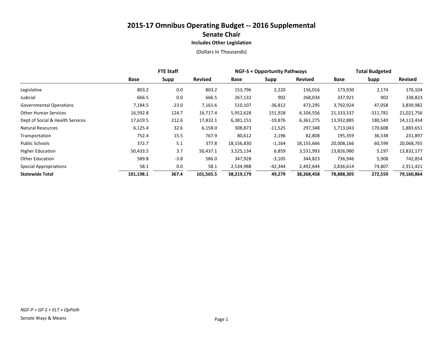|                                  | <b>FTE Staff</b> |         |                | <b>NGF-S + Opportunity Pathways</b> |           |                | <b>Total Budgeted</b> |             |            |
|----------------------------------|------------------|---------|----------------|-------------------------------------|-----------|----------------|-----------------------|-------------|------------|
|                                  | Base             | Supp    | <b>Revised</b> | Base                                | Supp      | <b>Revised</b> | Base                  | <b>Supp</b> | Revised    |
| Legislative                      | 803.2            | 0.0     | 803.2          | 153,796                             | 2,220     | 156,016        | 173,930               | 2,174       | 176,104    |
| Judicial                         | 666.5            | 0.0     | 666.5          | 267,132                             | 902       | 268,034        | 337,921               | 902         | 338,823    |
| <b>Governmental Operations</b>   | 7,184.5          | $-23.0$ | 7,161.6        | 510,107                             | $-36,812$ | 473,295        | 3,792,924             | 47,058      | 3,839,982  |
| <b>Other Human Services</b>      | 16,592.8         | 124.7   | 16,717.4       | 5,952,628                           | 151,928   | 6,104,556      | 21,333,537            | $-311,781$  | 21,021,756 |
| Dept of Social & Health Services | 17,619.5         | 212.6   | 17,832.1       | 6,381,151                           | $-19,876$ | 6,361,275      | 13,932,885            | 180,549     | 14,113,434 |
| <b>Natural Resources</b>         | 6,125.4          | 32.6    | 6,158.0        | 308,873                             | $-11,525$ | 297,348        | 1,713,043             | 170,608     | 1,883,651  |
| Transportation                   | 752.4            | 15.5    | 767.9          | 80,612                              | 2,196     | 82,808         | 195,359               | 36,538      | 231,897    |
| Public Schools                   | 372.7            | 5.1     | 377.8          | 18,156,830                          | $-1,164$  | 18,155,666     | 20,008,166            | 60,599      | 20,068,765 |
| <b>Higher Education</b>          | 50,433.5         | 3.7     | 50,437.1       | 3,525,134                           | 6,859     | 3,531,993      | 13,826,980            | 5,197       | 13,832,177 |
| <b>Other Education</b>           | 589.8            | $-3.8$  | 586.0          | 347,928                             | $-3,105$  | 344,823        | 736,946               | 5,908       | 742,854    |
| <b>Special Appropriations</b>    | 58.1             | 0.0     | 58.1           | 2,534,988                           | -42,344   | 2,492,644      | 2,836,614             | 74,807      | 2,911,421  |
| <b>Statewide Total</b>           | 101,198.1        | 367.4   | 101,565.5      | 38,219,179                          | 49,279    | 38,268,458     | 78,888,305            | 272,559     | 79,160,864 |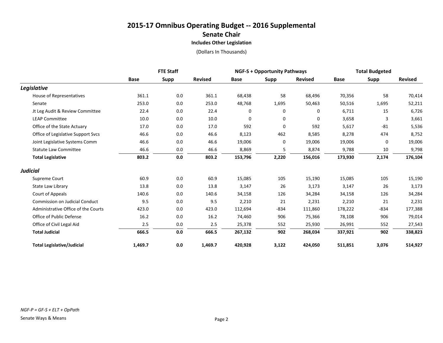|                                       | <b>FTE Staff</b> |             |                | <b>NGF-S + Opportunity Pathways</b> |        |                | <b>Total Budgeted</b> |             |                |
|---------------------------------------|------------------|-------------|----------------|-------------------------------------|--------|----------------|-----------------------|-------------|----------------|
|                                       | <b>Base</b>      | <b>Supp</b> | <b>Revised</b> | <b>Base</b>                         | Supp   | <b>Revised</b> | <b>Base</b>           | <b>Supp</b> | <b>Revised</b> |
| Legislative                           |                  |             |                |                                     |        |                |                       |             |                |
| House of Representatives              | 361.1            | 0.0         | 361.1          | 68,438                              | 58     | 68,496         | 70,356                | 58          | 70,414         |
| Senate                                | 253.0            | 0.0         | 253.0          | 48,768                              | 1,695  | 50,463         | 50,516                | 1,695       | 52,211         |
| Jt Leg Audit & Review Committee       | 22.4             | 0.0         | 22.4           | 0                                   | 0      | 0              | 6,711                 | 15          | 6,726          |
| <b>LEAP Committee</b>                 | 10.0             | 0.0         | 10.0           | 0                                   | 0      | 0              | 3,658                 | 3           | 3,661          |
| Office of the State Actuary           | 17.0             | 0.0         | 17.0           | 592                                 | 0      | 592            | 5,617                 | $-81$       | 5,536          |
| Office of Legislative Support Svcs    | 46.6             | 0.0         | 46.6           | 8,123                               | 462    | 8,585          | 8,278                 | 474         | 8,752          |
| Joint Legislative Systems Comm        | 46.6             | 0.0         | 46.6           | 19,006                              | 0      | 19,006         | 19,006                | 0           | 19,006         |
| <b>Statute Law Committee</b>          | 46.6             | 0.0         | 46.6           | 8,869                               | 5      | 8,874          | 9,788                 | 10          | 9,798          |
| <b>Total Legislative</b>              | 803.2            | 0.0         | 803.2          | 153,796                             | 2,220  | 156,016        | 173,930               | 2,174       | 176,104        |
| <b>Judicial</b>                       |                  |             |                |                                     |        |                |                       |             |                |
| Supreme Court                         | 60.9             | 0.0         | 60.9           | 15,085                              | 105    | 15,190         | 15,085                | 105         | 15,190         |
| State Law Library                     | 13.8             | 0.0         | 13.8           | 3,147                               | 26     | 3,173          | 3,147                 | 26          | 3,173          |
| Court of Appeals                      | 140.6            | 0.0         | 140.6          | 34,158                              | 126    | 34,284         | 34,158                | 126         | 34,284         |
| <b>Commission on Judicial Conduct</b> | 9.5              | 0.0         | 9.5            | 2,210                               | 21     | 2,231          | 2,210                 | 21          | 2,231          |
| Administrative Office of the Courts   | 423.0            | 0.0         | 423.0          | 112,694                             | $-834$ | 111,860        | 178,222               | $-834$      | 177,388        |
| Office of Public Defense              | 16.2             | 0.0         | 16.2           | 74,460                              | 906    | 75,366         | 78,108                | 906         | 79,014         |
| Office of Civil Legal Aid             | 2.5              | 0.0         | 2.5            | 25,378                              | 552    | 25,930         | 26,991                | 552         | 27,543         |
| <b>Total Judicial</b>                 | 666.5            | 0.0         | 666.5          | 267,132                             | 902    | 268,034        | 337,921               | 902         | 338,823        |
| <b>Total Legislative/Judicial</b>     | 1,469.7          | 0.0         | 1,469.7        | 420,928                             | 3,122  | 424,050        | 511,851               | 3,076       | 514,927        |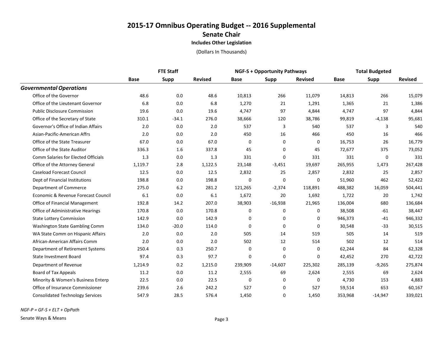|                                            | <b>FTE Staff</b> |         |                |             | <b>NGF-S + Opportunity Pathways</b> |                |             | <b>Total Budgeted</b> |                |  |
|--------------------------------------------|------------------|---------|----------------|-------------|-------------------------------------|----------------|-------------|-----------------------|----------------|--|
|                                            | Base             | Supp    | <b>Revised</b> | <b>Base</b> | Supp                                | <b>Revised</b> | <b>Base</b> | Supp                  | <b>Revised</b> |  |
| <b>Governmental Operations</b>             |                  |         |                |             |                                     |                |             |                       |                |  |
| Office of the Governor                     | 48.6             | 0.0     | 48.6           | 10,813      | 266                                 | 11,079         | 14,813      | 266                   | 15,079         |  |
| Office of the Lieutenant Governor          | 6.8              | 0.0     | 6.8            | 1,270       | 21                                  | 1,291          | 1,365       | 21                    | 1,386          |  |
| <b>Public Disclosure Commission</b>        | 19.6             | 0.0     | 19.6           | 4,747       | 97                                  | 4,844          | 4,747       | 97                    | 4,844          |  |
| Office of the Secretary of State           | 310.1            | $-34.1$ | 276.0          | 38,666      | 120                                 | 38,786         | 99,819      | $-4,138$              | 95,681         |  |
| Governor's Office of Indian Affairs        | 2.0              | 0.0     | 2.0            | 537         | 3                                   | 540            | 537         | 3                     | 540            |  |
| Asian-Pacific-American Affrs               | 2.0              | 0.0     | 2.0            | 450         | 16                                  | 466            | 450         | 16                    | 466            |  |
| Office of the State Treasurer              | 67.0             | 0.0     | 67.0           | $\mathbf 0$ | 0                                   | 0              | 16,753      | 26                    | 16,779         |  |
| Office of the State Auditor                | 336.3            | 1.6     | 337.8          | 45          | 0                                   | 45             | 72,677      | 375                   | 73,052         |  |
| <b>Comm Salaries for Elected Officials</b> | 1.3              | 0.0     | 1.3            | 331         | 0                                   | 331            | 331         | 0                     | 331            |  |
| Office of the Attorney General             | 1,119.7          | 2.8     | 1,122.5        | 23,148      | $-3,451$                            | 19,697         | 265,955     | 1,473                 | 267,428        |  |
| <b>Caseload Forecast Council</b>           | 12.5             | 0.0     | 12.5           | 2,832       | 25                                  | 2,857          | 2,832       | 25                    | 2,857          |  |
| Dept of Financial Institutions             | 198.8            | 0.0     | 198.8          | $\Omega$    | 0                                   | $\mathbf 0$    | 51,960      | 462                   | 52,422         |  |
| Department of Commerce                     | 275.0            | 6.2     | 281.2          | 121,265     | $-2,374$                            | 118,891        | 488,382     | 16,059                | 504,441        |  |
| Economic & Revenue Forecast Council        | 6.1              | 0.0     | 6.1            | 1,672       | 20                                  | 1,692          | 1,722       | 20                    | 1,742          |  |
| Office of Financial Management             | 192.8            | 14.2    | 207.0          | 38,903      | $-16,938$                           | 21,965         | 136,004     | 680                   | 136,684        |  |
| Office of Administrative Hearings          | 170.8            | 0.0     | 170.8          | $\mathbf 0$ | 0                                   | $\mathbf 0$    | 38,508      | $-61$                 | 38,447         |  |
| <b>State Lottery Commission</b>            | 142.9            | 0.0     | 142.9          | 0           | 0                                   | $\Omega$       | 946,373     | $-41$                 | 946,332        |  |
| Washington State Gambling Comm             | 134.0            | $-20.0$ | 114.0          | $\Omega$    | $\Omega$                            | $\Omega$       | 30,548      | $-33$                 | 30,515         |  |
| WA State Comm on Hispanic Affairs          | 2.0              | 0.0     | 2.0            | 505         | 14                                  | 519            | 505         | 14                    | 519            |  |
| African-American Affairs Comm              | 2.0              | 0.0     | 2.0            | 502         | 12                                  | 514            | 502         | 12                    | 514            |  |
| Department of Retirement Systems           | 250.4            | 0.3     | 250.7          | $\mathbf 0$ | $\mathbf 0$                         | $\mathbf 0$    | 62,244      | 84                    | 62,328         |  |
| State Investment Board                     | 97.4             | 0.3     | 97.7           | $\Omega$    | 0                                   | $\Omega$       | 42,452      | 270                   | 42,722         |  |
| Department of Revenue                      | 1,214.9          | 0.2     | 1,215.0        | 239,909     | $-14,607$                           | 225,302        | 285,139     | $-9,265$              | 275,874        |  |
| Board of Tax Appeals                       | 11.2             | 0.0     | 11.2           | 2,555       | 69                                  | 2,624          | 2,555       | 69                    | 2,624          |  |
| Minority & Women's Business Enterp         | 22.5             | 0.0     | 22.5           | $\mathbf 0$ | 0                                   | 0              | 4,730       | 153                   | 4,883          |  |
| Office of Insurance Commissioner           | 239.6            | 2.6     | 242.2          | 527         | 0                                   | 527            | 59,514      | 653                   | 60,167         |  |
| <b>Consolidated Technology Services</b>    | 547.9            | 28.5    | 576.4          | 1.450       | $\Omega$                            | 1.450          | 353,968     | $-14,947$             | 339,021        |  |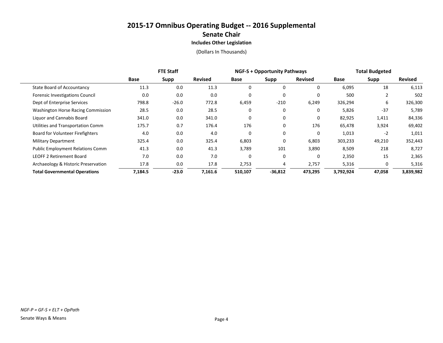|                                         | <b>FTE Staff</b> |         |                | <b>NGF-S + Opportunity Pathways</b> |           |                | <b>Total Budgeted</b> |             |                |
|-----------------------------------------|------------------|---------|----------------|-------------------------------------|-----------|----------------|-----------------------|-------------|----------------|
|                                         | Base             | Supp    | <b>Revised</b> | Base                                | Supp      | <b>Revised</b> | Base                  | <b>Supp</b> | <b>Revised</b> |
| State Board of Accountancy              | 11.3             | 0.0     | 11.3           | 0                                   | 0         |                | 6,095                 | 18          | 6,113          |
| Forensic Investigations Council         | 0.0              | 0.0     | 0.0            | 0                                   | $\Omega$  | 0              | 500                   |             | 502            |
| Dept of Enterprise Services             | 798.8            | $-26.0$ | 772.8          | 6,459                               | $-210$    | 6,249          | 326,294               | 6           | 326,300        |
| Washington Horse Racing Commission      | 28.5             | 0.0     | 28.5           | 0                                   | 0         |                | 5,826                 | $-37$       | 5,789          |
| Liguor and Cannabis Board               | 341.0            | 0.0     | 341.0          | 0                                   | 0         | $\Omega$       | 82,925                | 1,411       | 84,336         |
| Utilities and Transportation Comm       | 175.7            | 0.7     | 176.4          | 176                                 | 0         | 176            | 65,478                | 3,924       | 69,402         |
| Board for Volunteer Firefighters        | 4.0              | 0.0     | 4.0            | 0                                   | 0         | 0              | 1,013                 | $-2$        | 1,011          |
| <b>Military Department</b>              | 325.4            | 0.0     | 325.4          | 6,803                               | 0         | 6,803          | 303,233               | 49,210      | 352,443        |
| <b>Public Employment Relations Comm</b> | 41.3             | 0.0     | 41.3           | 3,789                               | 101       | 3,890          | 8,509                 | 218         | 8,727          |
| <b>LEOFF 2 Retirement Board</b>         | 7.0              | 0.0     | 7.0            | 0                                   | $\Omega$  | 0              | 2,350                 | 15          | 2,365          |
| Archaeology & Historic Preservation     | 17.8             | 0.0     | 17.8           | 2,753                               |           | 2,757          | 5,316                 | 0           | 5,316          |
| <b>Total Governmental Operations</b>    | 7,184.5          | $-23.0$ | 7,161.6        | 510,107                             | $-36,812$ | 473,295        | 3,792,924             | 47,058      | 3,839,982      |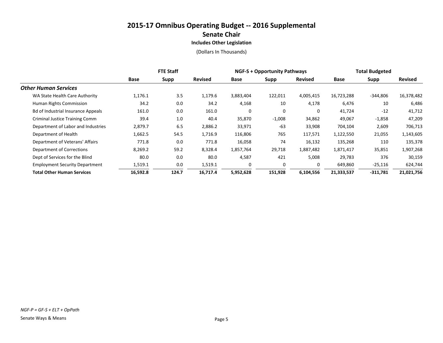|                                           | <b>FTE Staff</b> |       |                | <b>NGF-S + Opportunity Pathways</b> |          |                | <b>Total Budgeted</b> |            |                |
|-------------------------------------------|------------------|-------|----------------|-------------------------------------|----------|----------------|-----------------------|------------|----------------|
|                                           | Base             | Supp  | <b>Revised</b> | Base                                | Supp     | <b>Revised</b> | Base                  | Supp       | <b>Revised</b> |
| <b>Other Human Services</b>               |                  |       |                |                                     |          |                |                       |            |                |
| WA State Health Care Authority            | 1,176.1          | 3.5   | 1,179.6        | 3,883,404                           | 122,011  | 4,005,415      | 16,723,288            | $-344,806$ | 16,378,482     |
| Human Rights Commission                   | 34.2             | 0.0   | 34.2           | 4,168                               | 10       | 4,178          | 6,476                 | 10         | 6,486          |
| <b>Bd of Industrial Insurance Appeals</b> | 161.0            | 0.0   | 161.0          | 0                                   | 0        | 0              | 41,724                | $-12$      | 41,712         |
| <b>Criminal Justice Training Comm</b>     | 39.4             | 1.0   | 40.4           | 35,870                              | $-1,008$ | 34,862         | 49,067                | $-1,858$   | 47,209         |
| Department of Labor and Industries        | 2,879.7          | 6.5   | 2,886.2        | 33,971                              | $-63$    | 33,908         | 704,104               | 2,609      | 706,713        |
| Department of Health                      | 1,662.5          | 54.5  | 1,716.9        | 116,806                             | 765      | 117,571        | 1,122,550             | 21,055     | 1,143,605      |
| Department of Veterans' Affairs           | 771.8            | 0.0   | 771.8          | 16,058                              | 74       | 16,132         | 135,268               | 110        | 135,378        |
| Department of Corrections                 | 8,269.2          | 59.2  | 8,328.4        | 1,857,764                           | 29,718   | 1,887,482      | 1,871,417             | 35,851     | 1,907,268      |
| Dept of Services for the Blind            | 80.0             | 0.0   | 80.0           | 4,587                               | 421      | 5,008          | 29,783                | 376        | 30,159         |
| <b>Employment Security Department</b>     | 1,519.1          | 0.0   | 1,519.1        | 0                                   | $\Omega$ | 0              | 649,860               | $-25,116$  | 624,744        |
| <b>Total Other Human Services</b>         | 16,592.8         | 124.7 | 16,717.4       | 5,952,628                           | 151,928  | 6,104,556      | 21,333,537            | $-311,781$ | 21,021,756     |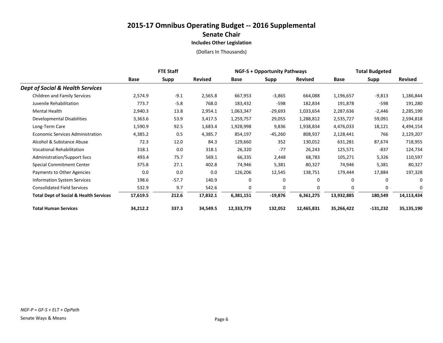|                                                   | <b>FTE Staff</b> |             |                | <b>NGF-S + Opportunity Pathways</b> |           |                | <b>Total Budgeted</b> |              |                |
|---------------------------------------------------|------------------|-------------|----------------|-------------------------------------|-----------|----------------|-----------------------|--------------|----------------|
|                                                   | <b>Base</b>      | <b>Supp</b> | <b>Revised</b> | Base                                | Supp      | <b>Revised</b> | Base                  | <b>Supp</b>  | <b>Revised</b> |
| <b>Dept of Social &amp; Health Services</b>       |                  |             |                |                                     |           |                |                       |              |                |
| <b>Children and Family Services</b>               | 2,574.9          | $-9.1$      | 2,565.8        | 667,953                             | $-3,865$  | 664,088        | 1,196,657             | $-9,813$     | 1,186,844      |
| Juvenile Rehabilitation                           | 773.7            | $-5.8$      | 768.0          | 183,432                             | -598      | 182,834        | 191,878               | -598         | 191,280        |
| Mental Health                                     | 2,940.3          | 13.8        | 2,954.1        | 1,063,347                           | $-29,693$ | 1,033,654      | 2,287,636             | $-2,446$     | 2,285,190      |
| Developmental Disabilities                        | 3,363.6          | 53.9        | 3,417.5        | 1,259,757                           | 29,055    | 1,288,812      | 2,535,727             | 59,091       | 2,594,818      |
| Long-Term Care                                    | 1,590.9          | 92.5        | 1,683.4        | 1,928,998                           | 9,836     | 1,938,834      | 4,476,033             | 18,121       | 4,494,154      |
| <b>Economic Services Administration</b>           | 4,385.2          | 0.5         | 4,385.7        | 854,197                             | -45,260   | 808,937        | 2,128,441             | 766          | 2,129,207      |
| Alcohol & Substance Abuse                         | 72.3             | 12.0        | 84.3           | 129,660                             | 352       | 130,012        | 631,281               | 87,674       | 718,955        |
| <b>Vocational Rehabilitation</b>                  | 318.1            | 0.0         | 318.1          | 26,320                              | $-77$     | 26,243         | 125,571               | -837         | 124,734        |
| <b>Administration/Support Svcs</b>                | 493.4            | 75.7        | 569.1          | 66,335                              | 2,448     | 68,783         | 105,271               | 5,326        | 110,597        |
| Special Commitment Center                         | 375.8            | 27.1        | 402.8          | 74,946                              | 5,381     | 80,327         | 74,946                | 5,381        | 80,327         |
| Payments to Other Agencies                        | 0.0              | 0.0         | 0.0            | 126,206                             | 12,545    | 138,751        | 179,444               | 17,884       | 197,328        |
| <b>Information System Services</b>                | 198.6            | $-57.7$     | 140.9          | 0                                   | 0         | 0              | $\Omega$              | 0            | $\Omega$       |
| <b>Consolidated Field Services</b>                | 532.9            | 9.7         | 542.6          | $\mathbf 0$                         | 0         | $\Omega$       | $\mathbf 0$           | $\mathbf{0}$ | 0              |
| <b>Total Dept of Social &amp; Health Services</b> | 17,619.5         | 212.6       | 17,832.1       | 6,381,151                           | $-19,876$ | 6,361,275      | 13,932,885            | 180,549      | 14,113,434     |
| <b>Total Human Services</b>                       | 34,212.2         | 337.3       | 34,549.5       | 12,333,779                          | 132,052   | 12,465,831     | 35,266,422            | -131,232     | 35,135,190     |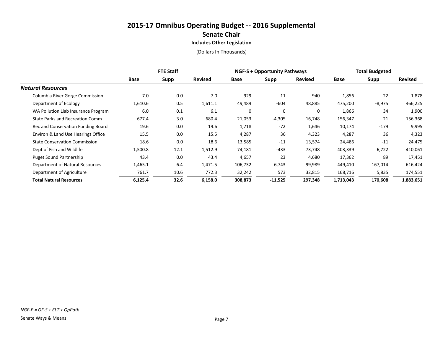|                                      | <b>FTE Staff</b> |      |                | <b>NGF-S + Opportunity Pathways</b> |           |                | <b>Total Budgeted</b> |             |                |
|--------------------------------------|------------------|------|----------------|-------------------------------------|-----------|----------------|-----------------------|-------------|----------------|
|                                      | Base             | Supp | <b>Revised</b> | Base                                | Supp      | <b>Revised</b> | Base                  | <b>Supp</b> | <b>Revised</b> |
| <b>Natural Resources</b>             |                  |      |                |                                     |           |                |                       |             |                |
| Columbia River Gorge Commission      | 7.0              | 0.0  | 7.0            | 929                                 | 11        | 940            | 1,856                 | 22          | 1,878          |
| Department of Ecology                | 1,610.6          | 0.5  | 1,611.1        | 49,489                              | $-604$    | 48,885         | 475,200               | $-8,975$    | 466,225        |
| WA Pollution Liab Insurance Program  | 6.0              | 0.1  | 6.1            | 0                                   | $\Omega$  | 0              | 1,866                 | 34          | 1,900          |
| State Parks and Recreation Comm      | 677.4            | 3.0  | 680.4          | 21,053                              | $-4,305$  | 16,748         | 156,347               | 21          | 156,368        |
| Rec and Conservation Funding Board   | 19.6             | 0.0  | 19.6           | 1,718                               | $-72$     | 1,646          | 10,174                | $-179$      | 9,995          |
| Environ & Land Use Hearings Office   | 15.5             | 0.0  | 15.5           | 4,287                               | 36        | 4,323          | 4,287                 | 36          | 4,323          |
| <b>State Conservation Commission</b> | 18.6             | 0.0  | 18.6           | 13,585                              | $-11$     | 13,574         | 24,486                | $-11$       | 24,475         |
| Dept of Fish and Wildlife            | 1,500.8          | 12.1 | 1,512.9        | 74,181                              | $-433$    | 73,748         | 403,339               | 6,722       | 410,061        |
| <b>Puget Sound Partnership</b>       | 43.4             | 0.0  | 43.4           | 4,657                               | 23        | 4,680          | 17,362                | 89          | 17,451         |
| Department of Natural Resources      | 1,465.1          | 6.4  | 1,471.5        | 106,732                             | $-6,743$  | 99,989         | 449,410               | 167,014     | 616,424        |
| Department of Agriculture            | 761.7            | 10.6 | 772.3          | 32,242                              | 573       | 32,815         | 168,716               | 5,835       | 174,551        |
| <b>Total Natural Resources</b>       | 6,125.4          | 32.6 | 6,158.0        | 308,873                             | $-11,525$ | 297,348        | 1,713,043             | 170,608     | 1,883,651      |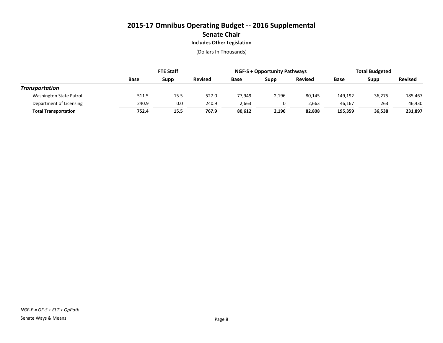|                             | <b>FTE Staff</b> |      |                | <b>NGF-S + Opportunity Pathways</b> |       |                | <b>Total Budgeted</b> |        |                |
|-----------------------------|------------------|------|----------------|-------------------------------------|-------|----------------|-----------------------|--------|----------------|
|                             | Base             | Supp | <b>Revised</b> | Base                                | Supp  | <b>Revised</b> | Base                  | Supp   | <b>Revised</b> |
| Transportation              |                  |      |                |                                     |       |                |                       |        |                |
| Washington State Patrol     | 511.5            | 15.5 | 527.0          | 77,949                              | 2,196 | 80,145         | 149,192               | 36,275 | 185,467        |
| Department of Licensing     | 240.9            | 0.0  | 240.9          | 2,663                               |       | 2,663          | 46,167                | 263    | 46,430         |
| <b>Total Transportation</b> | 752.4            | 15.5 | 767.9          | 80,612                              | 2,196 | 82.808         | 195.359               | 36.538 | 231,897        |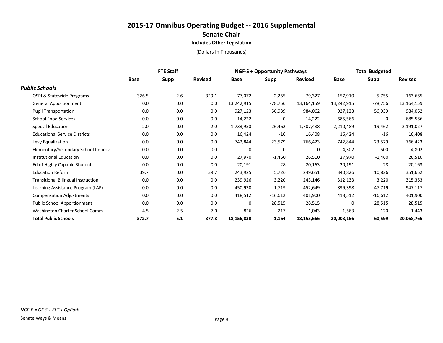|                                           | <b>FTE Staff</b> |             |                | <b>NGF-S + Opportunity Pathways</b> |             |                | <b>Total Budgeted</b> |             |                |
|-------------------------------------------|------------------|-------------|----------------|-------------------------------------|-------------|----------------|-----------------------|-------------|----------------|
|                                           | <b>Base</b>      | <b>Supp</b> | <b>Revised</b> | Base                                | <b>Supp</b> | <b>Revised</b> | <b>Base</b>           | <b>Supp</b> | <b>Revised</b> |
| <b>Public Schools</b>                     |                  |             |                |                                     |             |                |                       |             |                |
| OSPI & Statewide Programs                 | 326.5            | 2.6         | 329.1          | 77,072                              | 2,255       | 79,327         | 157,910               | 5,755       | 163,665        |
| <b>General Apportionment</b>              | 0.0              | 0.0         | 0.0            | 13,242,915                          | -78,756     | 13,164,159     | 13,242,915            | $-78,756$   | 13,164,159     |
| <b>Pupil Transportation</b>               | 0.0              | 0.0         | 0.0            | 927,123                             | 56,939      | 984,062        | 927,123               | 56,939      | 984,062        |
| <b>School Food Services</b>               | 0.0              | 0.0         | 0.0            | 14,222                              | 0           | 14,222         | 685,566               | 0           | 685,566        |
| <b>Special Education</b>                  | 2.0              | 0.0         | 2.0            | 1,733,950                           | $-26,462$   | 1,707,488      | 2,210,489             | $-19,462$   | 2,191,027      |
| <b>Educational Service Districts</b>      | 0.0              | 0.0         | 0.0            | 16,424                              | $-16$       | 16,408         | 16,424                | $-16$       | 16,408         |
| Levy Equalization                         | 0.0              | 0.0         | 0.0            | 742,844                             | 23,579      | 766,423        | 742,844               | 23,579      | 766,423        |
| Elementary/Secondary School Improv        | 0.0              | 0.0         | 0.0            | 0                                   | 0           | 0              | 4,302                 | 500         | 4,802          |
| <b>Institutional Education</b>            | 0.0              | 0.0         | 0.0            | 27,970                              | $-1,460$    | 26,510         | 27,970                | $-1,460$    | 26,510         |
| Ed of Highly Capable Students             | 0.0              | 0.0         | 0.0            | 20,191                              | $-28$       | 20,163         | 20,191                | $-28$       | 20,163         |
| <b>Education Reform</b>                   | 39.7             | 0.0         | 39.7           | 243,925                             | 5,726       | 249,651        | 340,826               | 10,826      | 351,652        |
| <b>Transitional Bilingual Instruction</b> | 0.0              | 0.0         | 0.0            | 239,926                             | 3,220       | 243,146        | 312,133               | 3,220       | 315,353        |
| Learning Assistance Program (LAP)         | 0.0              | 0.0         | 0.0            | 450,930                             | 1,719       | 452,649        | 899,398               | 47,719      | 947,117        |
| <b>Compensation Adjustments</b>           | 0.0              | 0.0         | 0.0            | 418,512                             | $-16,612$   | 401,900        | 418,512               | $-16,612$   | 401,900        |
| <b>Public School Apportionment</b>        | 0.0              | 0.0         | 0.0            | 0                                   | 28,515      | 28,515         | $\Omega$              | 28,515      | 28,515         |
| Washington Charter School Comm            | 4.5              | 2.5         | 7.0            | 826                                 | 217         | 1,043          | 1,563                 | $-120$      | 1,443          |
| <b>Total Public Schools</b>               | 372.7            | 5.1         | 377.8          | 18,156,830                          | $-1,164$    | 18,155,666     | 20,008,166            | 60,599      | 20,068,765     |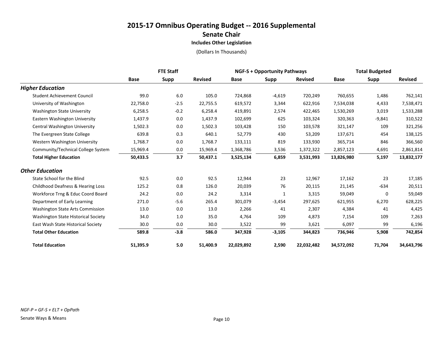|                                         | <b>FTE Staff</b> |             |                |            | <b>NGF-S + Opportunity Pathways</b> |                |             | <b>Total Budgeted</b> |                |  |
|-----------------------------------------|------------------|-------------|----------------|------------|-------------------------------------|----------------|-------------|-----------------------|----------------|--|
|                                         | <b>Base</b>      | <b>Supp</b> | <b>Revised</b> | Base       | Supp                                | <b>Revised</b> | <b>Base</b> | <b>Supp</b>           | <b>Revised</b> |  |
| <b>Higher Education</b>                 |                  |             |                |            |                                     |                |             |                       |                |  |
| <b>Student Achievement Council</b>      | 99.0             | 6.0         | 105.0          | 724,868    | $-4,619$                            | 720,249        | 760,655     | 1,486                 | 762,141        |  |
| University of Washington                | 22,758.0         | $-2.5$      | 22,755.5       | 619,572    | 3,344                               | 622,916        | 7,534,038   | 4,433                 | 7,538,471      |  |
| <b>Washington State University</b>      | 6,258.5          | $-0.2$      | 6,258.4        | 419,891    | 2,574                               | 422,465        | 1,530,269   | 3,019                 | 1,533,288      |  |
| Eastern Washington University           | 1,437.9          | 0.0         | 1,437.9        | 102,699    | 625                                 | 103,324        | 320,363     | $-9,841$              | 310,522        |  |
| Central Washington University           | 1,502.3          | 0.0         | 1,502.3        | 103,428    | 150                                 | 103,578        | 321,147     | 109                   | 321,256        |  |
| The Evergreen State College             | 639.8            | 0.3         | 640.1          | 52,779     | 430                                 | 53,209         | 137,671     | 454                   | 138,125        |  |
| Western Washington University           | 1,768.7          | 0.0         | 1,768.7        | 133,111    | 819                                 | 133,930        | 365,714     | 846                   | 366,560        |  |
| Community/Technical College System      | 15,969.4         | 0.0         | 15,969.4       | 1,368,786  | 3,536                               | 1,372,322      | 2,857,123   | 4,691                 | 2,861,814      |  |
| <b>Total Higher Education</b>           | 50,433.5         | 3.7         | 50,437.1       | 3,525,134  | 6,859                               | 3,531,993      | 13,826,980  | 5,197                 | 13,832,177     |  |
| <b>Other Education</b>                  |                  |             |                |            |                                     |                |             |                       |                |  |
| State School for the Blind              | 92.5             | 0.0         | 92.5           | 12,944     | 23                                  | 12,967         | 17,162      | 23                    | 17,185         |  |
| Childhood Deafness & Hearing Loss       | 125.2            | 0.8         | 126.0          | 20,039     | 76                                  | 20,115         | 21,145      | $-634$                | 20,511         |  |
| Workforce Trng & Educ Coord Board       | 24.2             | 0.0         | 24.2           | 3,314      | 1                                   | 3,315          | 59,049      | 0                     | 59,049         |  |
| Department of Early Learning            | 271.0            | $-5.6$      | 265.4          | 301,079    | $-3,454$                            | 297,625        | 621,955     | 6,270                 | 628,225        |  |
| <b>Washington State Arts Commission</b> | 13.0             | 0.0         | 13.0           | 2,266      | 41                                  | 2,307          | 4,384       | 41                    | 4,425          |  |
| Washington State Historical Society     | 34.0             | $1.0\,$     | 35.0           | 4,764      | 109                                 | 4,873          | 7,154       | 109                   | 7,263          |  |
| East Wash State Historical Society      | 30.0             | 0.0         | 30.0           | 3,522      | 99                                  | 3,621          | 6,097       | 99                    | 6,196          |  |
| <b>Total Other Education</b>            | 589.8            | $-3.8$      | 586.0          | 347,928    | $-3,105$                            | 344,823        | 736,946     | 5,908                 | 742,854        |  |
| <b>Total Education</b>                  | 51,395.9         | 5.0         | 51,400.9       | 22,029,892 | 2,590                               | 22,032,482     | 34,572,092  | 71,704                | 34,643,796     |  |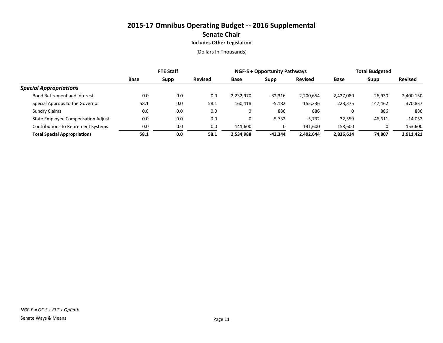|                                            | <b>FTE Staff</b> |      |                | <b>NGF-S + Opportunity Pathways</b> |           |                | <b>Total Budgeted</b> |           |                |
|--------------------------------------------|------------------|------|----------------|-------------------------------------|-----------|----------------|-----------------------|-----------|----------------|
|                                            | Base             | Supp | <b>Revised</b> | Base                                | Supp      | <b>Revised</b> | Base                  | Supp      | <b>Revised</b> |
| <b>Special Appropriations</b>              |                  |      |                |                                     |           |                |                       |           |                |
| Bond Retirement and Interest               | 0.0              | 0.0  | 0.0            | 2,232,970                           | $-32,316$ | 2,200,654      | 2,427,080             | $-26,930$ | 2,400,150      |
| Special Approps to the Governor            | 58.1             | 0.0  | 58.1           | 160,418                             | $-5,182$  | 155,236        | 223,375               | 147,462   | 370,837        |
| <b>Sundry Claims</b>                       | 0.0              | 0.0  | 0.0            | 0                                   | 886       | 886            | 0                     | 886       | 886            |
| <b>State Employee Compensation Adjust</b>  | 0.0              | 0.0  | 0.0            |                                     | $-5,732$  | $-5,732$       | 32,559                | $-46,611$ | $-14,052$      |
| <b>Contributions to Retirement Systems</b> | 0.0              | 0.0  | 0.0            | 141.600                             |           | 141,600        | 153,600               |           | 153,600        |
| <b>Total Special Appropriations</b>        | 58.1             | 0.0  | 58.1           | 2,534,988                           | $-42,344$ | 2,492,644      | 2.836.614             | 74.807    | 2,911,421      |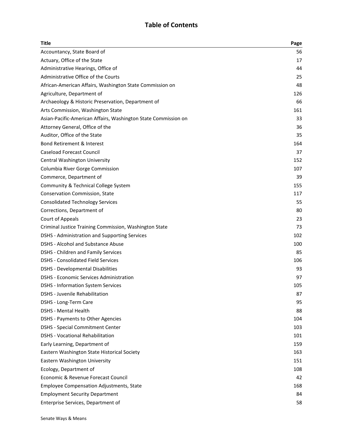## **Table of Contents**

| Title                                                          | Page |
|----------------------------------------------------------------|------|
| Accountancy, State Board of                                    | 56   |
| Actuary, Office of the State                                   | 17   |
| Administrative Hearings, Office of                             | 44   |
| Administrative Office of the Courts                            | 25   |
| African-American Affairs, Washington State Commission on       | 48   |
| Agriculture, Department of                                     | 126  |
| Archaeology & Historic Preservation, Department of             | 66   |
| Arts Commission, Washington State                              | 161  |
| Asian-Pacific-American Affairs, Washington State Commission on | 33   |
| Attorney General, Office of the                                | 36   |
| Auditor, Office of the State                                   | 35   |
| Bond Retirement & Interest                                     | 164  |
| <b>Caseload Forecast Council</b>                               | 37   |
| Central Washington University                                  | 152  |
| Columbia River Gorge Commission                                | 107  |
| Commerce, Department of                                        | 39   |
| Community & Technical College System                           | 155  |
| Conservation Commission, State                                 | 117  |
| <b>Consolidated Technology Services</b>                        | 55   |
| Corrections, Department of                                     | 80   |
| Court of Appeals                                               | 23   |
| Criminal Justice Training Commission, Washington State         | 73   |
| DSHS - Administration and Supporting Services                  | 102  |
| <b>DSHS - Alcohol and Substance Abuse</b>                      | 100  |
| <b>DSHS - Children and Family Services</b>                     | 85   |
| <b>DSHS - Consolidated Field Services</b>                      | 106  |
| <b>DSHS - Developmental Disabilities</b>                       | 93   |
| <b>DSHS - Economic Services Administration</b>                 | 97   |
| <b>DSHS - Information System Services</b>                      | 105  |
| DSHS - Juvenile Rehabilitation                                 | 87   |
| DSHS - Long-Term Care                                          | 95   |
| <b>DSHS - Mental Health</b>                                    | 88   |
| DSHS - Payments to Other Agencies                              | 104  |
| <b>DSHS - Special Commitment Center</b>                        | 103  |
| <b>DSHS - Vocational Rehabilitation</b>                        | 101  |
| Early Learning, Department of                                  | 159  |
| Eastern Washington State Historical Society                    | 163  |
| Eastern Washington University                                  | 151  |
| Ecology, Department of                                         | 108  |
| Economic & Revenue Forecast Council                            | 42   |
| <b>Employee Compensation Adjustments, State</b>                | 168  |
| <b>Employment Security Department</b>                          | 84   |
| Enterprise Services, Department of                             | 58   |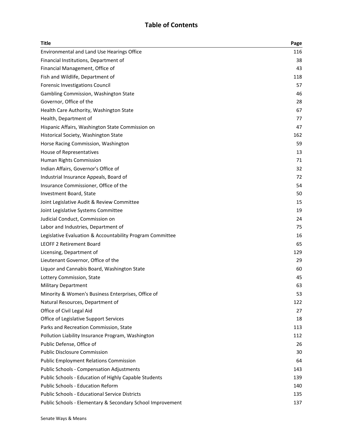## **Table of Contents**

| Title                                                      | Page |
|------------------------------------------------------------|------|
| Environmental and Land Use Hearings Office                 | 116  |
| Financial Institutions, Department of                      | 38   |
| Financial Management, Office of                            | 43   |
| Fish and Wildlife, Department of                           | 118  |
| Forensic Investigations Council                            | 57   |
| Gambling Commission, Washington State                      | 46   |
| Governor, Office of the                                    | 28   |
| Health Care Authority, Washington State                    | 67   |
| Health, Department of                                      | 77   |
| Hispanic Affairs, Washington State Commission on           | 47   |
| Historical Society, Washington State                       | 162  |
| Horse Racing Commission, Washington                        | 59   |
| House of Representatives                                   | 13   |
| Human Rights Commission                                    | 71   |
| Indian Affairs, Governor's Office of                       | 32   |
| Industrial Insurance Appeals, Board of                     | 72   |
| Insurance Commissioner, Office of the                      | 54   |
| Investment Board, State                                    | 50   |
| Joint Legislative Audit & Review Committee                 | 15   |
| Joint Legislative Systems Committee                        | 19   |
| Judicial Conduct, Commission on                            | 24   |
| Labor and Industries, Department of                        | 75   |
| Legislative Evaluation & Accountability Program Committee  | 16   |
| <b>LEOFF 2 Retirement Board</b>                            | 65   |
| Licensing, Department of                                   | 129  |
| Lieutenant Governor, Office of the                         | 29   |
| Liquor and Cannabis Board, Washington State                | 60   |
| Lottery Commission, State                                  | 45   |
| <b>Military Department</b>                                 | 63   |
| Minority & Women's Business Enterprises, Office of         | 53   |
| Natural Resources, Department of                           | 122  |
| Office of Civil Legal Aid                                  | 27   |
| Office of Legislative Support Services                     | 18   |
| Parks and Recreation Commission, State                     | 113  |
| Pollution Liability Insurance Program, Washington          | 112  |
| Public Defense, Office of                                  | 26   |
| <b>Public Disclosure Commission</b>                        | 30   |
| <b>Public Employment Relations Commission</b>              | 64   |
| <b>Public Schools - Compensation Adjustments</b>           | 143  |
| Public Schools - Education of Highly Capable Students      | 139  |
| <b>Public Schools - Education Reform</b>                   | 140  |
| <b>Public Schools - Educational Service Districts</b>      | 135  |
| Public Schools - Elementary & Secondary School Improvement | 137  |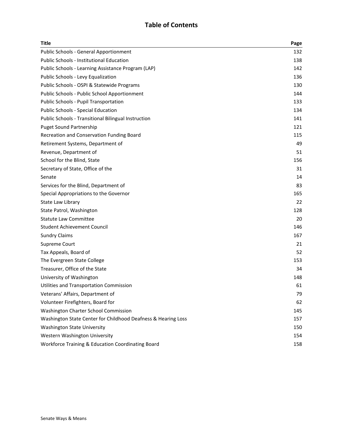## **Table of Contents**

| <b>Title</b>                                                  | Page |
|---------------------------------------------------------------|------|
| <b>Public Schools - General Apportionment</b>                 | 132  |
| <b>Public Schools - Institutional Education</b>               | 138  |
| Public Schools - Learning Assistance Program (LAP)            | 142  |
| Public Schools - Levy Equalization                            | 136  |
| Public Schools - OSPI & Statewide Programs                    | 130  |
| Public Schools - Public School Apportionment                  | 144  |
| Public Schools - Pupil Transportation                         | 133  |
| <b>Public Schools - Special Education</b>                     | 134  |
| <b>Public Schools - Transitional Bilingual Instruction</b>    | 141  |
| <b>Puget Sound Partnership</b>                                | 121  |
| Recreation and Conservation Funding Board                     | 115  |
| Retirement Systems, Department of                             | 49   |
| Revenue, Department of                                        | 51   |
| School for the Blind, State                                   | 156  |
| Secretary of State, Office of the                             | 31   |
| Senate                                                        | 14   |
| Services for the Blind, Department of                         | 83   |
| Special Appropriations to the Governor                        | 165  |
| State Law Library                                             | 22   |
| State Patrol, Washington                                      | 128  |
| <b>Statute Law Committee</b>                                  | 20   |
| <b>Student Achievement Council</b>                            | 146  |
| <b>Sundry Claims</b>                                          | 167  |
| Supreme Court                                                 | 21   |
| Tax Appeals, Board of                                         | 52   |
| The Evergreen State College                                   | 153  |
| Treasurer, Office of the State                                | 34   |
| University of Washington                                      | 148  |
| Utilities and Transportation Commission                       | 61   |
| Veterans' Affairs, Department of                              | 79   |
| Volunteer Firefighters, Board for                             | 62   |
| Washington Charter School Commission                          | 145  |
| Washington State Center for Childhood Deafness & Hearing Loss | 157  |
| <b>Washington State University</b>                            | 150  |
| Western Washington University                                 | 154  |
| Workforce Training & Education Coordinating Board             | 158  |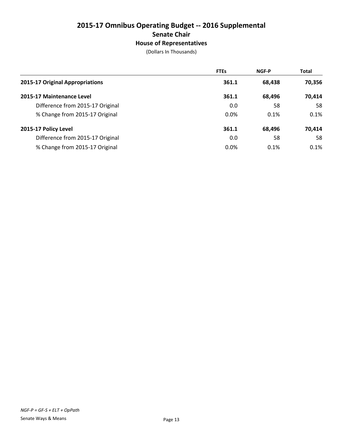# **2015-17 Omnibus Operating Budget -- 2016 Supplemental Senate Chair House of Representatives**

|                                  | <b>FTEs</b> | <b>NGF-P</b> | <b>Total</b> |
|----------------------------------|-------------|--------------|--------------|
| 2015-17 Original Appropriations  | 361.1       | 68,438       | 70,356       |
| 2015-17 Maintenance Level        | 361.1       | 68,496       | 70,414       |
| Difference from 2015-17 Original | 0.0         | 58           | 58           |
| % Change from 2015-17 Original   | 0.0%        | 0.1%         | 0.1%         |
| 2015-17 Policy Level             | 361.1       | 68,496       | 70,414       |
| Difference from 2015-17 Original | 0.0         | 58           | 58           |
| % Change from 2015-17 Original   | 0.0%        | 0.1%         | 0.1%         |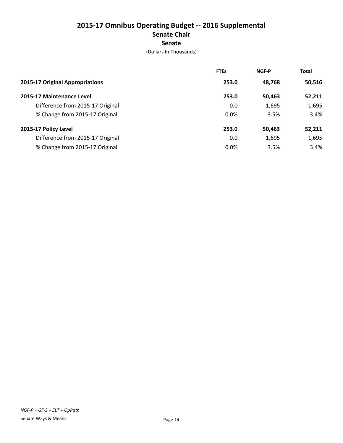# **2015-17 Omnibus Operating Budget -- 2016 Supplemental Senate Chair Senate**

|                                  | <b>FTEs</b> | <b>NGF-P</b> | <b>Total</b> |
|----------------------------------|-------------|--------------|--------------|
| 2015-17 Original Appropriations  | 253.0       | 48,768       | 50,516       |
| 2015-17 Maintenance Level        | 253.0       | 50,463       | 52,211       |
| Difference from 2015-17 Original | 0.0         | 1,695        | 1,695        |
| % Change from 2015-17 Original   | 0.0%        | 3.5%         | 3.4%         |
| 2015-17 Policy Level             | 253.0       | 50,463       | 52,211       |
| Difference from 2015-17 Original | 0.0         | 1,695        | 1,695        |
| % Change from 2015-17 Original   | 0.0%        | 3.5%         | 3.4%         |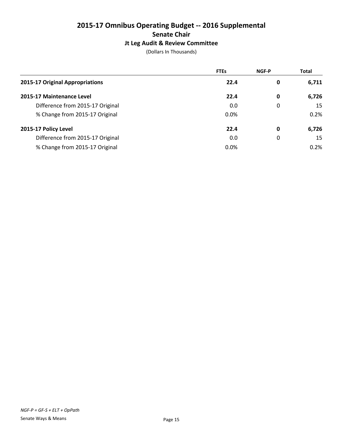# **2015-17 Omnibus Operating Budget -- 2016 Supplemental Senate Chair Jt Leg Audit & Review Committee**

|                                  | <b>FTEs</b> | <b>NGF-P</b> | <b>Total</b> |
|----------------------------------|-------------|--------------|--------------|
| 2015-17 Original Appropriations  | 22.4        | 0            | 6,711        |
| 2015-17 Maintenance Level        | 22.4        | 0            | 6,726        |
| Difference from 2015-17 Original | 0.0         | 0            | 15           |
| % Change from 2015-17 Original   | 0.0%        |              | 0.2%         |
| 2015-17 Policy Level             | 22.4        | 0            | 6,726        |
| Difference from 2015-17 Original | 0.0         | 0            | 15           |
| % Change from 2015-17 Original   | 0.0%        |              | 0.2%         |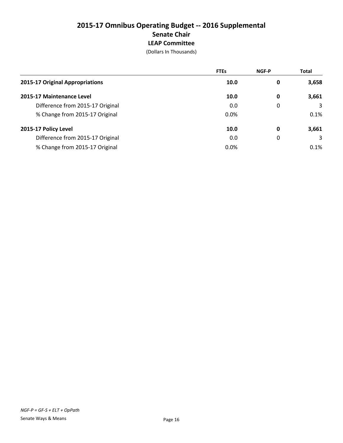# **2015-17 Omnibus Operating Budget -- 2016 Supplemental Senate Chair LEAP Committee**

|                                  | <b>FTEs</b> | <b>NGF-P</b> | <b>Total</b> |
|----------------------------------|-------------|--------------|--------------|
| 2015-17 Original Appropriations  | 10.0        | 0            | 3,658        |
| 2015-17 Maintenance Level        | 10.0        | 0            | 3,661        |
| Difference from 2015-17 Original | 0.0         | 0            | 3            |
| % Change from 2015-17 Original   | 0.0%        |              | 0.1%         |
| 2015-17 Policy Level             | 10.0        | 0            | 3,661        |
| Difference from 2015-17 Original | 0.0         | 0            | 3            |
| % Change from 2015-17 Original   | 0.0%        |              | 0.1%         |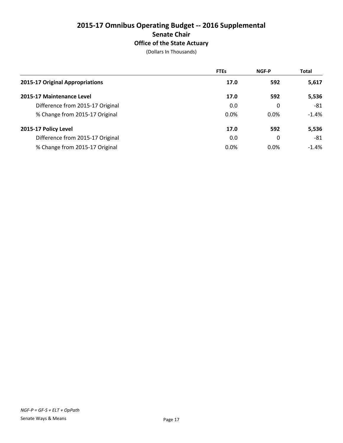# **2015-17 Omnibus Operating Budget -- 2016 Supplemental Senate Chair Office of the State Actuary**

|                                  | <b>FTEs</b> | <b>NGF-P</b> | <b>Total</b> |
|----------------------------------|-------------|--------------|--------------|
| 2015-17 Original Appropriations  | 17.0        | 592          | 5,617        |
| 2015-17 Maintenance Level        | 17.0        | 592          | 5,536        |
| Difference from 2015-17 Original | 0.0         | 0            | -81          |
| % Change from 2015-17 Original   | 0.0%        | $0.0\%$      | $-1.4%$      |
| 2015-17 Policy Level             | 17.0        | 592          | 5,536        |
| Difference from 2015-17 Original | 0.0         | 0            | -81          |
| % Change from 2015-17 Original   | 0.0%        | $0.0\%$      | $-1.4\%$     |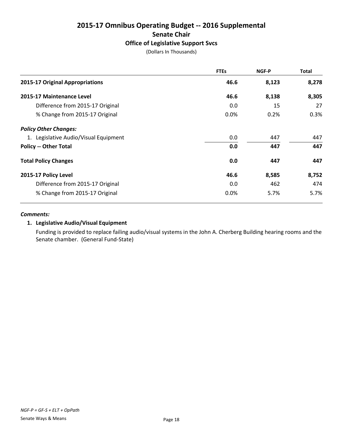# **2015-17 Omnibus Operating Budget -- 2016 Supplemental Senate Chair Office of Legislative Support Svcs**

(Dollars In Thousands)

|                                       | <b>FTEs</b> | NGF-P | <b>Total</b> |
|---------------------------------------|-------------|-------|--------------|
| 2015-17 Original Appropriations       | 46.6        | 8,123 | 8,278        |
| 2015-17 Maintenance Level             | 46.6        | 8,138 | 8,305        |
| Difference from 2015-17 Original      | 0.0         | 15    | 27           |
| % Change from 2015-17 Original        | $0.0\%$     | 0.2%  | 0.3%         |
| <b>Policy Other Changes:</b>          |             |       |              |
| 1. Legislative Audio/Visual Equipment | 0.0         | 447   | 447          |
| <b>Policy -- Other Total</b>          | 0.0         | 447   | 447          |
| <b>Total Policy Changes</b>           | 0.0         | 447   | 447          |
| 2015-17 Policy Level                  | 46.6        | 8,585 | 8,752        |
| Difference from 2015-17 Original      | 0.0         | 462   | 474          |
| % Change from 2015-17 Original        | 0.0%        | 5.7%  | 5.7%         |

#### *Comments:*

## **1. Legislative Audio/Visual Equipment**

Funding is provided to replace failing audio/visual systems in the John A. Cherberg Building hearing rooms and the Senate chamber. (General Fund-State)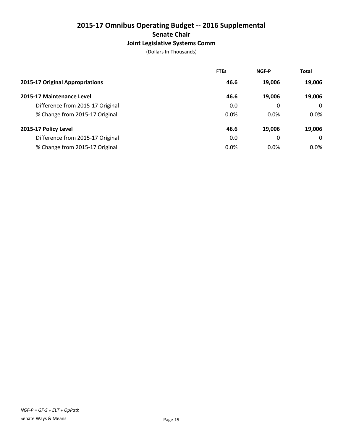# **2015-17 Omnibus Operating Budget -- 2016 Supplemental Senate Chair Joint Legislative Systems Comm**

|                                  | <b>FTEs</b> | <b>NGF-P</b> | <b>Total</b> |
|----------------------------------|-------------|--------------|--------------|
| 2015-17 Original Appropriations  | 46.6        | 19,006       | 19,006       |
| 2015-17 Maintenance Level        | 46.6        | 19.006       | 19,006       |
| Difference from 2015-17 Original | 0.0         | 0            | $\Omega$     |
| % Change from 2015-17 Original   | 0.0%        | 0.0%         | $0.0\%$      |
| 2015-17 Policy Level             | 46.6        | 19,006       | 19,006       |
| Difference from 2015-17 Original | 0.0         | 0            | $\Omega$     |
| % Change from 2015-17 Original   | 0.0%        | $0.0\%$      | $0.0\%$      |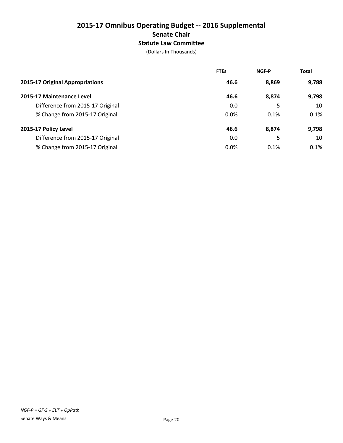# **2015-17 Omnibus Operating Budget -- 2016 Supplemental Senate Chair Statute Law Committee**

|                                  | <b>FTEs</b> | <b>NGF-P</b> | <b>Total</b> |
|----------------------------------|-------------|--------------|--------------|
| 2015-17 Original Appropriations  | 46.6        | 8,869        | 9,788        |
| 2015-17 Maintenance Level        | 46.6        | 8,874        | 9,798        |
| Difference from 2015-17 Original | 0.0         | 5            | 10           |
| % Change from 2015-17 Original   | 0.0%        | 0.1%         | 0.1%         |
| 2015-17 Policy Level             | 46.6        | 8,874        | 9,798        |
| Difference from 2015-17 Original | 0.0         | 5            | 10           |
| % Change from 2015-17 Original   | 0.0%        | 0.1%         | 0.1%         |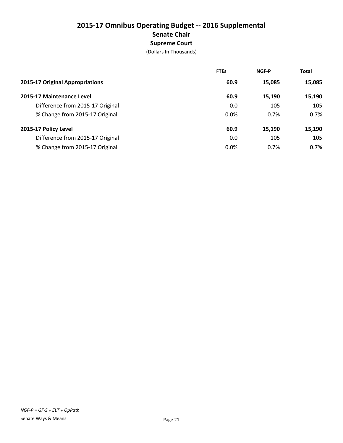# **2015-17 Omnibus Operating Budget -- 2016 Supplemental Senate Chair Supreme Court**

|                                  | <b>FTEs</b> | <b>NGF-P</b> | <b>Total</b> |
|----------------------------------|-------------|--------------|--------------|
| 2015-17 Original Appropriations  | 60.9        | 15,085       | 15,085       |
| 2015-17 Maintenance Level        | 60.9        | 15,190       | 15,190       |
| Difference from 2015-17 Original | 0.0         | 105          | 105          |
| % Change from 2015-17 Original   | 0.0%        | 0.7%         | 0.7%         |
| 2015-17 Policy Level             | 60.9        | 15,190       | 15,190       |
| Difference from 2015-17 Original | 0.0         | 105          | 105          |
| % Change from 2015-17 Original   | 0.0%        | 0.7%         | 0.7%         |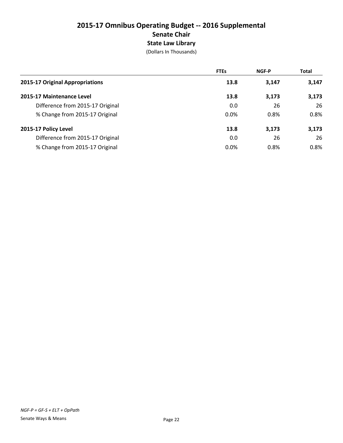# **2015-17 Omnibus Operating Budget -- 2016 Supplemental Senate Chair State Law Library**

|                                  | <b>FTEs</b> | <b>NGF-P</b> | <b>Total</b> |
|----------------------------------|-------------|--------------|--------------|
| 2015-17 Original Appropriations  | 13.8        | 3,147        | 3,147        |
| 2015-17 Maintenance Level        | 13.8        | 3,173        | 3,173        |
| Difference from 2015-17 Original | 0.0         | 26           | 26           |
| % Change from 2015-17 Original   | 0.0%        | 0.8%         | 0.8%         |
| 2015-17 Policy Level             | 13.8        | 3,173        | 3,173        |
| Difference from 2015-17 Original | 0.0         | 26           | 26           |
| % Change from 2015-17 Original   | 0.0%        | 0.8%         | 0.8%         |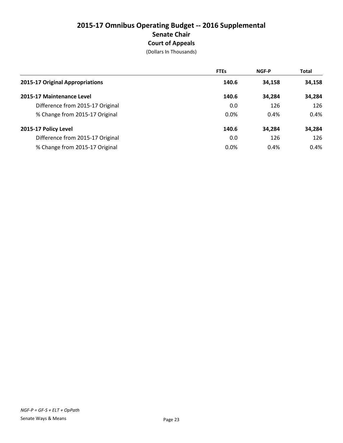# **2015-17 Omnibus Operating Budget -- 2016 Supplemental Senate Chair Court of Appeals**

|                                  | <b>FTEs</b> | <b>NGF-P</b> | <b>Total</b> |
|----------------------------------|-------------|--------------|--------------|
| 2015-17 Original Appropriations  | 140.6       | 34,158       | 34,158       |
| 2015-17 Maintenance Level        | 140.6       | 34,284       | 34,284       |
| Difference from 2015-17 Original | 0.0         | 126          | 126          |
| % Change from 2015-17 Original   | 0.0%        | 0.4%         | 0.4%         |
| 2015-17 Policy Level             | 140.6       | 34,284       | 34,284       |
| Difference from 2015-17 Original | 0.0         | 126          | 126          |
| % Change from 2015-17 Original   | $0.0\%$     | 0.4%         | 0.4%         |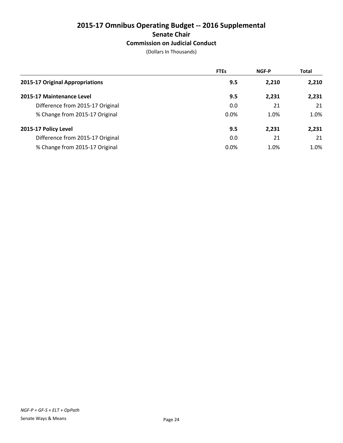# **2015-17 Omnibus Operating Budget -- 2016 Supplemental Senate Chair**

# **Commission on Judicial Conduct**

|                                  | <b>FTEs</b> | <b>NGF-P</b> | <b>Total</b> |
|----------------------------------|-------------|--------------|--------------|
| 2015-17 Original Appropriations  | 9.5         | 2,210        | 2,210        |
| 2015-17 Maintenance Level        | 9.5         | 2,231        | 2,231        |
| Difference from 2015-17 Original | 0.0         | 21           | 21           |
| % Change from 2015-17 Original   | 0.0%        | 1.0%         | 1.0%         |
| 2015-17 Policy Level             | 9.5         | 2,231        | 2,231        |
| Difference from 2015-17 Original | 0.0         | 21           | 21           |
| % Change from 2015-17 Original   | $0.0\%$     | 1.0%         | 1.0%         |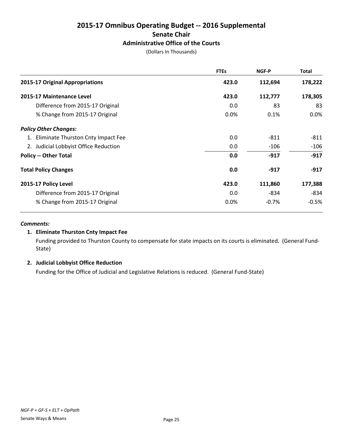# **2015-17 Omnibus Operating Budget -- 2016 Supplemental Senate Chair Administrative Office of the Courts**

(Dollars In Thousands)

|                                       | <b>FTEs</b> | NGF-P   | Total   |
|---------------------------------------|-------------|---------|---------|
| 2015-17 Original Appropriations       | 423.0       | 112,694 | 178,222 |
| 2015-17 Maintenance Level             | 423.0       | 112,777 | 178,305 |
| Difference from 2015-17 Original      | 0.0         | 83      | 83      |
| % Change from 2015-17 Original        | $0.0\%$     | 0.1%    | $0.0\%$ |
| <b>Policy Other Changes:</b>          |             |         |         |
| 1. Eliminate Thurston Cnty Impact Fee | 0.0         | $-811$  | $-811$  |
| 2. Judicial Lobbyist Office Reduction | 0.0         | $-106$  | $-106$  |
| <b>Policy -- Other Total</b>          | 0.0         | $-917$  | $-917$  |
| <b>Total Policy Changes</b>           | 0.0         | $-917$  | $-917$  |
| 2015-17 Policy Level                  | 423.0       | 111,860 | 177,388 |
| Difference from 2015-17 Original      | 0.0         | -834    | $-834$  |
| % Change from 2015-17 Original        | 0.0%        | $-0.7%$ | $-0.5%$ |

#### *Comments:*

## **1. Eliminate Thurston Cnty Impact Fee**

Funding provided to Thurston County to compensate for state impacts on its courts is eliminated. (General Fund-State)

#### **2. Judicial Lobbyist Office Reduction**

Funding for the Office of Judicial and Legislative Relations is reduced. (General Fund-State)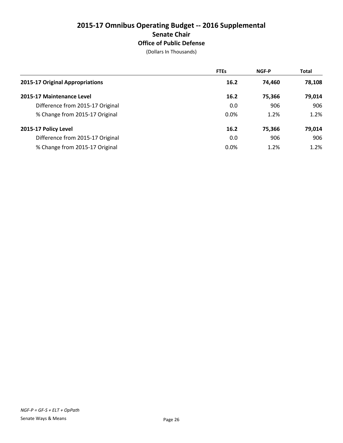# **2015-17 Omnibus Operating Budget -- 2016 Supplemental Senate Chair Office of Public Defense**

|                                  | <b>FTEs</b> | <b>NGF-P</b> | <b>Total</b> |
|----------------------------------|-------------|--------------|--------------|
| 2015-17 Original Appropriations  | 16.2        | 74.460       | 78,108       |
| 2015-17 Maintenance Level        | 16.2        | 75,366       | 79,014       |
| Difference from 2015-17 Original | 0.0         | 906          | 906          |
| % Change from 2015-17 Original   | 0.0%        | 1.2%         | 1.2%         |
| 2015-17 Policy Level             | 16.2        | 75,366       | 79,014       |
| Difference from 2015-17 Original | 0.0         | 906          | 906          |
| % Change from 2015-17 Original   | 0.0%        | 1.2%         | 1.2%         |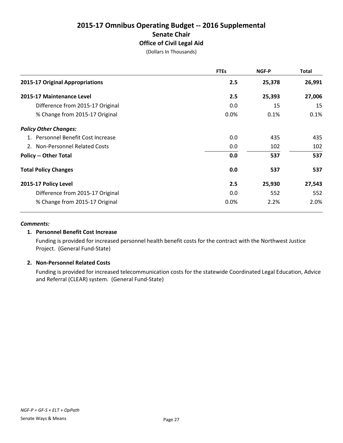# **2015-17 Omnibus Operating Budget -- 2016 Supplemental Senate Chair Office of Civil Legal Aid**

(Dollars In Thousands)

|                                    | <b>FTEs</b> | NGF-P  | Total  |
|------------------------------------|-------------|--------|--------|
| 2015-17 Original Appropriations    | 2.5         | 25,378 | 26,991 |
| 2015-17 Maintenance Level          | 2.5         | 25,393 | 27,006 |
| Difference from 2015-17 Original   | 0.0         | 15     | 15     |
| % Change from 2015-17 Original     | 0.0%        | 0.1%   | 0.1%   |
| <b>Policy Other Changes:</b>       |             |        |        |
| 1. Personnel Benefit Cost Increase | 0.0         | 435    | 435    |
| 2. Non-Personnel Related Costs     | 0.0         | 102    | 102    |
| <b>Policy -- Other Total</b>       | 0.0         | 537    | 537    |
| <b>Total Policy Changes</b>        | 0.0         | 537    | 537    |
| 2015-17 Policy Level               | 2.5         | 25,930 | 27,543 |
| Difference from 2015-17 Original   | 0.0         | 552    | 552    |
| % Change from 2015-17 Original     | 0.0%        | 2.2%   | 2.0%   |

#### *Comments:*

#### **1. Personnel Benefit Cost Increase**

Funding is provided for increased personnel health benefit costs for the contract with the Northwest Justice Project. (General Fund-State)

## **2. Non-Personnel Related Costs**

Funding is provided for increased telecommunication costs for the statewide Coordinated Legal Education, Advice and Referral (CLEAR) system. (General Fund-State)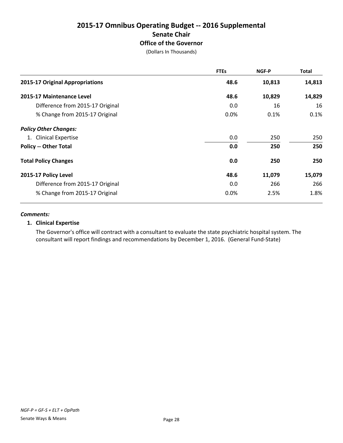# **2015-17 Omnibus Operating Budget -- 2016 Supplemental Senate Chair Office of the Governor**

(Dollars In Thousands)

|                                  | <b>FTEs</b> | NGF-P  | <b>Total</b> |
|----------------------------------|-------------|--------|--------------|
| 2015-17 Original Appropriations  | 48.6        | 10,813 | 14,813       |
| 2015-17 Maintenance Level        | 48.6        | 10,829 | 14,829       |
| Difference from 2015-17 Original | 0.0         | 16     | 16           |
| % Change from 2015-17 Original   | 0.0%        | 0.1%   | 0.1%         |
| <b>Policy Other Changes:</b>     |             |        |              |
| 1. Clinical Expertise            | 0.0         | 250    | 250          |
| <b>Policy -- Other Total</b>     | 0.0         | 250    | 250          |
| <b>Total Policy Changes</b>      | 0.0         | 250    | 250          |
| 2015-17 Policy Level             | 48.6        | 11,079 | 15,079       |
| Difference from 2015-17 Original | 0.0         | 266    | 266          |
| % Change from 2015-17 Original   | 0.0%        | 2.5%   | 1.8%         |

#### *Comments:*

#### **1. Clinical Expertise**

The Governor's office will contract with a consultant to evaluate the state psychiatric hospital system. The consultant will report findings and recommendations by December 1, 2016. (General Fund-State)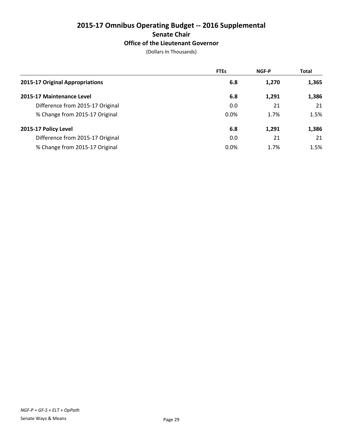# **2015-17 Omnibus Operating Budget -- 2016 Supplemental Senate Chair Office of the Lieutenant Governor**

|                                  | <b>FTEs</b> | <b>NGF-P</b> | <b>Total</b> |
|----------------------------------|-------------|--------------|--------------|
| 2015-17 Original Appropriations  | 6.8         | 1,270        | 1,365        |
| 2015-17 Maintenance Level        | 6.8         | 1,291        | 1,386        |
| Difference from 2015-17 Original | 0.0         | 21           | 21           |
| % Change from 2015-17 Original   | 0.0%        | 1.7%         | 1.5%         |
| 2015-17 Policy Level             | 6.8         | 1,291        | 1,386        |
| Difference from 2015-17 Original | 0.0         | 21           | 21           |
| % Change from 2015-17 Original   | 0.0%        | 1.7%         | 1.5%         |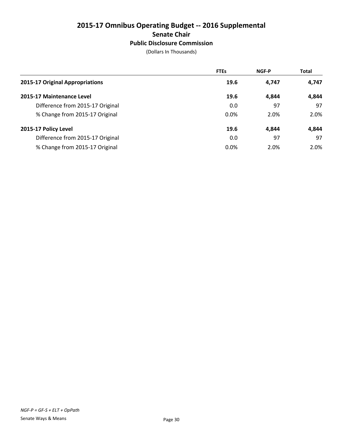# **2015-17 Omnibus Operating Budget -- 2016 Supplemental Senate Chair Public Disclosure Commission**

|                                  | <b>FTEs</b> | <b>NGF-P</b> | <b>Total</b> |
|----------------------------------|-------------|--------------|--------------|
| 2015-17 Original Appropriations  | 19.6        | 4.747        | 4,747        |
| 2015-17 Maintenance Level        | 19.6        | 4.844        | 4,844        |
| Difference from 2015-17 Original | 0.0         | 97           | 97           |
| % Change from 2015-17 Original   | 0.0%        | 2.0%         | 2.0%         |
| 2015-17 Policy Level             | 19.6        | 4.844        | 4.844        |
| Difference from 2015-17 Original | 0.0         | 97           | 97           |
| % Change from 2015-17 Original   | 0.0%        | 2.0%         | 2.0%         |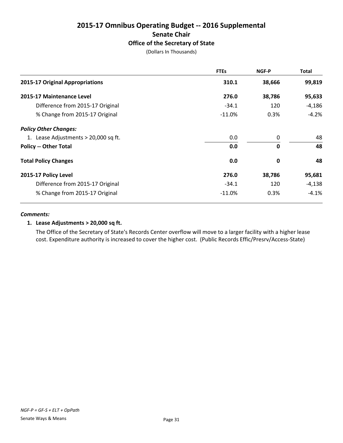# **2015-17 Omnibus Operating Budget -- 2016 Supplemental Senate Chair Office of the Secretary of State**

(Dollars In Thousands)

|                                      | <b>FTEs</b> | <b>NGF-P</b> | <b>Total</b> |
|--------------------------------------|-------------|--------------|--------------|
| 2015-17 Original Appropriations      | 310.1       | 38,666       | 99,819       |
| 2015-17 Maintenance Level            | 276.0       | 38,786       | 95,633       |
| Difference from 2015-17 Original     | $-34.1$     | 120          | -4,186       |
| % Change from 2015-17 Original       | $-11.0\%$   | 0.3%         | $-4.2%$      |
| <b>Policy Other Changes:</b>         |             |              |              |
| 1. Lease Adjustments > 20,000 sq ft. | 0.0         | 0            | 48           |
| <b>Policy -- Other Total</b>         | 0.0         | $\mathbf{0}$ | 48           |
| <b>Total Policy Changes</b>          | 0.0         | 0            | 48           |
| 2015-17 Policy Level                 | 276.0       | 38,786       | 95,681       |
| Difference from 2015-17 Original     | $-34.1$     | 120          | $-4,138$     |
| % Change from 2015-17 Original       | $-11.0\%$   | 0.3%         | $-4.1\%$     |

#### *Comments:*

## **1. Lease Adjustments > 20,000 sq ft.**

The Office of the Secretary of State's Records Center overflow will move to a larger facility with a higher lease cost. Expenditure authority is increased to cover the higher cost. (Public Records Effic/Presrv/Access-State)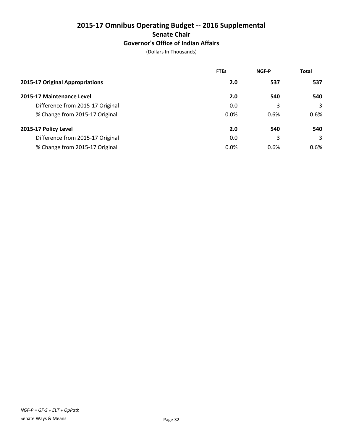## **2015-17 Omnibus Operating Budget -- 2016 Supplemental Senate Chair Governor's Office of Indian Affairs**

|                                  | <b>FTEs</b> | <b>NGF-P</b> | <b>Total</b> |
|----------------------------------|-------------|--------------|--------------|
| 2015-17 Original Appropriations  | 2.0         | 537          | 537          |
| 2015-17 Maintenance Level        | 2.0         | 540          | 540          |
| Difference from 2015-17 Original | 0.0         | 3            | 3            |
| % Change from 2015-17 Original   | 0.0%        | 0.6%         | 0.6%         |
| 2015-17 Policy Level             | 2.0         | 540          | 540          |
| Difference from 2015-17 Original | 0.0         | 3            | 3            |
| % Change from 2015-17 Original   | 0.0%        | 0.6%         | $0.6\%$      |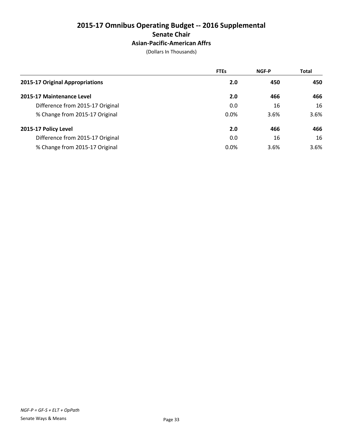## **2015-17 Omnibus Operating Budget -- 2016 Supplemental Senate Chair Asian-Pacific-American Affrs**

|                                  | <b>FTEs</b> | <b>NGF-P</b> | <b>Total</b> |
|----------------------------------|-------------|--------------|--------------|
| 2015-17 Original Appropriations  | 2.0         | 450          | 450          |
| 2015-17 Maintenance Level        | 2.0         | 466          | 466          |
| Difference from 2015-17 Original | 0.0         | 16           | 16           |
| % Change from 2015-17 Original   | 0.0%        | 3.6%         | 3.6%         |
| 2015-17 Policy Level             | 2.0         | 466          | 466          |
| Difference from 2015-17 Original | 0.0         | 16           | 16           |
| % Change from 2015-17 Original   | 0.0%        | 3.6%         | 3.6%         |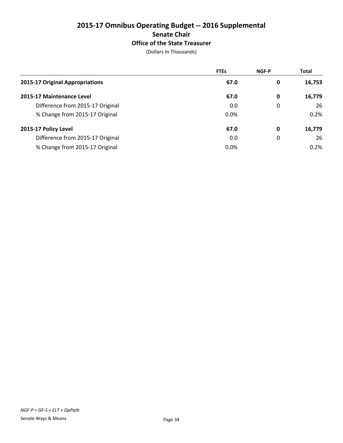## **2015-17 Omnibus Operating Budget -- 2016 Supplemental Senate Chair Office of the State Treasurer**

|                                  | <b>FTEs</b> | <b>NGF-P</b> | <b>Total</b> |
|----------------------------------|-------------|--------------|--------------|
| 2015-17 Original Appropriations  | 67.0        | 0            | 16,753       |
| 2015-17 Maintenance Level        | 67.0        | 0            | 16,779       |
| Difference from 2015-17 Original | 0.0         | 0            | 26           |
| % Change from 2015-17 Original   | 0.0%        |              | 0.2%         |
| 2015-17 Policy Level             | 67.0        | 0            | 16,779       |
| Difference from 2015-17 Original | 0.0         | 0            | 26           |
| % Change from 2015-17 Original   | 0.0%        |              | 0.2%         |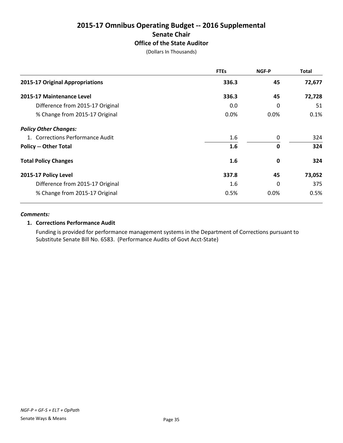## **2015-17 Omnibus Operating Budget -- 2016 Supplemental Senate Chair Office of the State Auditor**

(Dollars In Thousands)

|                                  | <b>FTEs</b> | NGF-P       | <b>Total</b> |
|----------------------------------|-------------|-------------|--------------|
| 2015-17 Original Appropriations  | 336.3       | 45          | 72,677       |
| 2015-17 Maintenance Level        | 336.3       | 45          | 72,728       |
| Difference from 2015-17 Original | 0.0         | $\Omega$    | 51           |
| % Change from 2015-17 Original   | $0.0\%$     | $0.0\%$     | 0.1%         |
| <b>Policy Other Changes:</b>     |             |             |              |
| 1. Corrections Performance Audit | 1.6         | 0           | 324          |
| <b>Policy -- Other Total</b>     | 1.6         | $\mathbf 0$ | 324          |
| <b>Total Policy Changes</b>      | 1.6         | 0           | 324          |
| 2015-17 Policy Level             | 337.8       | 45          | 73,052       |
| Difference from 2015-17 Original | $1.6\,$     | $\Omega$    | 375          |
| % Change from 2015-17 Original   | 0.5%        | 0.0%        | 0.5%         |

#### *Comments:*

### **1. Corrections Performance Audit**

Funding is provided for performance management systems in the Department of Corrections pursuant to Substitute Senate Bill No. 6583. (Performance Audits of Govt Acct-State)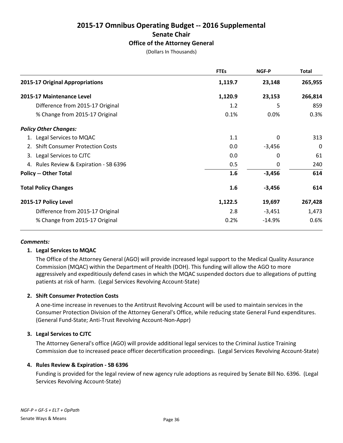## **2015-17 Omnibus Operating Budget -- 2016 Supplemental Senate Chair Office of the Attorney General**

(Dollars In Thousands)

|                                        | <b>FTEs</b> | <b>NGF-P</b> | Total   |
|----------------------------------------|-------------|--------------|---------|
| 2015-17 Original Appropriations        | 1,119.7     | 23,148       | 265,955 |
| 2015-17 Maintenance Level              | 1,120.9     | 23,153       | 266,814 |
| Difference from 2015-17 Original       | 1.2         | 5            | 859     |
| % Change from 2015-17 Original         | 0.1%        | 0.0%         | 0.3%    |
| <b>Policy Other Changes:</b>           |             |              |         |
| 1. Legal Services to MQAC              | 1.1         | 0            | 313     |
| 2. Shift Consumer Protection Costs     | 0.0         | $-3,456$     | 0       |
| 3. Legal Services to CJTC              | 0.0         | 0            | 61      |
| 4. Rules Review & Expiration - SB 6396 | 0.5         | 0            | 240     |
| <b>Policy -- Other Total</b>           | 1.6         | $-3,456$     | 614     |
| <b>Total Policy Changes</b>            | 1.6         | $-3,456$     | 614     |
| 2015-17 Policy Level                   | 1,122.5     | 19,697       | 267,428 |
| Difference from 2015-17 Original       | 2.8         | $-3,451$     | 1,473   |
| % Change from 2015-17 Original         | 0.2%        | $-14.9%$     | 0.6%    |

#### *Comments:*

#### **1. Legal Services to MQAC**

The Office of the Attorney General (AGO) will provide increased legal support to the Medical Quality Assurance Commission (MQAC) within the Department of Health (DOH). This funding will allow the AGO to more aggressively and expeditiously defend cases in which the MQAC suspended doctors due to allegations of putting patients at risk of harm. (Legal Services Revolving Account-State)

#### **2. Shift Consumer Protection Costs**

A one-time increase in revenues to the Antitrust Revolving Account will be used to maintain services in the Consumer Protection Division of the Attorney General's Office, while reducing state General Fund expenditures. (General Fund-State; Anti-Trust Revolving Account-Non-Appr)

#### **3. Legal Services to CJTC**

The Attorney General's office (AGO) will provide additional legal services to the Criminal Justice Training Commission due to increased peace officer decertification proceedings. (Legal Services Revolving Account-State)

#### **4. Rules Review & Expiration - SB 6396**

Funding is provided for the legal review of new agency rule adoptions as required by Senate Bill No. 6396. (Legal Services Revolving Account-State)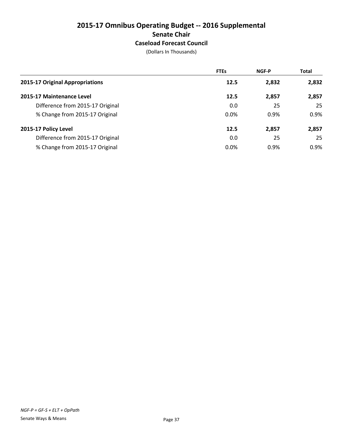## **2015-17 Omnibus Operating Budget -- 2016 Supplemental Senate Chair Caseload Forecast Council**

|                                  | <b>FTEs</b> | <b>NGF-P</b> | <b>Total</b> |
|----------------------------------|-------------|--------------|--------------|
| 2015-17 Original Appropriations  | 12.5        | 2,832        | 2,832        |
| 2015-17 Maintenance Level        | 12.5        | 2,857        | 2,857        |
| Difference from 2015-17 Original | 0.0         | 25           | 25           |
| % Change from 2015-17 Original   | 0.0%        | 0.9%         | 0.9%         |
| 2015-17 Policy Level             | 12.5        | 2,857        | 2,857        |
| Difference from 2015-17 Original | 0.0         | 25           | 25           |
| % Change from 2015-17 Original   | 0.0%        | 0.9%         | 0.9%         |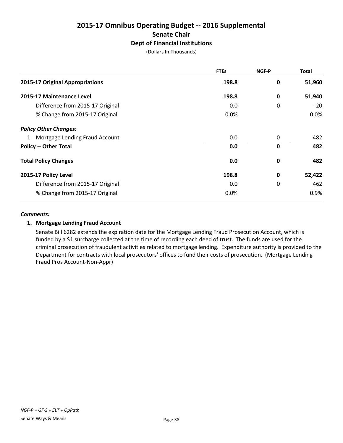## **2015-17 Omnibus Operating Budget -- 2016 Supplemental Senate Chair Dept of Financial Institutions**

(Dollars In Thousands)

|                                   | <b>FTEs</b> | NGF-P       | <b>Total</b> |
|-----------------------------------|-------------|-------------|--------------|
| 2015-17 Original Appropriations   | 198.8       | 0           | 51,960       |
| 2015-17 Maintenance Level         | 198.8       | 0           | 51,940       |
| Difference from 2015-17 Original  | 0.0         | 0           | $-20$        |
| % Change from 2015-17 Original    | 0.0%        |             | $0.0\%$      |
| <b>Policy Other Changes:</b>      |             |             |              |
| 1. Mortgage Lending Fraud Account | 0.0         | 0           | 482          |
| <b>Policy -- Other Total</b>      | 0.0         | $\mathbf 0$ | 482          |
| <b>Total Policy Changes</b>       | 0.0         | 0           | 482          |
| 2015-17 Policy Level              | 198.8       | $\mathbf 0$ | 52,422       |
| Difference from 2015-17 Original  | 0.0         | 0           | 462          |
| % Change from 2015-17 Original    | 0.0%        |             | 0.9%         |

#### *Comments:*

#### **1. Mortgage Lending Fraud Account**

Senate Bill 6282 extends the expiration date for the Mortgage Lending Fraud Prosecution Account, which is funded by a \$1 surcharge collected at the time of recording each deed of trust. The funds are used for the criminal prosecution of fraudulent activities related to mortgage lending. Expenditure authority is provided to the Department for contracts with local prosecutors' offices to fund their costs of prosecution. (Mortgage Lending Fraud Pros Account-Non-Appr)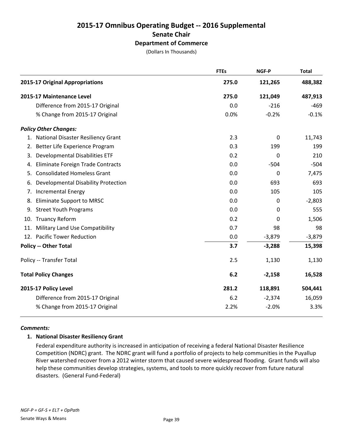## **2015-17 Omnibus Operating Budget -- 2016 Supplemental Senate Chair Department of Commerce**

(Dollars In Thousands)

|    |                                       | <b>FTEs</b> | NGF-P       | <b>Total</b> |
|----|---------------------------------------|-------------|-------------|--------------|
|    | 2015-17 Original Appropriations       | 275.0       | 121,265     | 488,382      |
|    | 2015-17 Maintenance Level             | 275.0       | 121,049     | 487,913      |
|    | Difference from 2015-17 Original      | 0.0         | $-216$      | $-469$       |
|    | % Change from 2015-17 Original        | 0.0%        | $-0.2%$     | $-0.1%$      |
|    | <b>Policy Other Changes:</b>          |             |             |              |
|    | 1. National Disaster Resiliency Grant | 2.3         | 0           | 11,743       |
|    | 2. Better Life Experience Program     | 0.3         | 199         | 199          |
| 3. | <b>Developmental Disabilities ETF</b> | 0.2         | $\mathbf 0$ | 210          |
| 4. | Eliminate Foreign Trade Contracts     | 0.0         | $-504$      | $-504$       |
| 5. | <b>Consolidated Homeless Grant</b>    | 0.0         | 0           | 7,475        |
| 6. | Developmental Disability Protection   | 0.0         | 693         | 693          |
| 7. | <b>Incremental Energy</b>             | 0.0         | 105         | 105          |
| 8. | <b>Eliminate Support to MRSC</b>      | 0.0         | 0           | $-2,803$     |
| 9. | <b>Street Youth Programs</b>          | 0.0         | $\Omega$    | 555          |
|    | 10. Truancy Reform                    | 0.2         | 0           | 1,506        |
|    | 11. Military Land Use Compatibility   | 0.7         | 98          | 98           |
|    | 12. Pacific Tower Reduction           | 0.0         | $-3,879$    | $-3,879$     |
|    | <b>Policy -- Other Total</b>          | 3.7         | $-3,288$    | 15,398       |
|    | Policy -- Transfer Total              | 2.5         | 1,130       | 1,130        |
|    | <b>Total Policy Changes</b>           | 6.2         | $-2,158$    | 16,528       |
|    | 2015-17 Policy Level                  | 281.2       | 118,891     | 504,441      |
|    | Difference from 2015-17 Original      | 6.2         | $-2,374$    | 16,059       |
|    | % Change from 2015-17 Original        | 2.2%        | $-2.0%$     | 3.3%         |

#### *Comments:*

#### **1. National Disaster Resiliency Grant**

Federal expenditure authority is increased in anticipation of receiving a federal National Disaster Resilience Competition (NDRC) grant. The NDRC grant will fund a portfolio of projects to help communities in the Puyallup River watershed recover from a 2012 winter storm that caused severe widespread flooding. Grant funds will also help these communities develop strategies, systems, and tools to more quickly recover from future natural disasters. (General Fund-Federal)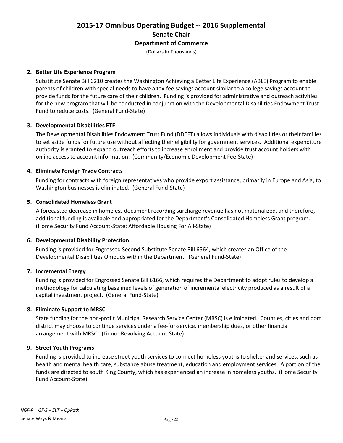## **2015-17 Omnibus Operating Budget -- 2016 Supplemental Senate Chair Department of Commerce**

(Dollars In Thousands)

#### **2. Better Life Experience Program**

Substitute Senate Bill 6210 creates the Washington Achieving a Better Life Experience (ABLE) Program to enable parents of children with special needs to have a tax-fee savings account similar to a college savings account to provide funds for the future care of their children. Funding is provided for administrative and outreach activities for the new program that will be conducted in conjunction with the Developmental Disabilities Endowment Trust Fund to reduce costs. (General Fund-State)

### **3. Developmental Disabilities ETF**

The Developmental Disabilities Endowment Trust Fund (DDEFT) allows individuals with disabilities or their families to set aside funds for future use without affecting their eligibility for government services. Additional expenditure authority is granted to expand outreach efforts to increase enrollment and provide trust account holders with online access to account information. (Community/Economic Development Fee-State)

### **4. Eliminate Foreign Trade Contracts**

Funding for contracts with foreign representatives who provide export assistance, primarily in Europe and Asia, to Washington businesses is eliminated. (General Fund-State)

### **5. Consolidated Homeless Grant**

A forecasted decrease in homeless document recording surcharge revenue has not materialized, and therefore, additional funding is available and appropriated for the Department's Consolidated Homeless Grant program. (Home Security Fund Account-State; Affordable Housing For All-State)

#### **6. Developmental Disability Protection**

Funding is provided for Engrossed Second Substitute Senate Bill 6564, which creates an Office of the Developmental Disabilities Ombuds within the Department. (General Fund-State)

#### **7. Incremental Energy**

Funding is provided for Engrossed Senate Bill 6166, which requires the Department to adopt rules to develop a methodology for calculating baselined levels of generation of incremental electricity produced as a result of a capital investment project. (General Fund-State)

#### **8. Eliminate Support to MRSC**

State funding for the non-profit Municipal Research Service Center (MRSC) is eliminated. Counties, cities and port district may choose to continue services under a fee-for-service, membership dues, or other financial arrangement with MRSC. (Liquor Revolving Account-State)

#### **9. Street Youth Programs**

Funding is provided to increase street youth services to connect homeless youths to shelter and services, such as health and mental health care, substance abuse treatment, education and employment services. A portion of the funds are directed to south King County, which has experienced an increase in homeless youths. (Home Security Fund Account-State)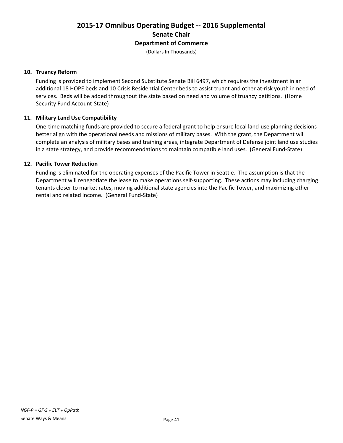## **2015-17 Omnibus Operating Budget -- 2016 Supplemental Senate Chair Department of Commerce**

(Dollars In Thousands)

#### **10. Truancy Reform**

Funding is provided to implement Second Substitute Senate Bill 6497, which requires the investment in an additional 18 HOPE beds and 10 Crisis Residential Center beds to assist truant and other at-risk youth in need of services. Beds will be added throughout the state based on need and volume of truancy petitions. (Home Security Fund Account-State)

#### **11. Military Land Use Compatibility**

One-time matching funds are provided to secure a federal grant to help ensure local land-use planning decisions better align with the operational needs and missions of military bases. With the grant, the Department will complete an analysis of military bases and training areas, integrate Department of Defense joint land use studies in a state strategy, and provide recommendations to maintain compatible land uses. (General Fund-State)

#### **12. Pacific Tower Reduction**

Funding is eliminated for the operating expenses of the Pacific Tower in Seattle. The assumption is that the Department will renegotiate the lease to make operations self-supporting. These actions may including charging tenants closer to market rates, moving additional state agencies into the Pacific Tower, and maximizing other rental and related income. (General Fund-State)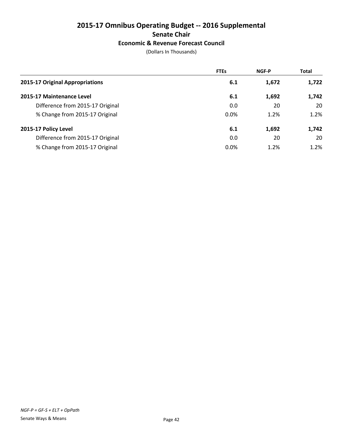## **2015-17 Omnibus Operating Budget -- 2016 Supplemental Senate Chair Economic & Revenue Forecast Council**

|                                  | <b>FTEs</b> | <b>NGF-P</b> | <b>Total</b> |
|----------------------------------|-------------|--------------|--------------|
| 2015-17 Original Appropriations  | 6.1         | 1,672        | 1,722        |
| 2015-17 Maintenance Level        | 6.1         | 1,692        | 1,742        |
| Difference from 2015-17 Original | 0.0         | 20           | 20           |
| % Change from 2015-17 Original   | 0.0%        | 1.2%         | 1.2%         |
| 2015-17 Policy Level             | 6.1         | 1,692        | 1,742        |
| Difference from 2015-17 Original | 0.0         | 20           | 20           |
| % Change from 2015-17 Original   | 0.0%        | 1.2%         | 1.2%         |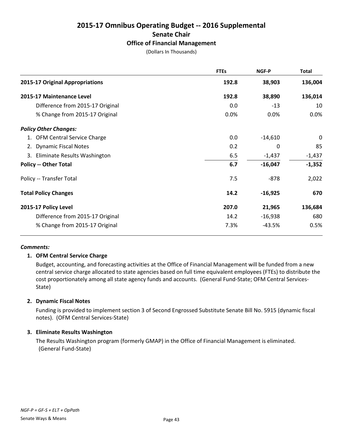# **2015-17 Omnibus Operating Budget -- 2016 Supplemental Senate Chair**

### **Office of Financial Management**

(Dollars In Thousands)

|                                  | <b>FTEs</b> | <b>NGF-P</b> | <b>Total</b> |
|----------------------------------|-------------|--------------|--------------|
| 2015-17 Original Appropriations  | 192.8       | 38,903       | 136,004      |
| 2015-17 Maintenance Level        | 192.8       | 38,890       | 136,014      |
| Difference from 2015-17 Original | 0.0         | $-13$        | 10           |
| % Change from 2015-17 Original   | 0.0%        | $0.0\%$      | 0.0%         |
| <b>Policy Other Changes:</b>     |             |              |              |
| 1. OFM Central Service Charge    | 0.0         | $-14,610$    | 0            |
| 2. Dynamic Fiscal Notes          | 0.2         | 0            | 85           |
| 3. Eliminate Results Washington  | 6.5         | $-1,437$     | $-1,437$     |
| <b>Policy -- Other Total</b>     | 6.7         | $-16,047$    | $-1,352$     |
| Policy -- Transfer Total         | 7.5         | -878         | 2,022        |
| <b>Total Policy Changes</b>      | 14.2        | $-16,925$    | 670          |
| 2015-17 Policy Level             | 207.0       | 21,965       | 136,684      |
| Difference from 2015-17 Original | 14.2        | $-16,938$    | 680          |
| % Change from 2015-17 Original   | 7.3%        | -43.5%       | 0.5%         |

#### *Comments:*

#### **1. OFM Central Service Charge**

Budget, accounting, and forecasting activities at the Office of Financial Management will be funded from a new central service charge allocated to state agencies based on full time equivalent employees (FTEs) to distribute the cost proportionately among all state agency funds and accounts. (General Fund-State; OFM Central Services-State)

#### **2. Dynamic Fiscal Notes**

Funding is provided to implement section 3 of Second Engrossed Substitute Senate Bill No. 5915 (dynamic fiscal notes). (OFM Central Services-State)

#### **3. Eliminate Results Washington**

The Results Washington program (formerly GMAP) in the Office of Financial Management is eliminated. (General Fund-State)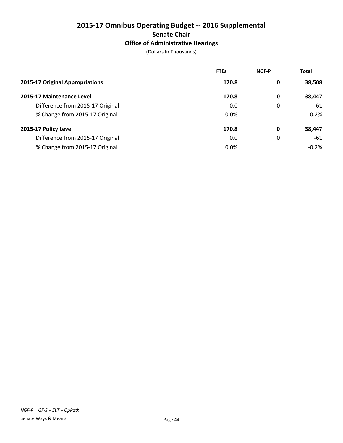## **2015-17 Omnibus Operating Budget -- 2016 Supplemental Senate Chair Office of Administrative Hearings**

|                                  | <b>FTEs</b> | <b>NGF-P</b> | <b>Total</b> |
|----------------------------------|-------------|--------------|--------------|
| 2015-17 Original Appropriations  | 170.8       | 0            | 38,508       |
| 2015-17 Maintenance Level        | 170.8       | 0            | 38,447       |
| Difference from 2015-17 Original | 0.0         | 0            | -61          |
| % Change from 2015-17 Original   | $0.0\%$     |              | $-0.2%$      |
| 2015-17 Policy Level             | 170.8       | 0            | 38,447       |
| Difference from 2015-17 Original | 0.0         | 0            | -61          |
| % Change from 2015-17 Original   | 0.0%        |              | $-0.2%$      |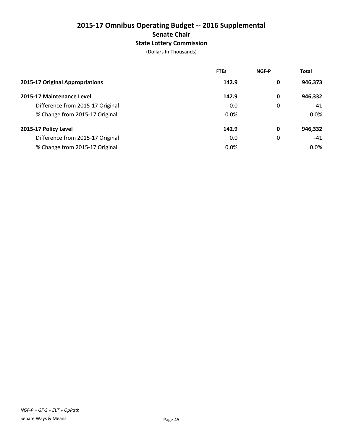## **2015-17 Omnibus Operating Budget -- 2016 Supplemental Senate Chair State Lottery Commission**

|                                  | <b>FTEs</b> | <b>NGF-P</b> | <b>Total</b> |
|----------------------------------|-------------|--------------|--------------|
| 2015-17 Original Appropriations  | 142.9       | 0            | 946,373      |
| 2015-17 Maintenance Level        | 142.9       | 0            | 946,332      |
| Difference from 2015-17 Original | 0.0         | 0            | $-41$        |
| % Change from 2015-17 Original   | $0.0\%$     |              | $0.0\%$      |
| 2015-17 Policy Level             | 142.9       | 0            | 946,332      |
| Difference from 2015-17 Original | 0.0         | 0            | $-41$        |
| % Change from 2015-17 Original   | 0.0%        |              | $0.0\%$      |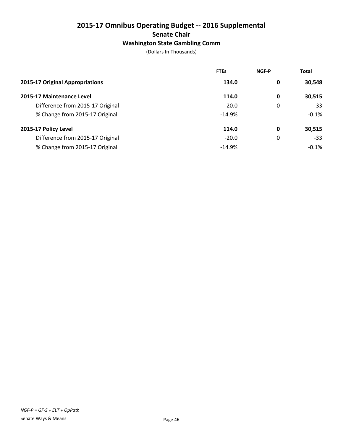## **2015-17 Omnibus Operating Budget -- 2016 Supplemental Senate Chair Washington State Gambling Comm**

|                                  | <b>FTEs</b> | <b>NGF-P</b> | <b>Total</b> |
|----------------------------------|-------------|--------------|--------------|
| 2015-17 Original Appropriations  | 134.0       | 0            | 30,548       |
| 2015-17 Maintenance Level        | 114.0       | 0            | 30,515       |
| Difference from 2015-17 Original | $-20.0$     | 0            | $-33$        |
| % Change from 2015-17 Original   | $-14.9%$    |              | $-0.1%$      |
| 2015-17 Policy Level             | 114.0       | 0            | 30,515       |
| Difference from 2015-17 Original | $-20.0$     | 0            | $-33$        |
| % Change from 2015-17 Original   | $-14.9%$    |              | $-0.1%$      |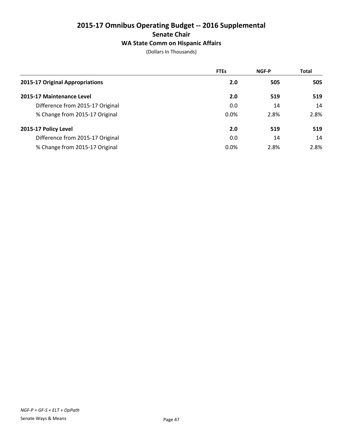## **2015-17 Omnibus Operating Budget -- 2016 Supplemental Senate Chair WA State Comm on Hispanic Affairs**

|                                  | <b>FTEs</b> | <b>NGF-P</b> | <b>Total</b> |
|----------------------------------|-------------|--------------|--------------|
| 2015-17 Original Appropriations  | 2.0         | 505          | 505          |
| 2015-17 Maintenance Level        | 2.0         | 519          | 519          |
| Difference from 2015-17 Original | 0.0         | 14           | 14           |
| % Change from 2015-17 Original   | 0.0%        | 2.8%         | 2.8%         |
| 2015-17 Policy Level             | 2.0         | 519          | 519          |
| Difference from 2015-17 Original | 0.0         | 14           | 14           |
| % Change from 2015-17 Original   | 0.0%        | 2.8%         | 2.8%         |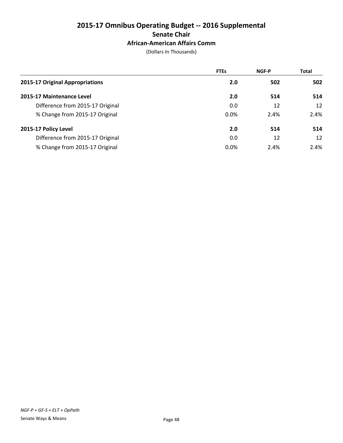## **2015-17 Omnibus Operating Budget -- 2016 Supplemental Senate Chair African-American Affairs Comm**

|                                  | <b>FTEs</b> | <b>NGF-P</b> | <b>Total</b> |
|----------------------------------|-------------|--------------|--------------|
| 2015-17 Original Appropriations  | 2.0         | 502          | 502          |
| 2015-17 Maintenance Level        | 2.0         | 514          | 514          |
| Difference from 2015-17 Original | 0.0         | 12           | 12           |
| % Change from 2015-17 Original   | 0.0%        | 2.4%         | 2.4%         |
| 2015-17 Policy Level             | 2.0         | 514          | 514          |
| Difference from 2015-17 Original | 0.0         | 12           | 12           |
| % Change from 2015-17 Original   | 0.0%        | 2.4%         | 2.4%         |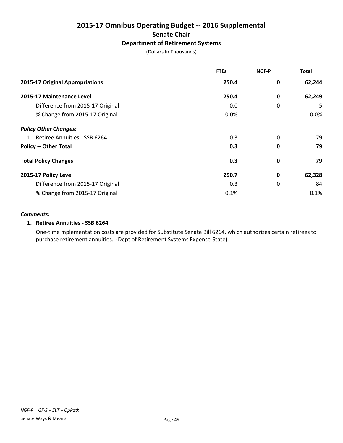## **2015-17 Omnibus Operating Budget -- 2016 Supplemental Senate Chair Department of Retirement Systems**

(Dollars In Thousands)

|                                  | <b>FTEs</b> | NGF-P       | <b>Total</b> |
|----------------------------------|-------------|-------------|--------------|
| 2015-17 Original Appropriations  | 250.4       | 0           | 62,244       |
| 2015-17 Maintenance Level        | 250.4       | 0           | 62,249       |
| Difference from 2015-17 Original | 0.0         | 0           | 5            |
| % Change from 2015-17 Original   | 0.0%        |             | 0.0%         |
| <b>Policy Other Changes:</b>     |             |             |              |
| 1. Retiree Annuities - SSB 6264  | 0.3         | 0           | 79           |
| <b>Policy -- Other Total</b>     | 0.3         | 0           | 79           |
| <b>Total Policy Changes</b>      | 0.3         | $\mathbf 0$ | 79           |
| 2015-17 Policy Level             | 250.7       | 0           | 62,328       |
| Difference from 2015-17 Original | 0.3         | 0           | 84           |
| % Change from 2015-17 Original   | 0.1%        |             | 0.1%         |

#### *Comments:*

#### **1. Retiree Annuities - SSB 6264**

One-time mplementation costs are provided for Substitute Senate Bill 6264, which authorizes certain retirees to purchase retirement annuities. (Dept of Retirement Systems Expense-State)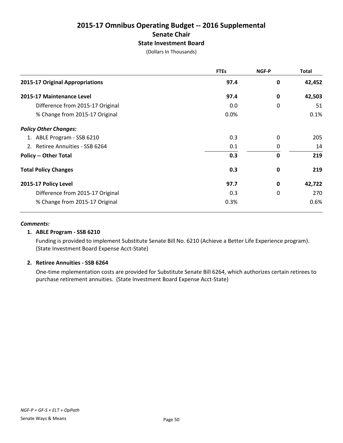## **2015-17 Omnibus Operating Budget -- 2016 Supplemental Senate Chair State Investment Board**

(Dollars In Thousands)

|                                  | <b>FTEs</b> | NGF-P       | Total  |
|----------------------------------|-------------|-------------|--------|
| 2015-17 Original Appropriations  | 97.4        | 0           | 42,452 |
| 2015-17 Maintenance Level        | 97.4        | 0           | 42,503 |
| Difference from 2015-17 Original | 0.0         | 0           | 51     |
| % Change from 2015-17 Original   | 0.0%        |             | 0.1%   |
| <b>Policy Other Changes:</b>     |             |             |        |
| 1. ABLE Program - SSB 6210       | 0.3         | 0           | 205    |
| 2. Retiree Annuities - SSB 6264  | 0.1         | 0           | 14     |
| <b>Policy -- Other Total</b>     | 0.3         | $\mathbf 0$ | 219    |
| <b>Total Policy Changes</b>      | 0.3         | 0           | 219    |
| 2015-17 Policy Level             | 97.7        | 0           | 42,722 |
| Difference from 2015-17 Original | 0.3         | 0           | 270    |
| % Change from 2015-17 Original   | 0.3%        |             | 0.6%   |

#### *Comments:*

#### **1. ABLE Program - SSB 6210**

Funding is provided to implement Substitute Senate Bill No. 6210 (Achieve a Better Life Experience program). (State Investment Board Expense Acct-State)

#### **2. Retiree Annuities - SSB 6264**

One-time mplementation costs are provided for Substitute Senate Bill 6264, which authorizes certain retirees to purchase retirement annuities. (State Investment Board Expense Acct-State)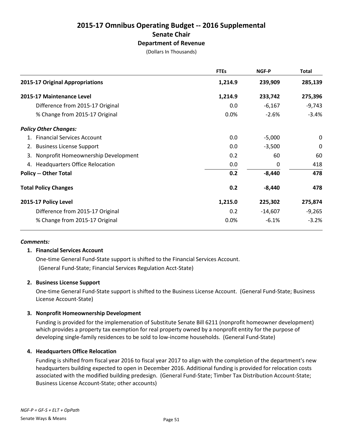## **2015-17 Omnibus Operating Budget -- 2016 Supplemental Senate Chair Department of Revenue**

(Dollars In Thousands)

|                                        | <b>FTEs</b> | <b>NGF-P</b> | Total       |
|----------------------------------------|-------------|--------------|-------------|
| 2015-17 Original Appropriations        | 1,214.9     | 239,909      | 285,139     |
| 2015-17 Maintenance Level              | 1,214.9     | 233,742      | 275,396     |
| Difference from 2015-17 Original       | 0.0         | $-6,167$     | $-9,743$    |
| % Change from 2015-17 Original         | 0.0%        | $-2.6%$      | $-3.4%$     |
| <b>Policy Other Changes:</b>           |             |              |             |
| <b>Financial Services Account</b>      | 0.0         | $-5,000$     | $\mathbf 0$ |
| 2. Business License Support            | 0.0         | $-3,500$     | $\pmb{0}$   |
| 3. Nonprofit Homeownership Development | 0.2         | 60           | 60          |
| 4. Headquarters Office Relocation      | 0.0         | 0            | 418         |
| <b>Policy -- Other Total</b>           | 0.2         | $-8,440$     | 478         |
| <b>Total Policy Changes</b>            | 0.2         | $-8,440$     | 478         |
| 2015-17 Policy Level                   | 1,215.0     | 225,302      | 275,874     |
| Difference from 2015-17 Original       | 0.2         | $-14,607$    | $-9,265$    |
| % Change from 2015-17 Original         | 0.0%        | $-6.1%$      | $-3.2%$     |

#### *Comments:*

#### **1. Financial Services Account**

One-time General Fund-State support is shifted to the Financial Services Account. (General Fund-State; Financial Services Regulation Acct-State)

#### **2. Business License Support**

One-time General Fund-State support is shifted to the Business License Account. (General Fund-State; Business License Account-State)

#### **3. Nonprofit Homeownership Development**

Funding is provided for the implemenation of Substitute Senate Bill 6211 (nonprofit homeowner development) which provides a property tax exemption for real property owned by a nonprofit entity for the purpose of developing single-family residences to be sold to low-income households. (General Fund-State)

#### **4. Headquarters Office Relocation**

Funding is shifted from fiscal year 2016 to fiscal year 2017 to align with the completion of the department's new headquarters building expected to open in December 2016. Additional funding is provided for relocation costs associated with the modified building predesign. (General Fund-State; Timber Tax Distribution Account-State; Business License Account-State; other accounts)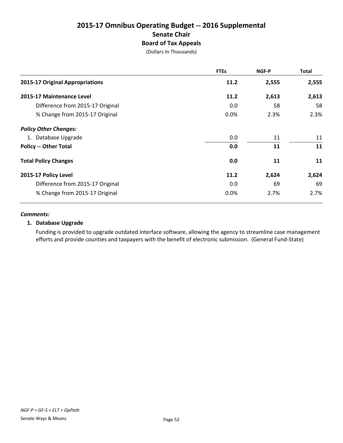## **2015-17 Omnibus Operating Budget -- 2016 Supplemental Senate Chair Board of Tax Appeals**

(Dollars In Thousands)

|                                  | <b>FTEs</b> | NGF-P | Total |
|----------------------------------|-------------|-------|-------|
| 2015-17 Original Appropriations  | 11.2        | 2,555 | 2,555 |
| 2015-17 Maintenance Level        | 11.2        | 2,613 | 2,613 |
| Difference from 2015-17 Original | 0.0         | 58    | 58    |
| % Change from 2015-17 Original   | 0.0%        | 2.3%  | 2.3%  |
| <b>Policy Other Changes:</b>     |             |       |       |
| 1. Database Upgrade              | 0.0         | 11    | 11    |
| <b>Policy -- Other Total</b>     | 0.0         | 11    | 11    |
| <b>Total Policy Changes</b>      | 0.0         | 11    | 11    |
| 2015-17 Policy Level             | 11.2        | 2,624 | 2,624 |
| Difference from 2015-17 Original | 0.0         | 69    | 69    |
| % Change from 2015-17 Original   | 0.0%        | 2.7%  | 2.7%  |

#### *Comments:*

#### **1. Database Upgrade**

Funding is provided to upgrade outdated interface software, allowing the agency to streamline case management efforts and provide counties and taxpayers with the benefit of electronic submission. (General Fund-State)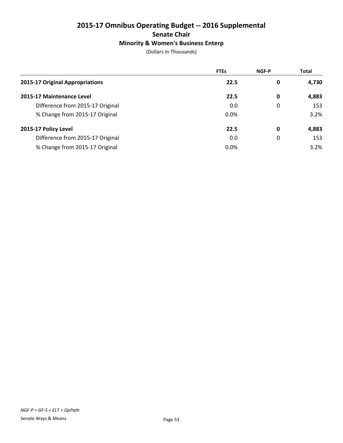## **2015-17 Omnibus Operating Budget -- 2016 Supplemental Senate Chair Minority & Women's Business Enterp**

|                                  | <b>FTEs</b> | NGF-P | <b>Total</b> |
|----------------------------------|-------------|-------|--------------|
| 2015-17 Original Appropriations  | 22.5        | 0     | 4,730        |
| 2015-17 Maintenance Level        | 22.5        | 0     | 4,883        |
| Difference from 2015-17 Original | 0.0         | 0     | 153          |
| % Change from 2015-17 Original   | 0.0%        |       | 3.2%         |
| 2015-17 Policy Level             | 22.5        | 0     | 4,883        |
| Difference from 2015-17 Original | 0.0         | 0     | 153          |
| % Change from 2015-17 Original   | 0.0%        |       | 3.2%         |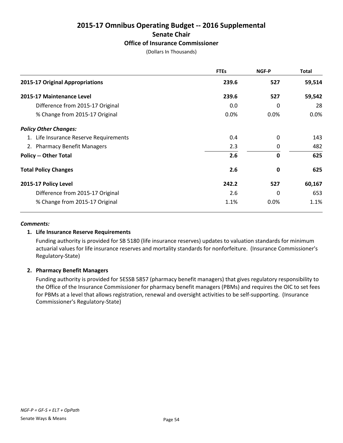# **2015-17 Omnibus Operating Budget -- 2016 Supplemental Senate Chair**

## **Office of Insurance Commissioner**

(Dollars In Thousands)

|                                        | <b>FTEs</b> | <b>NGF-P</b> | <b>Total</b> |
|----------------------------------------|-------------|--------------|--------------|
| 2015-17 Original Appropriations        | 239.6       | 527          | 59,514       |
| 2015-17 Maintenance Level              | 239.6       | 527          | 59,542       |
| Difference from 2015-17 Original       | 0.0         | 0            | 28           |
| % Change from 2015-17 Original         | 0.0%        | 0.0%         | 0.0%         |
| <b>Policy Other Changes:</b>           |             |              |              |
| 1. Life Insurance Reserve Requirements | 0.4         | $\Omega$     | 143          |
| 2. Pharmacy Benefit Managers           | 2.3         | 0            | 482          |
| <b>Policy -- Other Total</b>           | 2.6         | 0            | 625          |
| <b>Total Policy Changes</b>            | 2.6         | 0            | 625          |
| 2015-17 Policy Level                   | 242.2       | 527          | 60,167       |
| Difference from 2015-17 Original       | 2.6         | 0            | 653          |
| % Change from 2015-17 Original         | 1.1%        | 0.0%         | 1.1%         |

#### *Comments:*

#### **1. Life Insurance Reserve Requirements**

Funding authority is provided for SB 5180 (life insurance reserves) updates to valuation standards for minimum actuarial values for life insurance reserves and mortality standards for nonforfeiture. (Insurance Commissioner's Regulatory-State)

#### **2. Pharmacy Benefit Managers**

Funding authority is provided for 5ESSB 5857 (pharmacy benefit managers) that gives regulatory responsibility to the Office of the Insurance Commissioner for pharmacy benefit managers (PBMs) and requires the OIC to set fees for PBMs at a level that allows registration, renewal and oversight activities to be self-supporting. (Insurance Commissioner's Regulatory-State)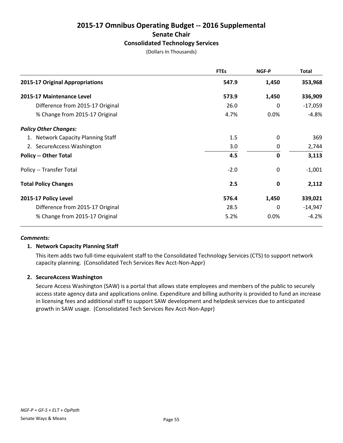## **2015-17 Omnibus Operating Budget -- 2016 Supplemental Senate Chair Consolidated Technology Services**

(Dollars In Thousands)

|                                    | <b>FTEs</b> | NGF-P    | <b>Total</b> |
|------------------------------------|-------------|----------|--------------|
| 2015-17 Original Appropriations    | 547.9       | 1,450    | 353,968      |
| 2015-17 Maintenance Level          | 573.9       | 1,450    | 336,909      |
| Difference from 2015-17 Original   | 26.0        | 0        | $-17,059$    |
| % Change from 2015-17 Original     | 4.7%        | $0.0\%$  | $-4.8%$      |
| <b>Policy Other Changes:</b>       |             |          |              |
| 1. Network Capacity Planning Staff | 1.5         | 0        | 369          |
| 2. SecureAccess Washington         | 3.0         | 0        | 2,744        |
| <b>Policy -- Other Total</b>       | 4.5         | 0        | 3,113        |
| Policy -- Transfer Total           | $-2.0$      | 0        | $-1,001$     |
| <b>Total Policy Changes</b>        | 2.5         | 0        | 2,112        |
| 2015-17 Policy Level               | 576.4       | 1,450    | 339,021      |
| Difference from 2015-17 Original   | 28.5        | $\Omega$ | $-14,947$    |
| % Change from 2015-17 Original     | 5.2%        | 0.0%     | $-4.2%$      |

#### *Comments:*

#### **1. Network Capacity Planning Staff**

This item adds two full-time equivalent staff to the Consolidated Technology Services (CTS) to support network capacity planning. (Consolidated Tech Services Rev Acct-Non-Appr)

#### **2. SecureAccess Washington**

Secure Access Washington (SAW) is a portal that allows state employees and members of the public to securely access state agency data and applications online. Expenditure and billing authority is provided to fund an increase in licensing fees and additional staff to support SAW development and helpdesk services due to anticipated growth in SAW usage. (Consolidated Tech Services Rev Acct-Non-Appr)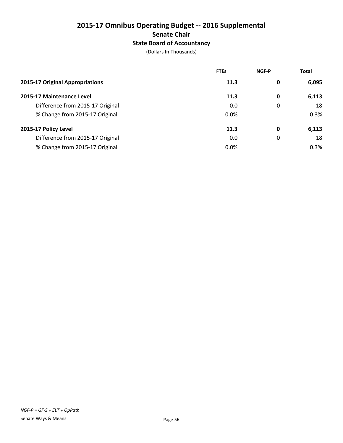## **2015-17 Omnibus Operating Budget -- 2016 Supplemental Senate Chair State Board of Accountancy**

|                                  | <b>FTEs</b> | <b>NGF-P</b> | <b>Total</b> |
|----------------------------------|-------------|--------------|--------------|
| 2015-17 Original Appropriations  | 11.3        | 0            | 6,095        |
| 2015-17 Maintenance Level        | 11.3        | 0            | 6,113        |
| Difference from 2015-17 Original | 0.0         | 0            | 18           |
| % Change from 2015-17 Original   | $0.0\%$     |              | 0.3%         |
| 2015-17 Policy Level             | 11.3        | 0            | 6,113        |
| Difference from 2015-17 Original | 0.0         | 0            | 18           |
| % Change from 2015-17 Original   | 0.0%        |              | 0.3%         |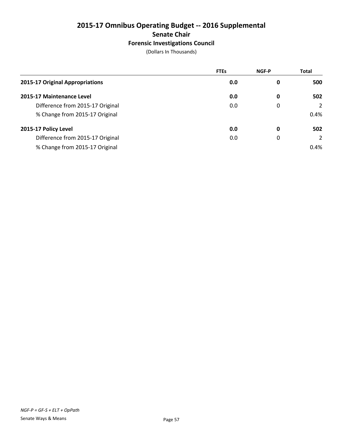## **2015-17 Omnibus Operating Budget -- 2016 Supplemental Senate Chair Forensic Investigations Council**

|                                  | <b>FTEs</b> | <b>NGF-P</b> | <b>Total</b> |
|----------------------------------|-------------|--------------|--------------|
| 2015-17 Original Appropriations  | 0.0         | 0            | 500          |
| 2015-17 Maintenance Level        | 0.0         | 0            | 502          |
| Difference from 2015-17 Original | 0.0         | 0            | 2            |
| % Change from 2015-17 Original   |             |              | 0.4%         |
| 2015-17 Policy Level             | 0.0         | 0            | 502          |
| Difference from 2015-17 Original | 0.0         | 0            | 2            |
| % Change from 2015-17 Original   |             |              | 0.4%         |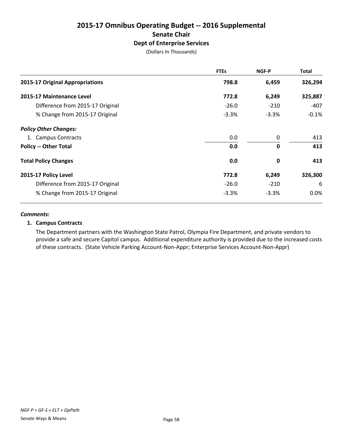## **2015-17 Omnibus Operating Budget -- 2016 Supplemental Senate Chair Dept of Enterprise Services**

(Dollars In Thousands)

|                                  | <b>FTEs</b> | NGF-P       | Total   |
|----------------------------------|-------------|-------------|---------|
| 2015-17 Original Appropriations  | 798.8       | 6,459       | 326,294 |
| 2015-17 Maintenance Level        | 772.8       | 6,249       | 325,887 |
| Difference from 2015-17 Original | $-26.0$     | $-210$      | -407    |
| % Change from 2015-17 Original   | $-3.3%$     | $-3.3%$     | $-0.1%$ |
| <b>Policy Other Changes:</b>     |             |             |         |
| 1. Campus Contracts              | 0.0         | 0           | 413     |
| <b>Policy -- Other Total</b>     | 0.0         | $\mathbf 0$ | 413     |
| <b>Total Policy Changes</b>      | 0.0         | 0           | 413     |
| 2015-17 Policy Level             | 772.8       | 6,249       | 326,300 |
| Difference from 2015-17 Original | $-26.0$     | $-210$      | 6       |
| % Change from 2015-17 Original   | $-3.3%$     | $-3.3%$     | 0.0%    |

#### *Comments:*

#### **1. Campus Contracts**

The Department partners with the Washington State Patrol, Olympia Fire Department, and private vendors to provide a safe and secure Capitol campus. Additional expenditure authority is provided due to the increased costs of these contracts. (State Vehicle Parking Account-Non-Appr; Enterprise Services Account-Non-Appr)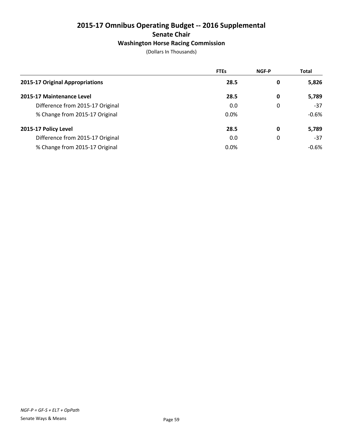## **2015-17 Omnibus Operating Budget -- 2016 Supplemental Senate Chair Washington Horse Racing Commission**

|                                  | <b>FTEs</b> | <b>NGF-P</b> | <b>Total</b> |
|----------------------------------|-------------|--------------|--------------|
| 2015-17 Original Appropriations  | 28.5        | 0            | 5,826        |
| 2015-17 Maintenance Level        | 28.5        | 0            | 5,789        |
| Difference from 2015-17 Original | 0.0         | 0            | $-37$        |
| % Change from 2015-17 Original   | $0.0\%$     |              | $-0.6%$      |
| 2015-17 Policy Level             | 28.5        | 0            | 5,789        |
| Difference from 2015-17 Original | 0.0         | 0            | $-37$        |
| % Change from 2015-17 Original   | 0.0%        |              | $-0.6%$      |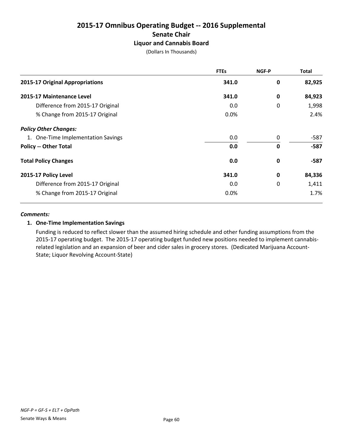## **2015-17 Omnibus Operating Budget -- 2016 Supplemental Senate Chair Liquor and Cannabis Board**

(Dollars In Thousands)

|                                    | <b>FTEs</b> | NGF-P | <b>Total</b> |
|------------------------------------|-------------|-------|--------------|
| 2015-17 Original Appropriations    | 341.0       | 0     | 82,925       |
| 2015-17 Maintenance Level          | 341.0       | 0     | 84,923       |
| Difference from 2015-17 Original   | 0.0         | 0     | 1,998        |
| % Change from 2015-17 Original     | $0.0\%$     |       | 2.4%         |
| <b>Policy Other Changes:</b>       |             |       |              |
| 1. One-Time Implementation Savings | 0.0         | 0     | -587         |
| <b>Policy -- Other Total</b>       | 0.0         | 0     | $-587$       |
| <b>Total Policy Changes</b>        | 0.0         | 0     | -587         |
| 2015-17 Policy Level               | 341.0       | 0     | 84,336       |
| Difference from 2015-17 Original   | 0.0         | 0     | 1,411        |
| % Change from 2015-17 Original     | 0.0%        |       | 1.7%         |

#### *Comments:*

#### **1. One-Time Implementation Savings**

Funding is reduced to reflect slower than the assumed hiring schedule and other funding assumptions from the 2015-17 operating budget. The 2015-17 operating budget funded new positions needed to implement cannabisrelated legislation and an expansion of beer and cider sales in grocery stores. (Dedicated Marijuana Account-State; Liquor Revolving Account-State)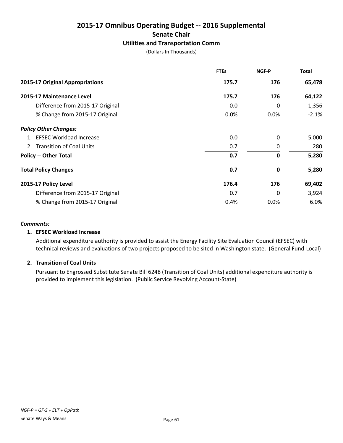## **2015-17 Omnibus Operating Budget -- 2016 Supplemental Senate Chair Utilities and Transportation Comm**

(Dollars In Thousands)

|                                  | <b>FTEs</b> | NGF-P    | <b>Total</b> |
|----------------------------------|-------------|----------|--------------|
| 2015-17 Original Appropriations  | 175.7       | 176      | 65,478       |
| 2015-17 Maintenance Level        | 175.7       | 176      | 64,122       |
| Difference from 2015-17 Original | 0.0         | $\Omega$ | $-1,356$     |
| % Change from 2015-17 Original   | 0.0%        | 0.0%     | $-2.1%$      |
| <b>Policy Other Changes:</b>     |             |          |              |
| 1. EFSEC Workload Increase       | 0.0         | $\Omega$ | 5,000        |
| 2. Transition of Coal Units      | 0.7         | 0        | 280          |
| <b>Policy -- Other Total</b>     | 0.7         | 0        | 5,280        |
| <b>Total Policy Changes</b>      | 0.7         | 0        | 5,280        |
| 2015-17 Policy Level             | 176.4       | 176      | 69,402       |
| Difference from 2015-17 Original | 0.7         | 0        | 3,924        |
| % Change from 2015-17 Original   | 0.4%        | 0.0%     | 6.0%         |

#### *Comments:*

#### **1. EFSEC Workload Increase**

Additional expenditure authority is provided to assist the Energy Facility Site Evaluation Council (EFSEC) with technical reviews and evaluations of two projects proposed to be sited in Washington state. (General Fund-Local)

#### **2. Transition of Coal Units**

Pursuant to Engrossed Substitute Senate Bill 6248 (Transition of Coal Units) additional expenditure authority is provided to implement this legislation. (Public Service Revolving Account-State)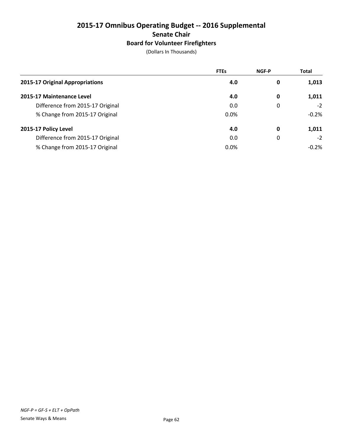## **2015-17 Omnibus Operating Budget -- 2016 Supplemental Senate Chair Board for Volunteer Firefighters**

|                                  | <b>FTEs</b> | <b>NGF-P</b> | <b>Total</b> |
|----------------------------------|-------------|--------------|--------------|
| 2015-17 Original Appropriations  | 4.0         | 0            | 1,013        |
| 2015-17 Maintenance Level        | 4.0         | 0            | 1,011        |
| Difference from 2015-17 Original | 0.0         | 0            | $-2$         |
| % Change from 2015-17 Original   | 0.0%        |              | $-0.2%$      |
| 2015-17 Policy Level             | 4.0         | 0            | 1,011        |
| Difference from 2015-17 Original | 0.0         | 0            | $-2$         |
| % Change from 2015-17 Original   | 0.0%        |              | $-0.2%$      |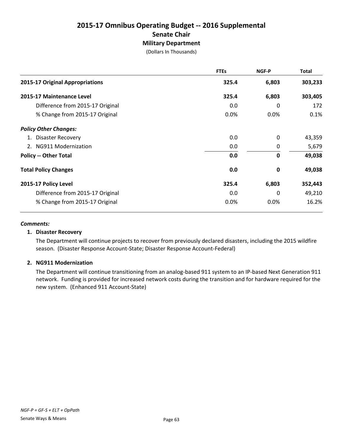## **2015-17 Omnibus Operating Budget -- 2016 Supplemental Senate Chair Military Department**

(Dollars In Thousands)

|                                  | <b>FTEs</b> | NGF-P       | Total   |
|----------------------------------|-------------|-------------|---------|
| 2015-17 Original Appropriations  | 325.4       | 6,803       | 303,233 |
| 2015-17 Maintenance Level        | 325.4       | 6,803       | 303,405 |
| Difference from 2015-17 Original | 0.0         | 0           | 172     |
| % Change from 2015-17 Original   | 0.0%        | 0.0%        | 0.1%    |
| <b>Policy Other Changes:</b>     |             |             |         |
| 1. Disaster Recovery             | 0.0         | 0           | 43,359  |
| 2. NG911 Modernization           | 0.0         | 0           | 5,679   |
| <b>Policy -- Other Total</b>     | 0.0         | $\mathbf 0$ | 49,038  |
| <b>Total Policy Changes</b>      | 0.0         | 0           | 49,038  |
| 2015-17 Policy Level             | 325.4       | 6,803       | 352,443 |
| Difference from 2015-17 Original | 0.0         | 0           | 49,210  |
| % Change from 2015-17 Original   | 0.0%        | 0.0%        | 16.2%   |

#### *Comments:*

#### **1. Disaster Recovery**

The Department will continue projects to recover from previously declared disasters, including the 2015 wildfire season. (Disaster Response Account-State; Disaster Response Account-Federal)

#### **2. NG911 Modernization**

The Department will continue transitioning from an analog-based 911 system to an IP-based Next Generation 911 network. Funding is provided for increased network costs during the transition and for hardware required for the new system. (Enhanced 911 Account-State)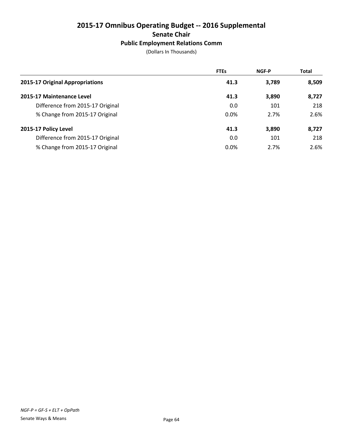## **2015-17 Omnibus Operating Budget -- 2016 Supplemental Senate Chair Public Employment Relations Comm**

|                                  | <b>FTEs</b> | <b>NGF-P</b> | <b>Total</b> |
|----------------------------------|-------------|--------------|--------------|
| 2015-17 Original Appropriations  | 41.3        | 3,789        | 8,509        |
| 2015-17 Maintenance Level        | 41.3        | 3,890        | 8,727        |
| Difference from 2015-17 Original | 0.0         | 101          | 218          |
| % Change from 2015-17 Original   | 0.0%        | 2.7%         | 2.6%         |
| 2015-17 Policy Level             | 41.3        | 3,890        | 8,727        |
| Difference from 2015-17 Original | 0.0         | 101          | 218          |
| % Change from 2015-17 Original   | 0.0%        | 2.7%         | 2.6%         |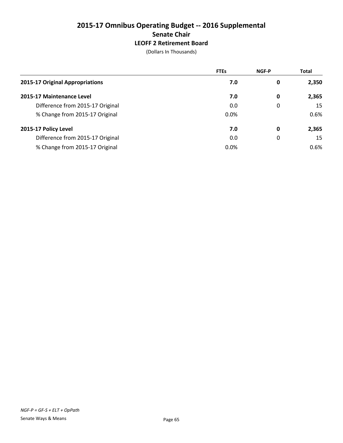## **2015-17 Omnibus Operating Budget -- 2016 Supplemental Senate Chair LEOFF 2 Retirement Board**

|                                  | <b>FTEs</b> | <b>NGF-P</b> | <b>Total</b> |
|----------------------------------|-------------|--------------|--------------|
| 2015-17 Original Appropriations  | 7.0         | 0            | 2,350        |
| 2015-17 Maintenance Level        | 7.0         | 0            | 2,365        |
| Difference from 2015-17 Original | 0.0         | 0            | 15           |
| % Change from 2015-17 Original   | 0.0%        |              | 0.6%         |
| 2015-17 Policy Level             | 7.0         | 0            | 2,365        |
| Difference from 2015-17 Original | 0.0         | 0            | 15           |
| % Change from 2015-17 Original   | 0.0%        |              | 0.6%         |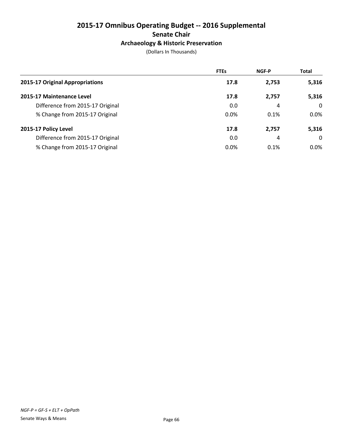## **2015-17 Omnibus Operating Budget -- 2016 Supplemental Senate Chair Archaeology & Historic Preservation**

|                                  | <b>FTEs</b> | <b>NGF-P</b> | <b>Total</b> |
|----------------------------------|-------------|--------------|--------------|
| 2015-17 Original Appropriations  | 17.8        | 2,753        | 5,316        |
| 2015-17 Maintenance Level        | 17.8        | 2,757        | 5,316        |
| Difference from 2015-17 Original | 0.0         | 4            | $\Omega$     |
| % Change from 2015-17 Original   | 0.0%        | 0.1%         | $0.0\%$      |
| 2015-17 Policy Level             | 17.8        | 2,757        | 5,316        |
| Difference from 2015-17 Original | 0.0         | 4            | $\Omega$     |
| % Change from 2015-17 Original   | 0.0%        | 0.1%         | $0.0\%$      |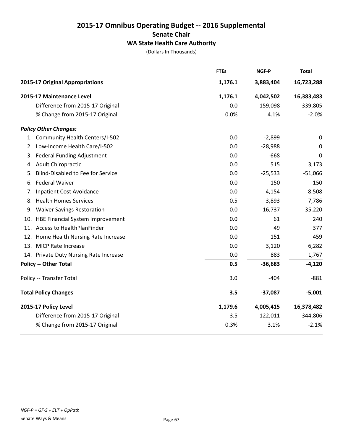## **2015-17 Omnibus Operating Budget -- 2016 Supplemental Senate Chair WA State Health Care Authority**

|    |                                          | <b>FTEs</b> | <b>NGF-P</b> | <b>Total</b> |
|----|------------------------------------------|-------------|--------------|--------------|
|    | 2015-17 Original Appropriations          | 1,176.1     | 3,883,404    | 16,723,288   |
|    | 2015-17 Maintenance Level                | 1,176.1     | 4,042,502    | 16,383,483   |
|    | Difference from 2015-17 Original         | 0.0         | 159,098      | $-339,805$   |
|    | % Change from 2015-17 Original           | 0.0%        | 4.1%         | $-2.0%$      |
|    | <b>Policy Other Changes:</b>             |             |              |              |
|    | 1. Community Health Centers/I-502        | 0.0         | $-2,899$     | $\mathbf 0$  |
|    | 2. Low-Income Health Care/I-502          | 0.0         | $-28,988$    | $\pmb{0}$    |
|    | 3. Federal Funding Adjustment            | 0.0         | $-668$       | 0            |
|    | 4. Adult Chiropractic                    | 0.0         | 515          | 3,173        |
| 5. | <b>Blind-Disabled to Fee for Service</b> | 0.0         | $-25,533$    | $-51,066$    |
| 6. | <b>Federal Waiver</b>                    | 0.0         | 150          | 150          |
| 7. | <b>Inpatient Cost Avoidance</b>          | 0.0         | $-4,154$     | $-8,508$     |
|    | 8. Health Homes Services                 | 0.5         | 3,893        | 7,786        |
|    | 9. Waiver Savings Restoration            | 0.0         | 16,737       | 35,220       |
|    | 10. HBE Financial System Improvement     | 0.0         | 61           | 240          |
|    | 11. Access to HealthPlanFinder           | 0.0         | 49           | 377          |
|    | 12. Home Health Nursing Rate Increase    | 0.0         | 151          | 459          |
|    | 13. MICP Rate Increase                   | 0.0         | 3,120        | 6,282        |
|    | 14. Private Duty Nursing Rate Increase   | 0.0         | 883          | 1,767        |
|    | <b>Policy -- Other Total</b>             | 0.5         | $-36,683$    | $-4,120$     |
|    | Policy -- Transfer Total                 | 3.0         | $-404$       | $-881$       |
|    | <b>Total Policy Changes</b>              | 3.5         | $-37,087$    | $-5,001$     |
|    | 2015-17 Policy Level                     | 1,179.6     | 4,005,415    | 16,378,482   |
|    | Difference from 2015-17 Original         | 3.5         | 122,011      | $-344,806$   |
|    | % Change from 2015-17 Original           | 0.3%        | 3.1%         | $-2.1%$      |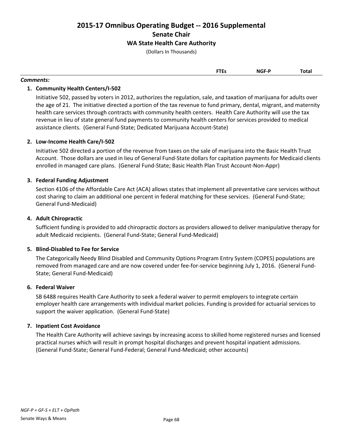**2015-17 Omnibus Operating Budget -- 2016 Supplemental Senate Chair WA State Health Care Authority**

(Dollars In Thousands)

| <b>FTEs</b> | <b>NGF-P</b> | Total |
|-------------|--------------|-------|
|             |              |       |

#### *Comments:*

# **1. Community Health Centers/I-502**

Initiative 502, passed by voters in 2012, authorizes the regulation, sale, and taxation of marijuana for adults over the age of 21. The initiative directed a portion of the tax revenue to fund primary, dental, migrant, and maternity health care services through contracts with community health centers. Health Care Authority will use the tax revenue in lieu of state general fund payments to community health centers for services provided to medical assistance clients. (General Fund-State; Dedicated Marijuana Account-State)

# **2. Low-Income Health Care/I-502**

Initiative 502 directed a portion of the revenue from taxes on the sale of marijuana into the Basic Health Trust Account. Those dollars are used in lieu of General Fund-State dollars for capitation payments for Medicaid clients enrolled in managed care plans. (General Fund-State; Basic Health Plan Trust Account-Non-Appr)

# **3. Federal Funding Adjustment**

Section 4106 of the Affordable Care Act (ACA) allows states that implement all preventative care services without cost sharing to claim an additional one percent in federal matching for these services. (General Fund-State; General Fund-Medicaid)

# **4. Adult Chiropractic**

Sufficient funding is provided to add chiropractic doctors as providers allowed to deliver manipulative therapy for adult Medicaid recipients. (General Fund-State; General Fund-Medicaid)

# **5. Blind-Disabled to Fee for Service**

The Categorically Needy Blind Disabled and Community Options Program Entry System (COPES) populations are removed from managed care and are now covered under fee-for-service beginning July 1, 2016. (General Fund-State; General Fund-Medicaid)

# **6. Federal Waiver**

SB 6488 requires Health Care Authority to seek a federal waiver to permit employers to integrate certain employer health care arrangements with individual market policies. Funding is provided for actuarial services to support the waiver application. (General Fund-State)

# **7. Inpatient Cost Avoidance**

The Health Care Authority will achieve savings by increasing access to skilled home registered nurses and licensed practical nurses which will result in prompt hospital discharges and prevent hospital inpatient admissions. (General Fund-State; General Fund-Federal; General Fund-Medicaid; other accounts)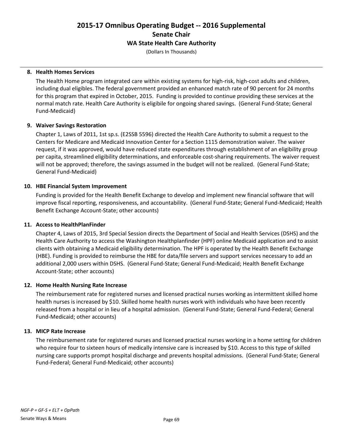# **2015-17 Omnibus Operating Budget -- 2016 Supplemental Senate Chair WA State Health Care Authority**

(Dollars In Thousands)

# **8. Health Homes Services**

The Health Home program integrated care within existing systems for high-risk, high-cost adults and children, including dual eligibles. The federal government provided an enhanced match rate of 90 percent for 24 months for this program that expired in October, 2015. Funding is provided to continue providing these services at the normal match rate. Health Care Authority is eligibile for ongoing shared savings. (General Fund-State; General Fund-Medicaid)

# **9. Waiver Savings Restoration**

Chapter 1, Laws of 2011, 1st sp.s. (E2SSB 5596) directed the Health Care Authority to submit a request to the Centers for Medicare and Medicaid Innovation Center for a Section 1115 demonstration waiver. The waiver request, if it was approved, would have reduced state expenditures through establishment of an eligibility group per capita, streamlined eligibility determinations, and enforceable cost-sharing requirements. The waiver request will not be approved; therefore, the savings assumed in the budget will not be realized. (General Fund-State; General Fund-Medicaid)

# **10. HBE Financial System Improvement**

Funding is provided for the Health Benefit Exchange to develop and implement new financial software that will improve fiscal reporting, responsiveness, and accountability. (General Fund-State; General Fund-Medicaid; Health Benefit Exchange Account-State; other accounts)

# **11. Access to HealthPlanFinder**

Chapter 4, Laws of 2015, 3rd Special Session directs the Department of Social and Health Services (DSHS) and the Health Care Authority to access the Washington Healthplanfinder (HPF) online Medicaid application and to assist clients with obtaining a Medicaid eligibility determination. The HPF is operated by the Health Benefit Exchange (HBE). Funding is provided to reimburse the HBE for data/file servers and support services necessary to add an additional 2,000 users within DSHS. (General Fund-State; General Fund-Medicaid; Health Benefit Exchange Account-State; other accounts)

# **12. Home Health Nursing Rate Increase**

The reimbursement rate for registered nurses and licensed practical nurses working as intermittent skilled home health nurses is increased by \$10. Skilled home health nurses work with individuals who have been recently released from a hospital or in lieu of a hospital admission. (General Fund-State; General Fund-Federal; General Fund-Medicaid; other accounts)

# **13. MICP Rate Increase**

The reimbursement rate for registered nurses and licensed practical nurses working in a home setting for children who require four to sixteen hours of medically intensive care is increased by \$10. Access to this type of skilled nursing care supports prompt hospital discharge and prevents hospital admissions. (General Fund-State; General Fund-Federal; General Fund-Medicaid; other accounts)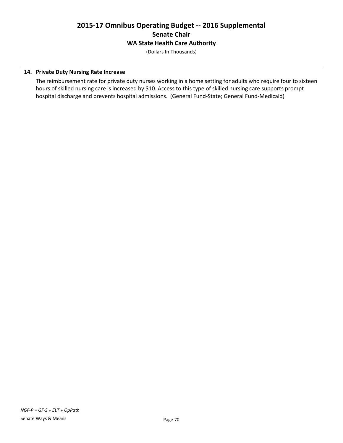# **2015-17 Omnibus Operating Budget -- 2016 Supplemental Senate Chair WA State Health Care Authority**

(Dollars In Thousands)

# **14. Private Duty Nursing Rate Increase**

The reimbursement rate for private duty nurses working in a home setting for adults who require four to sixteen hours of skilled nursing care is increased by \$10. Access to this type of skilled nursing care supports prompt hospital discharge and prevents hospital admissions. (General Fund-State; General Fund-Medicaid)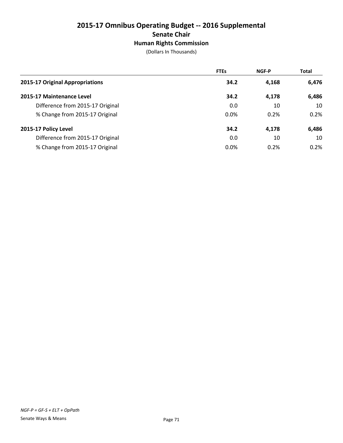# **2015-17 Omnibus Operating Budget -- 2016 Supplemental Senate Chair Human Rights Commission**

(Dollars In Thousands)

|                                  | <b>FTEs</b> | <b>NGF-P</b> | <b>Total</b> |
|----------------------------------|-------------|--------------|--------------|
| 2015-17 Original Appropriations  | 34.2        | 4,168        | 6,476        |
| 2015-17 Maintenance Level        | 34.2        | 4,178        | 6,486        |
| Difference from 2015-17 Original | 0.0         | 10           | 10           |
| % Change from 2015-17 Original   | 0.0%        | 0.2%         | 0.2%         |
| 2015-17 Policy Level             | 34.2        | 4,178        | 6,486        |
| Difference from 2015-17 Original | 0.0         | 10           | 10           |
| % Change from 2015-17 Original   | 0.0%        | 0.2%         | 0.2%         |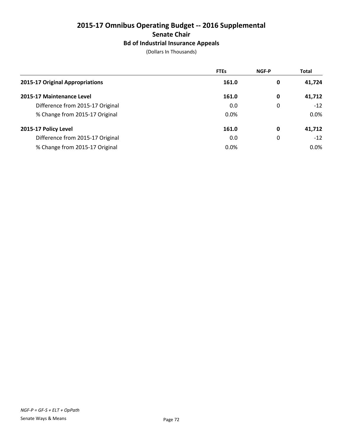# **2015-17 Omnibus Operating Budget -- 2016 Supplemental Senate Chair Bd of Industrial Insurance Appeals**

(Dollars In Thousands)

|                                  | <b>FTEs</b> | <b>NGF-P</b> | <b>Total</b> |
|----------------------------------|-------------|--------------|--------------|
| 2015-17 Original Appropriations  | 161.0       | 0            | 41,724       |
| 2015-17 Maintenance Level        | 161.0       | 0            | 41,712       |
| Difference from 2015-17 Original | 0.0         | 0            | $-12$        |
| % Change from 2015-17 Original   | 0.0%        |              | $0.0\%$      |
| 2015-17 Policy Level             | 161.0       | 0            | 41,712       |
| Difference from 2015-17 Original | 0.0         | 0            | $-12$        |
| % Change from 2015-17 Original   | $0.0\%$     |              | $0.0\%$      |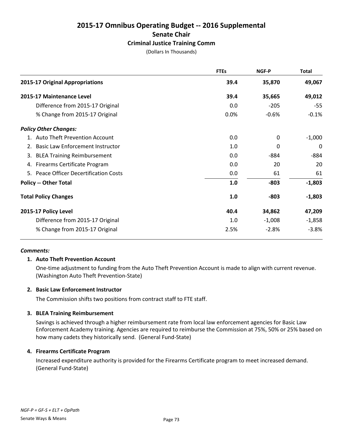# **2015-17 Omnibus Operating Budget -- 2016 Supplemental Senate Chair Criminal Justice Training Comm**

(Dollars In Thousands)

|                                                  | <b>FTEs</b> | NGF-P    | <b>Total</b> |
|--------------------------------------------------|-------------|----------|--------------|
| 2015-17 Original Appropriations                  | 39.4        | 35,870   | 49,067       |
| 2015-17 Maintenance Level                        | 39.4        | 35,665   | 49,012       |
| Difference from 2015-17 Original                 | 0.0         | $-205$   | $-55$        |
| % Change from 2015-17 Original                   | 0.0%        | $-0.6%$  | $-0.1%$      |
| <b>Policy Other Changes:</b>                     |             |          |              |
| 1. Auto Theft Prevention Account                 | 0.0         | $\Omega$ | $-1,000$     |
| <b>Basic Law Enforcement Instructor</b><br>2.    | 1.0         | 0        | 0            |
| <b>BLEA Training Reimbursement</b><br>3.         | 0.0         | $-884$   | $-884$       |
| 4. Firearms Certificate Program                  | 0.0         | 20       | 20           |
| <b>Peace Officer Decertification Costs</b><br>5. | 0.0         | 61       | 61           |
| <b>Policy -- Other Total</b>                     | 1.0         | $-803$   | $-1,803$     |
| <b>Total Policy Changes</b>                      | 1.0         | $-803$   | $-1,803$     |
| 2015-17 Policy Level                             | 40.4        | 34,862   | 47,209       |
| Difference from 2015-17 Original                 | 1.0         | $-1,008$ | $-1,858$     |
| % Change from 2015-17 Original                   | 2.5%        | $-2.8%$  | $-3.8%$      |

#### *Comments:*

# **1. Auto Theft Prevention Account**

One-time adjustment to funding from the Auto Theft Prevention Account is made to align with current revenue. (Washington Auto Theft Prevention-State)

# **2. Basic Law Enforcement Instructor**

The Commission shifts two positions from contract staff to FTE staff.

# **3. BLEA Training Reimbursement**

Savings is achieved through a higher reimbursement rate from local law enforcement agencies for Basic Law Enforcement Academy training. Agencies are required to reimburse the Commission at 75%, 50% or 25% based on how many cadets they historically send. (General Fund-State)

# **4. Firearms Certificate Program**

Increased expenditure authority is provided for the Firearms Certificate program to meet increased demand. (General Fund-State)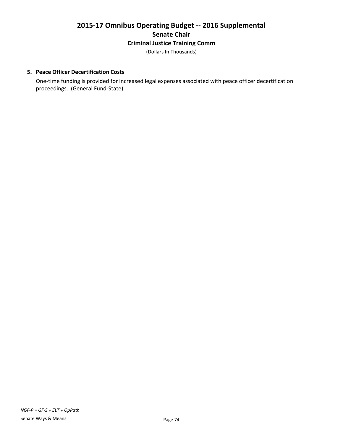# **2015-17 Omnibus Operating Budget -- 2016 Supplemental Senate Chair Criminal Justice Training Comm**

(Dollars In Thousands)

# **5. Peace Officer Decertification Costs**

One-time funding is provided for increased legal expenses associated with peace officer decertification proceedings. (General Fund-State)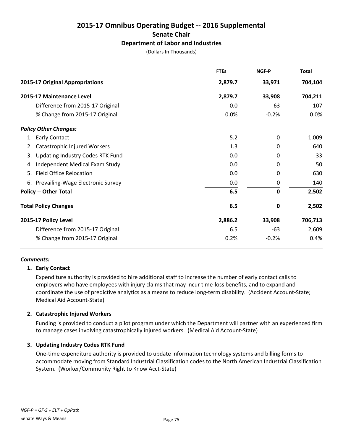# **2015-17 Omnibus Operating Budget -- 2016 Supplemental Senate Chair Department of Labor and Industries**

(Dollars In Thousands)

|                                               | <b>FTEs</b> | <b>NGF-P</b> | <b>Total</b> |
|-----------------------------------------------|-------------|--------------|--------------|
| 2015-17 Original Appropriations               | 2,879.7     | 33,971       | 704,104      |
| 2015-17 Maintenance Level                     | 2,879.7     | 33,908       | 704,211      |
| Difference from 2015-17 Original              | 0.0         | -63          | 107          |
| % Change from 2015-17 Original                | 0.0%        | $-0.2%$      | 0.0%         |
| <b>Policy Other Changes:</b>                  |             |              |              |
| 1. Early Contact                              | 5.2         | 0            | 1,009        |
| Catastrophic Injured Workers<br>2.            | 1.3         | 0            | 640          |
| <b>Updating Industry Codes RTK Fund</b><br>3. | 0.0         | 0            | 33           |
| Independent Medical Exam Study<br>4.          | 0.0         | 0            | 50           |
| <b>Field Office Relocation</b><br>5.          | 0.0         | 0            | 630          |
| 6. Prevailing-Wage Electronic Survey          | 0.0         | 0            | 140          |
| <b>Policy -- Other Total</b>                  | 6.5         | $\mathbf 0$  | 2,502        |
| <b>Total Policy Changes</b>                   | 6.5         | $\mathbf 0$  | 2,502        |
| 2015-17 Policy Level                          | 2,886.2     | 33,908       | 706,713      |
| Difference from 2015-17 Original              | 6.5         | $-63$        | 2,609        |
| % Change from 2015-17 Original                | 0.2%        | $-0.2%$      | 0.4%         |
|                                               |             |              |              |

# *Comments:*

# **1. Early Contact**

Expenditure authority is provided to hire additional staff to increase the number of early contact calls to employers who have employees with injury claims that may incur time-loss benefits, and to expand and coordinate the use of predictive analytics as a means to reduce long-term disability. (Accident Account-State; Medical Aid Account-State)

# **2. Catastrophic Injured Workers**

Funding is provided to conduct a pilot program under which the Department will partner with an experienced firm to manage cases involving catastrophically injured workers. (Medical Aid Account-State)

# **3. Updating Industry Codes RTK Fund**

One-time expenditure authority is provided to update information technology systems and billing forms to accommodate moving from Standard Industrial Classification codes to the North American Industrial Classification System. (Worker/Community Right to Know Acct-State)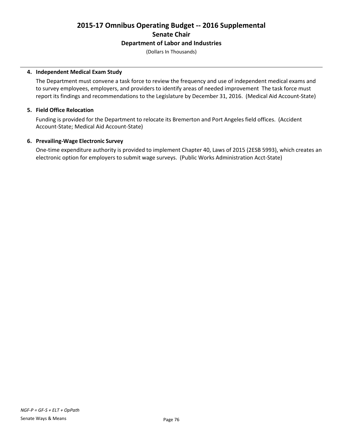# **2015-17 Omnibus Operating Budget -- 2016 Supplemental Senate Chair Department of Labor and Industries**

(Dollars In Thousands)

#### **4. Independent Medical Exam Study**

The Department must convene a task force to review the frequency and use of independent medical exams and to survey employees, employers, and providers to identify areas of needed improvement The task force must report its findings and recommendations to the Legislature by December 31, 2016. (Medical Aid Account-State)

#### **5. Field Office Relocation**

Funding is provided for the Department to relocate its Bremerton and Port Angeles field offices. (Accident Account-State; Medical Aid Account-State)

#### **6. Prevailing-Wage Electronic Survey**

One-time expenditure authority is provided to implement Chapter 40, Laws of 2015 (2ESB 5993), which creates an electronic option for employers to submit wage surveys. (Public Works Administration Acct-State)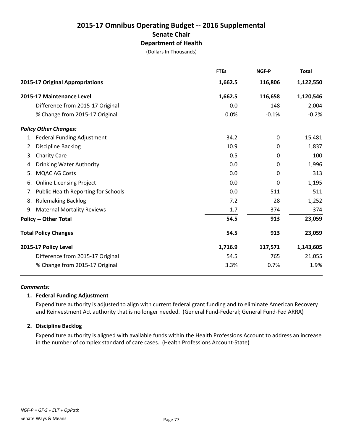# **2015-17 Omnibus Operating Budget -- 2016 Supplemental Senate Chair Department of Health**

(Dollars In Thousands)

|                                                  | <b>FTEs</b> | NGF-P   | <b>Total</b> |
|--------------------------------------------------|-------------|---------|--------------|
| 2015-17 Original Appropriations                  | 1,662.5     | 116,806 | 1,122,550    |
| 2015-17 Maintenance Level                        | 1,662.5     | 116,658 | 1,120,546    |
| Difference from 2015-17 Original                 | 0.0         | $-148$  | $-2,004$     |
| % Change from 2015-17 Original                   | 0.0%        | $-0.1%$ | $-0.2%$      |
| <b>Policy Other Changes:</b>                     |             |         |              |
| 1. Federal Funding Adjustment                    | 34.2        | 0       | 15,481       |
| <b>Discipline Backlog</b><br>2.                  | 10.9        | 0       | 1,837        |
| <b>Charity Care</b><br>3.                        | 0.5         | 0       | 100          |
| <b>Drinking Water Authority</b><br>4.            | 0.0         | 0       | 1,996        |
| <b>MQAC AG Costs</b><br>5.                       | 0.0         | 0       | 313          |
| <b>Online Licensing Project</b><br>6.            | 0.0         | 0       | 1,195        |
| <b>Public Health Reporting for Schools</b><br>7. | 0.0         | 511     | 511          |
| <b>Rulemaking Backlog</b><br>8.                  | 7.2         | 28      | 1,252        |
| 9. Maternal Mortality Reviews                    | 1.7         | 374     | 374          |
| <b>Policy -- Other Total</b>                     | 54.5        | 913     | 23,059       |
| <b>Total Policy Changes</b>                      | 54.5        | 913     | 23,059       |
| 2015-17 Policy Level                             | 1,716.9     | 117,571 | 1,143,605    |
| Difference from 2015-17 Original                 | 54.5        | 765     | 21,055       |
| % Change from 2015-17 Original                   | 3.3%        | 0.7%    | 1.9%         |
|                                                  |             |         |              |

# *Comments:*

# **1. Federal Funding Adjustment**

Expenditure authority is adjusted to align with current federal grant funding and to eliminate American Recovery and Reinvestment Act authority that is no longer needed. (General Fund-Federal; General Fund-Fed ARRA)

# **2. Discipline Backlog**

Expenditure authority is aligned with available funds within the Health Professions Account to address an increase in the number of complex standard of care cases. (Health Professions Account-State)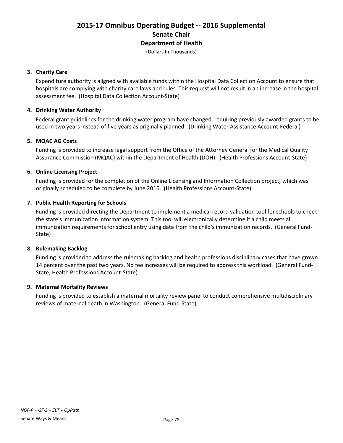# **2015-17 Omnibus Operating Budget -- 2016 Supplemental Senate Chair Department of Health**

(Dollars In Thousands)

#### **3. Charity Care**

Expenditure authority is aligned with available funds within the Hospital Data Collection Account to ensure that hospitals are complying with charity care laws and rules. This request will not result in an increase in the hospital assessment fee. (Hospital Data Collection Account-State)

# **4. Drinking Water Authority**

Federal grant guidelines for the drinking water program have changed, requiring previously awarded grants to be used in two years instead of five years as originally planned. (Drinking Water Assistance Account-Federal)

#### **5. MQAC AG Costs**

Funding is provided to increase legal support from the Office of the Attorney General for the Medical Quality Assurance Commission (MQAC) within the Department of Health (DOH). (Health Professions Account-State)

#### **6. Online Licensing Project**

Funding is provided for the completion of the Online Licensing and Information Collection project, which was originally scheduled to be complete by June 2016. (Health Professions Account-State)

# **7. Public Health Reporting for Schools**

Funding is provided directing the Department to implement a medical record validation tool for schools to check the state's immunization information system. This tool will electronically determine if a child meets all immunization requirements for school entry using data from the child's immunization records. (General Fund-State)

# **8. Rulemaking Backlog**

Funding is provided to address the rulemaking backlog and health professions disciplinary cases that have grown 14 percent over the past two years. No fee increases will be required to address this workload. (General Fund-State; Health Professions Account-State)

#### **9. Maternal Mortality Reviews**

Funding is provided to establish a maternal mortality review panel to conduct comprehensive multidisciplinary reviews of maternal death in Washington. (General Fund-State)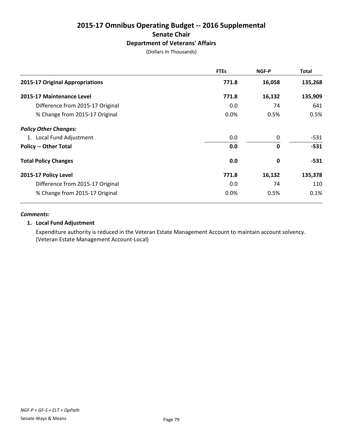# **2015-17 Omnibus Operating Budget -- 2016 Supplemental Senate Chair Department of Veterans' Affairs**

(Dollars In Thousands)

|                                  | <b>FTEs</b> | NGF-P        | <b>Total</b> |
|----------------------------------|-------------|--------------|--------------|
| 2015-17 Original Appropriations  | 771.8       | 16,058       | 135,268      |
| 2015-17 Maintenance Level        | 771.8       | 16,132       | 135,909      |
| Difference from 2015-17 Original | 0.0         | 74           | 641          |
| % Change from 2015-17 Original   | $0.0\%$     | 0.5%         | 0.5%         |
| <b>Policy Other Changes:</b>     |             |              |              |
| 1. Local Fund Adjustment         | 0.0         | $\mathbf 0$  | $-531$       |
| <b>Policy -- Other Total</b>     | 0.0         | $\mathbf{0}$ | $-531$       |
| <b>Total Policy Changes</b>      | 0.0         | 0            | $-531$       |
| 2015-17 Policy Level             | 771.8       | 16,132       | 135,378      |
| Difference from 2015-17 Original | 0.0         | 74           | 110          |
| % Change from 2015-17 Original   | 0.0%        | 0.5%         | 0.1%         |

#### *Comments:*

# **1. Local Fund Adjustment**

Expenditure authority is reduced in the Veteran Estate Management Account to maintain account solvency. (Veteran Estate Management Account-Local)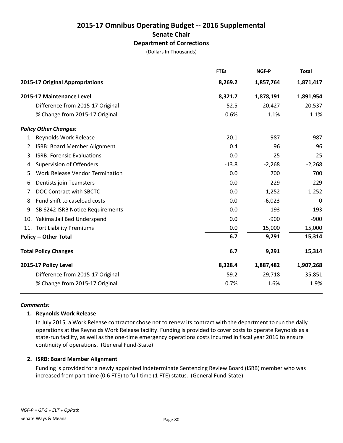# **2015-17 Omnibus Operating Budget -- 2016 Supplemental Senate Chair Department of Corrections**

(Dollars In Thousands)

|                                           | <b>FTEs</b> | <b>NGF-P</b> | <b>Total</b> |
|-------------------------------------------|-------------|--------------|--------------|
| 2015-17 Original Appropriations           | 8,269.2     | 1,857,764    | 1,871,417    |
| 2015-17 Maintenance Level                 | 8,321.7     | 1,878,191    | 1,891,954    |
| Difference from 2015-17 Original          | 52.5        | 20,427       | 20,537       |
| % Change from 2015-17 Original            | 0.6%        | 1.1%         | 1.1%         |
| <b>Policy Other Changes:</b>              |             |              |              |
| 1. Reynolds Work Release                  | 20.1        | 987          | 987          |
| <b>ISRB: Board Member Alignment</b><br>2. | 0.4         | 96           | 96           |
| <b>ISRB: Forensic Evaluations</b><br>3.   | 0.0         | 25           | 25           |
| <b>Supervision of Offenders</b><br>4.     | $-13.8$     | $-2,268$     | $-2,268$     |
| Work Release Vendor Termination<br>5.     | 0.0         | 700          | 700          |
| Dentists join Teamsters<br>6.             | 0.0         | 229          | 229          |
| DOC Contract with SBCTC<br>7.             | 0.0         | 1,252        | 1,252        |
| 8. Fund shift to caseload costs           | 0.0         | $-6,023$     | $\Omega$     |
| SB 6242 ISRB Notice Requirements<br>9.    | 0.0         | 193          | 193          |
| 10. Yakima Jail Bed Underspend            | 0.0         | $-900$       | $-900$       |
| 11. Tort Liability Premiums               | 0.0         | 15,000       | 15,000       |
| <b>Policy -- Other Total</b>              | 6.7         | 9,291        | 15,314       |
| <b>Total Policy Changes</b>               | 6.7         | 9,291        | 15,314       |
| 2015-17 Policy Level                      | 8,328.4     | 1,887,482    | 1,907,268    |
| Difference from 2015-17 Original          | 59.2        | 29,718       | 35,851       |
| % Change from 2015-17 Original            | 0.7%        | 1.6%         | 1.9%         |

#### *Comments:*

# **1. Reynolds Work Release**

In July 2015, a Work Release contractor chose not to renew its contract with the department to run the daily operations at the Reynolds Work Release facility. Funding is provided to cover costs to operate Reynolds as a state-run facility, as well as the one-time emergency operations costs incurred in fiscal year 2016 to ensure continuity of operations. (General Fund-State)

#### **2. ISRB: Board Member Alignment**

Funding is provided for a newly appointed Indeterminate Sentencing Review Board (ISRB) member who was increased from part-time (0.6 FTE) to full-time (1 FTE) status. (General Fund-State)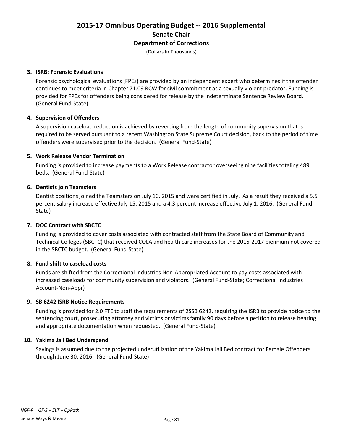# **2015-17 Omnibus Operating Budget -- 2016 Supplemental Senate Chair Department of Corrections**

(Dollars In Thousands)

#### **3. ISRB: Forensic Evaluations**

Forensic psychological evaluations (FPEs) are provided by an independent expert who determines if the offender continues to meet criteria in Chapter 71.09 RCW for civil commitment as a sexually violent predator. Funding is provided for FPEs for offenders being considered for release by the Indeterminate Sentence Review Board. (General Fund-State)

# **4. Supervision of Offenders**

A supervision caseload reduction is achieved by reverting from the length of community supervision that is required to be served pursuant to a recent Washington State Supreme Court decision, back to the period of time offenders were supervised prior to the decision. (General Fund-State)

#### **5. Work Release Vendor Termination**

Funding is provided to increase payments to a Work Release contractor overseeing nine facilities totaling 489 beds. (General Fund-State)

#### **6. Dentists join Teamsters**

Dentist positions joined the Teamsters on July 10, 2015 and were certified in July. As a result they received a 5.5 percent salary increase effective July 15, 2015 and a 4.3 percent increase effective July 1, 2016. (General Fund-State)

# **7. DOC Contract with SBCTC**

Funding is provided to cover costs associated with contracted staff from the State Board of Community and Technical Colleges (SBCTC) that received COLA and health care increases for the 2015-2017 biennium not covered in the SBCTC budget. (General Fund-State)

# **8. Fund shift to caseload costs**

Funds are shifted from the Correctional Industries Non-Appropriated Account to pay costs associated with increased caseloads for community supervision and violators. (General Fund-State; Correctional Industries Account-Non-Appr)

#### **9. SB 6242 ISRB Notice Requirements**

Funding is provided for 2.0 FTE to staff the requirements of 2SSB 6242, requiring the ISRB to provide notice to the sentencing court, prosecuting attorney and victims or victims family 90 days before a petition to release hearing and appropriate documentation when requested. (General Fund-State)

# **10. Yakima Jail Bed Underspend**

Savings is assumed due to the projected underutilization of the Yakima Jail Bed contract for Female Offenders through June 30, 2016. (General Fund-State)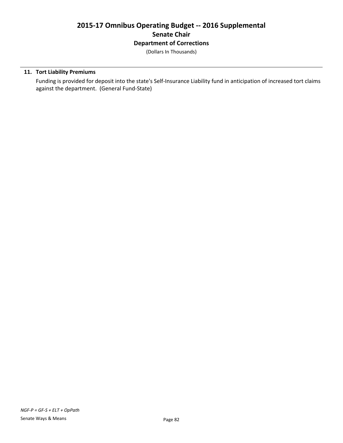# **2015-17 Omnibus Operating Budget -- 2016 Supplemental Senate Chair Department of Corrections**

(Dollars In Thousands)

# **11. Tort Liability Premiums**

Funding is provided for deposit into the state's Self-Insurance Liability fund in anticipation of increased tort claims against the department. (General Fund-State)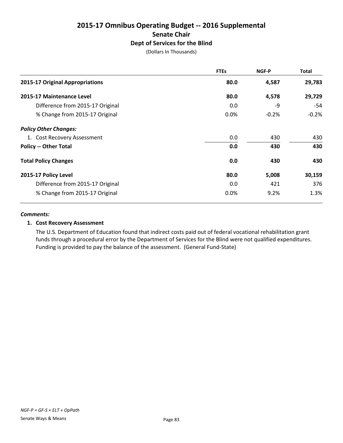# **2015-17 Omnibus Operating Budget -- 2016 Supplemental Senate Chair Dept of Services for the Blind**

(Dollars In Thousands)

|                                  | <b>FTEs</b> | NGF-P   | Total   |
|----------------------------------|-------------|---------|---------|
| 2015-17 Original Appropriations  | 80.0        | 4,587   | 29,783  |
| 2015-17 Maintenance Level        | 80.0        | 4,578   | 29,729  |
| Difference from 2015-17 Original | 0.0         | -9      | $-54$   |
| % Change from 2015-17 Original   | 0.0%        | $-0.2%$ | $-0.2%$ |
| <b>Policy Other Changes:</b>     |             |         |         |
| 1. Cost Recovery Assessment      | 0.0         | 430     | 430     |
| <b>Policy -- Other Total</b>     | 0.0         | 430     | 430     |
| <b>Total Policy Changes</b>      | 0.0         | 430     | 430     |
| 2015-17 Policy Level             | 80.0        | 5,008   | 30,159  |
| Difference from 2015-17 Original | 0.0         | 421     | 376     |
| % Change from 2015-17 Original   | 0.0%        | 9.2%    | 1.3%    |

#### *Comments:*

# **1. Cost Recovery Assessment**

The U.S. Department of Education found that indirect costs paid out of federal vocational rehabilitation grant funds through a procedural error by the Department of Services for the Blind were not qualified expenditures. Funding is provided to pay the balance of the assessment. (General Fund-State)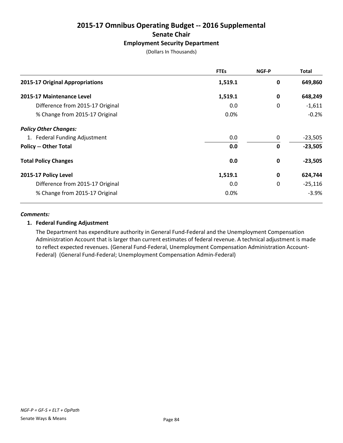# **2015-17 Omnibus Operating Budget -- 2016 Supplemental Senate Chair Employment Security Department**

(Dollars In Thousands)

|                                  | <b>FTEs</b> | NGF-P       | <b>Total</b> |
|----------------------------------|-------------|-------------|--------------|
| 2015-17 Original Appropriations  | 1,519.1     | 0           | 649,860      |
| 2015-17 Maintenance Level        | 1,519.1     | 0           | 648,249      |
| Difference from 2015-17 Original | 0.0         | 0           | $-1,611$     |
| % Change from 2015-17 Original   | 0.0%        |             | $-0.2%$      |
| <b>Policy Other Changes:</b>     |             |             |              |
| 1. Federal Funding Adjustment    | 0.0         | 0           | $-23,505$    |
| <b>Policy -- Other Total</b>     | 0.0         | $\mathbf 0$ | $-23,505$    |
| <b>Total Policy Changes</b>      | 0.0         | 0           | $-23,505$    |
| 2015-17 Policy Level             | 1,519.1     | $\mathbf 0$ | 624,744      |
| Difference from 2015-17 Original | 0.0         | 0           | $-25,116$    |
| % Change from 2015-17 Original   | 0.0%        |             | $-3.9%$      |

#### *Comments:*

# **1. Federal Funding Adjustment**

The Department has expenditure authority in General Fund-Federal and the Unemployment Compensation Administration Account that is larger than current estimates of federal revenue. A technical adjustment is made to reflect expected revenues. (General Fund-Federal, Unemployment Compensation Administration Account-Federal) (General Fund-Federal; Unemployment Compensation Admin-Federal)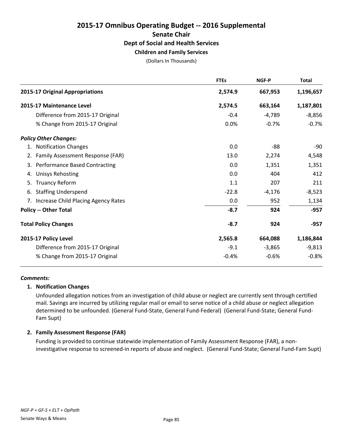# **2015-17 Omnibus Operating Budget -- 2016 Supplemental Senate Chair Dept of Social and Health Services Children and Family Services**

(Dollars In Thousands)

|    |                                        | <b>FTEs</b> | <b>NGF-P</b> | <b>Total</b> |
|----|----------------------------------------|-------------|--------------|--------------|
|    | 2015-17 Original Appropriations        | 2,574.9     | 667,953      | 1,196,657    |
|    | 2015-17 Maintenance Level              | 2,574.5     | 663,164      | 1,187,801    |
|    | Difference from 2015-17 Original       | $-0.4$      | $-4,789$     | $-8,856$     |
|    | % Change from 2015-17 Original         | 0.0%        | $-0.7%$      | $-0.7%$      |
|    | <b>Policy Other Changes:</b>           |             |              |              |
|    | 1. Notification Changes                | 0.0         | -88          | -90          |
|    | 2. Family Assessment Response (FAR)    | 13.0        | 2,274        | 4,548        |
|    | 3. Performance Based Contracting       | 0.0         | 1,351        | 1,351        |
|    | 4. Unisys Rehosting                    | 0.0         | 404          | 412          |
| 5. | <b>Truancy Reform</b>                  | 1.1         | 207          | 211          |
| 6. | <b>Staffing Underspend</b>             | $-22.8$     | $-4,176$     | $-8,523$     |
|    | 7. Increase Child Placing Agency Rates | 0.0         | 952          | 1,134        |
|    | <b>Policy -- Other Total</b>           | $-8.7$      | 924          | $-957$       |
|    | <b>Total Policy Changes</b>            | $-8.7$      | 924          | $-957$       |
|    | 2015-17 Policy Level                   | 2,565.8     | 664,088      | 1,186,844    |
|    | Difference from 2015-17 Original       | $-9.1$      | $-3,865$     | $-9,813$     |
|    | % Change from 2015-17 Original         | $-0.4%$     | $-0.6%$      | $-0.8%$      |

#### *Comments:*

# **1. Notification Changes**

Unfounded allegation notices from an investigation of child abuse or neglect are currently sent through certified mail. Savings are incurred by utilizing regular mail or email to serve notice of a child abuse or neglect allegation determined to be unfounded. (General Fund-State, General Fund-Federal) (General Fund-State; General Fund-Fam Supt)

# **2. Family Assessment Response (FAR)**

Funding is provided to continue statewide implementation of Family Assessment Response (FAR), a noninvestigative response to screened-in reports of abuse and neglect. (General Fund-State; General Fund-Fam Supt)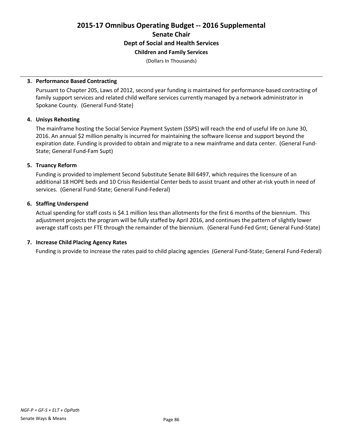**Children and Family Services**

(Dollars In Thousands)

#### **3. Performance Based Contracting**

Pursuant to Chapter 205, Laws of 2012, second year funding is maintained for performance-based contracting of family support services and related child welfare services currently managed by a network administrator in Spokane County. (General Fund-State)

#### **4. Unisys Rehosting**

The mainframe hosting the Social Service Payment System (SSPS) will reach the end of useful life on June 30, 2016. An annual \$2 million penalty is incurred for maintaining the software license and support beyond the expiration date. Funding is provided to obtain and migrate to a new mainframe and data center. (General Fund-State; General Fund-Fam Supt)

#### **5. Truancy Reform**

Funding is provided to implement Second Substitute Senate Bill 6497, which requires the licensure of an additional 18 HOPE beds and 10 Crisis Residential Center beds to assist truant and other at-risk youth in need of services. (General Fund-State; General Fund-Federal)

#### **6. Staffing Underspend**

Actual spending for staff costs is \$4.1 million less than allotments for the first 6 months of the biennium. This adjustment projects the program will be fully staffed by April 2016, and continues the pattern of slightly lower average staff costs per FTE through the remainder of the biennium. (General Fund-Fed Grnt; General Fund-State)

# **7. Increase Child Placing Agency Rates**

Funding is provide to increase the rates paid to child placing agencies (General Fund-State; General Fund-Federal)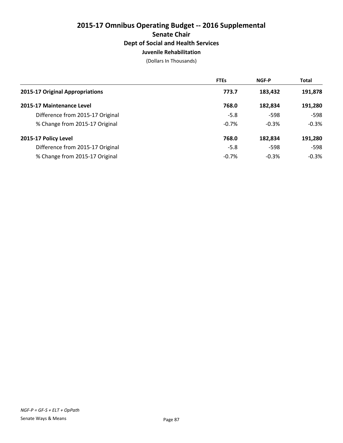# **2015-17 Omnibus Operating Budget -- 2016 Supplemental Senate Chair Dept of Social and Health Services Juvenile Rehabilitation**

(Dollars In Thousands)

|                                  | <b>FTEs</b> | <b>NGF-P</b> | <b>Total</b> |
|----------------------------------|-------------|--------------|--------------|
| 2015-17 Original Appropriations  | 773.7       | 183,432      | 191,878      |
| 2015-17 Maintenance Level        | 768.0       | 182,834      | 191,280      |
| Difference from 2015-17 Original | $-5.8$      | $-598$       | $-598$       |
| % Change from 2015-17 Original   | $-0.7%$     | $-0.3%$      | $-0.3%$      |
| 2015-17 Policy Level             | 768.0       | 182,834      | 191,280      |
| Difference from 2015-17 Original | $-5.8$      | $-598$       | $-598$       |
| % Change from 2015-17 Original   | $-0.7%$     | $-0.3%$      | $-0.3%$      |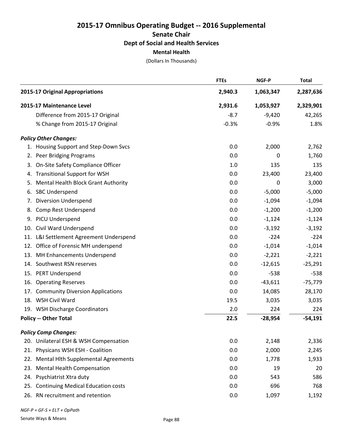(Dollars In Thousands)

|     |                                         | <b>FTEs</b> | NGF-P     | <b>Total</b> |
|-----|-----------------------------------------|-------------|-----------|--------------|
|     | 2015-17 Original Appropriations         | 2,940.3     | 1,063,347 | 2,287,636    |
|     | 2015-17 Maintenance Level               | 2,931.6     | 1,053,927 | 2,329,901    |
|     | Difference from 2015-17 Original        | $-8.7$      | $-9,420$  | 42,265       |
|     | % Change from 2015-17 Original          | $-0.3%$     | $-0.9%$   | 1.8%         |
|     | <b>Policy Other Changes:</b>            |             |           |              |
|     | 1. Housing Support and Step-Down Svcs   | 0.0         | 2,000     | 2,762        |
| 2.  | Peer Bridging Programs                  | 0.0         | $\pmb{0}$ | 1,760        |
| 3.  | On-Site Safety Compliance Officer       | 1.0         | 135       | 135          |
| 4.  | <b>Transitional Support for WSH</b>     | 0.0         | 23,400    | 23,400       |
| 5.  | Mental Health Block Grant Authority     | 0.0         | 0         | 3,000        |
| 6.  | <b>SBC Underspend</b>                   | 0.0         | $-5,000$  | $-5,000$     |
| 7.  | <b>Diversion Underspend</b>             | 0.0         | $-1,094$  | $-1,094$     |
| 8.  | Comp Rest Underspend                    | 0.0         | $-1,200$  | $-1,200$     |
| 9.  | PICU Underspend                         | 0.0         | $-1,124$  | $-1,124$     |
|     | 10. Civil Ward Underspend               | 0.0         | $-3,192$  | $-3,192$     |
| 11. | L&I Settlement Agreement Underspend     | 0.0         | $-224$    | $-224$       |
| 12. | Office of Forensic MH underspend        | 0.0         | $-1,014$  | $-1,014$     |
| 13. | <b>MH Enhancements Underspend</b>       | 0.0         | $-2,221$  | $-2,221$     |
|     | 14. Southwest RSN reserves              | 0.0         | $-12,615$ | $-25,291$    |
|     | 15. PERT Underspend                     | 0.0         | $-538$    | $-538$       |
| 16. | <b>Operating Reserves</b>               | 0.0         | $-43,611$ | $-75,779$    |
| 17. | <b>Community Diversion Applications</b> | 0.0         | 14,085    | 28,170       |
|     | 18. WSH Civil Ward                      | 19.5        | 3,035     | 3,035        |
|     | 19. WSH Discharge Coordinators          | 2.0         | 224       | 224          |
|     | <b>Policy -- Other Total</b>            | 22.5        | $-28,954$ | $-54,191$    |
|     | <b>Policy Comp Changes:</b>             |             |           |              |
|     | 20. Unilateral ESH & WSH Compensation   | 0.0         | 2,148     | 2,336        |
|     | 21. Physicans WSH ESH - Coalition       | 0.0         | 2,000     | 2,245        |
| 22. | Mental Hith Supplemental Agreements     | 0.0         | 1,778     | 1,933        |
| 23. | <b>Mental Health Compensation</b>       | 0.0         | 19        | 20           |
|     | 24. Psychiatrist Xtra duty              | 0.0         | 543       | 586          |
|     | 25. Continuing Medical Education costs  | 0.0         | 696       | 768          |
|     | 26. RN recruitment and retention        | 0.0         | 1,097     | 1,192        |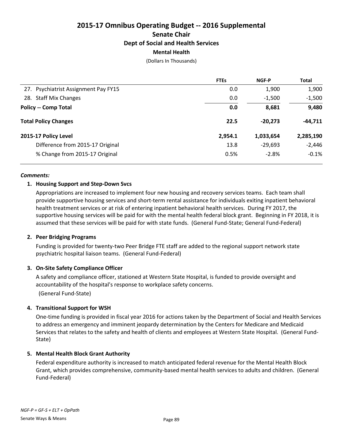(Dollars In Thousands)

|                                      | <b>FTEs</b> | <b>NGF-P</b> | <b>Total</b> |
|--------------------------------------|-------------|--------------|--------------|
| 27. Psychiatrist Assignment Pay FY15 | 0.0         | 1,900        | 1,900        |
| 28. Staff Mix Changes                | 0.0         | $-1,500$     | $-1,500$     |
| <b>Policy -- Comp Total</b>          | 0.0         | 8,681        | 9,480        |
| <b>Total Policy Changes</b>          | 22.5        | $-20.273$    | -44,711      |
| 2015-17 Policy Level                 | 2,954.1     | 1,033,654    | 2,285,190    |
| Difference from 2015-17 Original     | 13.8        | $-29,693$    | $-2,446$     |
| % Change from 2015-17 Original       | 0.5%        | $-2.8%$      | $-0.1%$      |

#### *Comments:*

# **1. Housing Support and Step-Down Svcs**

Appropriations are increased to implement four new housing and recovery services teams. Each team shall provide supportive housing services and short-term rental assistance for individuals exiting inpatient behavioral health treatment services or at risk of entering inpatient behavioral health services. During FY 2017, the supportive housing services will be paid for with the mental health federal block grant. Beginning in FY 2018, it is assumed that these services will be paid for with state funds. (General Fund-State; General Fund-Federal)

# **2. Peer Bridging Programs**

Funding is provided for twenty-two Peer Bridge FTE staff are added to the regional support network state psychiatric hospital liaison teams. (General Fund-Federal)

# **3. On-Site Safety Compliance Officer**

A safety and compliance officer, stationed at Western State Hospital, is funded to provide oversight and accountability of the hospital's response to workplace safety concerns.

(General Fund-State)

# **4. Transitional Support for WSH**

One-time funding is provided in fiscal year 2016 for actions taken by the Department of Social and Health Services to address an emergency and imminent jeopardy determination by the Centers for Medicare and Medicaid Services that relates to the safety and health of clients and employees at Western State Hospital. (General Fund-State)

# **5. Mental Health Block Grant Authority**

Federal expenditure authority is increased to match anticipated federal revenue for the Mental Health Block Grant, which provides comprehensive, community-based mental health services to adults and children. (General Fund-Federal)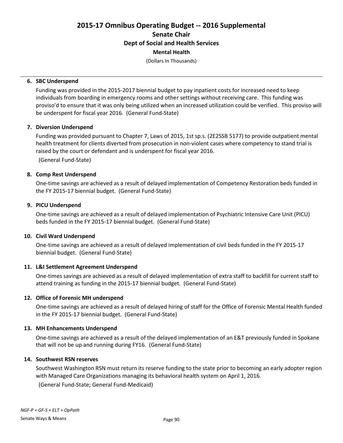# **Mental Health**

(Dollars In Thousands)

#### **6. SBC Underspend**

Funding was provided in the 2015-2017 biennial budget to pay inpatient costs for increased need to keep individuals from boarding in emergency rooms and other settings without receiving care. This funding was proviso'd to ensure that it was only being utilized when an increased utilization could be verified. This proviso will be underspent for fiscal year 2016. (General Fund-State)

#### **7. Diversion Underspend**

Funding was provided pursuant to Chapter 7, Laws of 2015, 1st sp.s. (2E2SSB 5177) to provide outpatient mental health treatment for clients diverted from prosecution in non-violent cases where competency to stand trial is raised by the court or defendant and is underspent for fiscal year 2016.

(General Fund-State)

# **8. Comp Rest Underspend**

One-time savings are achieved as a result of delayed implementation of Competency Restoration beds funded in the FY 2015-17 biennial budget. (General Fund-State)

#### **9. PICU Underspend**

One-time savings are achieved as a result of delayed implementation of Psychiatric Intensive Care Unit (PICU) beds funded in the FY 2015-17 biennial budget. (General Fund-State)

#### **10. Civil Ward Underspend**

One-time savings are achieved as a result of delayed implementation of civil beds funded in the FY 2015-17 biennial budget. (General Fund-State)

# **11. L&I Settlement Agreement Underspend**

One-times savings are achieved as a result of delayed implementation of extra staff to backfill for current staff to attend training as funding in the 2015-17 biennial budget. (General Fund-State)

#### **12. Office of Forensic MH underspend**

One-time savings are achieved as a result of delayed hiring of staff for the Office of Forensic Mental Health funded in the FY 2015-17 biennial budget. (General Fund-State)

#### **13. MH Enhancements Underspend**

One-time savings are achieved as a result of the delayed implementation of an E&T previously funded in Spokane that will not be up and running during FY16. (General Fund-State)

#### **14. Southwest RSN reserves**

Southwest Washington RSN must return its reserve funding to the state prior to becoming an early adopter region with Managed Care Organizations managing its behavioral health system on April 1, 2016. (General Fund-State; General Fund-Medicaid)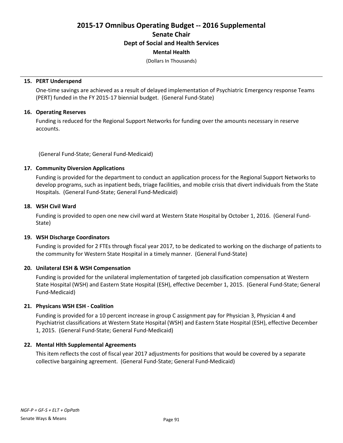# **Mental Health**

(Dollars In Thousands)

#### **15. PERT Underspend**

One-time savings are achieved as a result of delayed implementation of Psychiatric Emergency response Teams (PERT) funded in the FY 2015-17 biennial budget. (General Fund-State)

#### **16. Operating Reserves**

Funding is reduced for the Regional Support Networks for funding over the amounts necessary in reserve accounts.

(General Fund-State; General Fund-Medicaid)

#### **17. Community Diversion Applications**

Funding is provided for the department to conduct an application process for the Regional Support Networks to develop programs, such as inpatient beds, triage facilities, and mobile crisis that divert individuals from the State Hospitals. (General Fund-State; General Fund-Medicaid)

#### **18. WSH Civil Ward**

Funding is provided to open one new civil ward at Western State Hospital by October 1, 2016. (General Fund-State)

# **19. WSH Discharge Coordinators**

Funding is provided for 2 FTEs through fiscal year 2017, to be dedicated to working on the discharge of patients to the community for Western State Hospital in a timely manner. (General Fund-State)

# **20. Unilateral ESH & WSH Compensation**

Funding is provided for the unilateral implementation of targeted job classification compensation at Western State Hospital (WSH) and Eastern State Hospital (ESH), effective December 1, 2015. (General Fund-State; General Fund-Medicaid)

# **21. Physicans WSH ESH - Coalition**

Funding is provided for a 10 percent increase in group C assignment pay for Physician 3, Physician 4 and Psychiatrist classifications at Western State Hospital (WSH) and Eastern State Hospital (ESH), effective December 1, 2015. (General Fund-State; General Fund-Medicaid)

# **22. Mental Hlth Supplemental Agreements**

This item reflects the cost of fiscal year 2017 adjustments for positions that would be covered by a separate collective bargaining agreement. (General Fund-State; General Fund-Medicaid)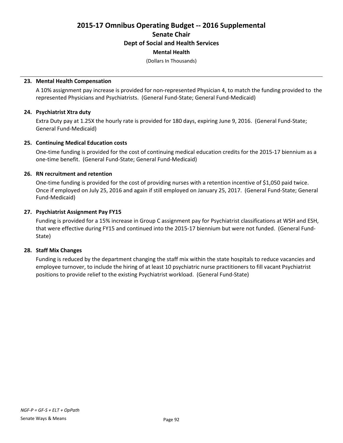# **Mental Health**

(Dollars In Thousands)

#### **23. Mental Health Compensation**

A 10% assignment pay increase is provided for non-represented Physician 4, to match the funding provided to the represented Physicians and Psychiatrists. (General Fund-State; General Fund-Medicaid)

#### **24. Psychiatrist Xtra duty**

Extra Duty pay at 1.25X the hourly rate is provided for 180 days, expiring June 9, 2016. (General Fund-State; General Fund-Medicaid)

#### **25. Continuing Medical Education costs**

One-time funding is provided for the cost of continuing medical education credits for the 2015-17 biennium as a one-time benefit. (General Fund-State; General Fund-Medicaid)

#### **26. RN recruitment and retention**

One-time funding is provided for the cost of providing nurses with a retention incentive of \$1,050 paid twice. Once if employed on July 25, 2016 and again if still employed on January 25, 2017. (General Fund-State; General Fund-Medicaid)

#### **27. Psychiatrist Assignment Pay FY15**

Funding is provided for a 15% increase in Group C assignment pay for Psychiatrist classifications at WSH and ESH, that were effective during FY15 and continued into the 2015-17 biennium but were not funded. (General Fund-State)

#### **28. Staff Mix Changes**

Funding is reduced by the department changing the staff mix within the state hospitals to reduce vacancies and employee turnover, to include the hiring of at least 10 psychiatric nurse practitioners to fill vacant Psychiatrist positions to provide relief to the existing Psychiatrist workload. (General Fund-State)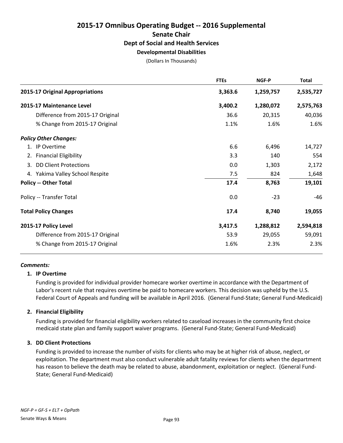# **2015-17 Omnibus Operating Budget -- 2016 Supplemental Senate Chair Dept of Social and Health Services Developmental Disabilities**

(Dollars In Thousands)

|                                  | <b>FTEs</b>                                                                                                                                                                                                                                                                                                                  | NGF-P     | <b>Total</b> |
|----------------------------------|------------------------------------------------------------------------------------------------------------------------------------------------------------------------------------------------------------------------------------------------------------------------------------------------------------------------------|-----------|--------------|
|                                  | 3,363.6                                                                                                                                                                                                                                                                                                                      | 1,259,757 | 2,535,727    |
|                                  | 3,400.2                                                                                                                                                                                                                                                                                                                      | 1,280,072 | 2,575,763    |
| Difference from 2015-17 Original | 36.6                                                                                                                                                                                                                                                                                                                         | 20,315    | 40,036       |
| % Change from 2015-17 Original   | 1.1%                                                                                                                                                                                                                                                                                                                         | 1.6%      | 1.6%         |
|                                  |                                                                                                                                                                                                                                                                                                                              |           |              |
|                                  | 6.6                                                                                                                                                                                                                                                                                                                          | 6,496     | 14,727       |
|                                  | 3.3                                                                                                                                                                                                                                                                                                                          | 140       | 554          |
|                                  | 0.0                                                                                                                                                                                                                                                                                                                          | 1,303     | 2,172        |
|                                  | 7.5                                                                                                                                                                                                                                                                                                                          | 824       | 1,648        |
|                                  | 17.4                                                                                                                                                                                                                                                                                                                         | 8,763     | 19,101       |
|                                  | 0.0                                                                                                                                                                                                                                                                                                                          | $-23$     | -46          |
|                                  | 17.4                                                                                                                                                                                                                                                                                                                         | 8,740     | 19,055       |
|                                  | 3,417.5                                                                                                                                                                                                                                                                                                                      | 1,288,812 | 2,594,818    |
| Difference from 2015-17 Original | 53.9                                                                                                                                                                                                                                                                                                                         | 29,055    | 59,091       |
| % Change from 2015-17 Original   | 1.6%                                                                                                                                                                                                                                                                                                                         | 2.3%      | 2.3%         |
|                                  | 2015-17 Original Appropriations<br>2015-17 Maintenance Level<br><b>Policy Other Changes:</b><br>1. IP Overtime<br>2. Financial Eligibility<br>3. DD Client Protections<br>4. Yakima Valley School Respite<br><b>Policy -- Other Total</b><br>Policy -- Transfer Total<br><b>Total Policy Changes</b><br>2015-17 Policy Level |           |              |

# *Comments:*

#### **1. IP Overtime**

Funding is provided for individual provider homecare worker overtime in accordance with the Department of Labor's recent rule that requires overtime be paid to homecare workers. This decision was upheld by the U.S. Federal Court of Appeals and funding will be available in April 2016. (General Fund-State; General Fund-Medicaid)

# **2. Financial Eligibility**

Funding is provided for financial eligibility workers related to caseload increases in the community first choice medicaid state plan and family support waiver programs. (General Fund-State; General Fund-Medicaid)

# **3. DD Client Protections**

Funding is provided to increase the number of visits for clients who may be at higher risk of abuse, neglect, or exploitation. The department must also conduct vulnerable adult fatality reviews for clients when the department has reason to believe the death may be related to abuse, abandonment, exploitation or neglect. (General Fund-State; General Fund-Medicaid)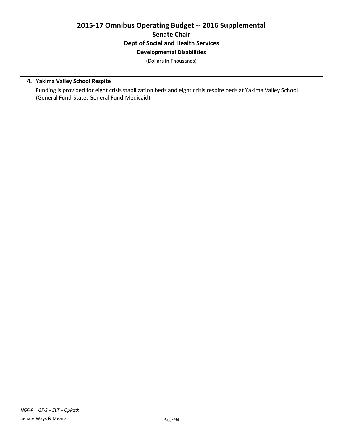# **2015-17 Omnibus Operating Budget -- 2016 Supplemental Senate Chair Dept of Social and Health Services Developmental Disabilities**

(Dollars In Thousands)

# **4. Yakima Valley School Respite**

Funding is provided for eight crisis stabilization beds and eight crisis respite beds at Yakima Valley School. (General Fund-State; General Fund-Medicaid)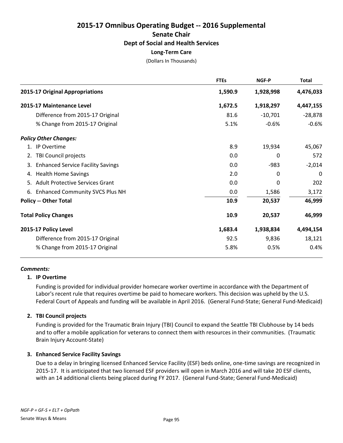(Dollars In Thousands)

|                                                | <b>FTEs</b> | <b>NGF-P</b> | <b>Total</b> |
|------------------------------------------------|-------------|--------------|--------------|
| 2015-17 Original Appropriations                | 1,590.9     | 1,928,998    | 4,476,033    |
| 2015-17 Maintenance Level                      | 1,672.5     | 1,918,297    | 4,447,155    |
| Difference from 2015-17 Original               | 81.6        | $-10,701$    | $-28,878$    |
| % Change from 2015-17 Original                 | 5.1%        | $-0.6%$      | $-0.6%$      |
| <b>Policy Other Changes:</b>                   |             |              |              |
| 1. IP Overtime                                 | 8.9         | 19,934       | 45,067       |
| <b>TBI Council projects</b><br>2.              | 0.0         | 0            | 572          |
| <b>Enhanced Service Facility Savings</b><br>3. | 0.0         | $-983$       | $-2,014$     |
| <b>Health Home Savings</b><br>4.               | 2.0         | 0            | 0            |
| 5. Adult Protective Services Grant             | 0.0         | 0            | 202          |
| 6.<br><b>Enhanced Community SVCS Plus NH</b>   | 0.0         | 1,586        | 3,172        |
| <b>Policy -- Other Total</b>                   | 10.9        | 20,537       | 46,999       |
| <b>Total Policy Changes</b>                    | 10.9        | 20,537       | 46,999       |
| 2015-17 Policy Level                           | 1,683.4     | 1,938,834    | 4,494,154    |
| Difference from 2015-17 Original               | 92.5        | 9,836        | 18,121       |
| % Change from 2015-17 Original                 | 5.8%        | 0.5%         | 0.4%         |

# *Comments:*

# **1. IP Overtime**

Funding is provided for individual provider homecare worker overtime in accordance with the Department of Labor's recent rule that requires overtime be paid to homecare workers. This decision was upheld by the U.S. Federal Court of Appeals and funding will be available in April 2016. (General Fund-State; General Fund-Medicaid)

# **2. TBI Council projects**

Funding is provided for the Traumatic Brain Injury (TBI) Council to expand the Seattle TBI Clubhouse by 14 beds and to offer a mobile application for veterans to connect them with resources in their communities. (Traumatic Brain Injury Account-State)

# **3. Enhanced Service Facility Savings**

Due to a delay in bringing licensed Enhanced Service Facility (ESF) beds online, one-time savings are recognized in 2015-17. It is anticipated that two licensed ESF providers will open in March 2016 and will take 20 ESF clients, with an 14 additional clients being placed during FY 2017. (General Fund-State; General Fund-Medicaid)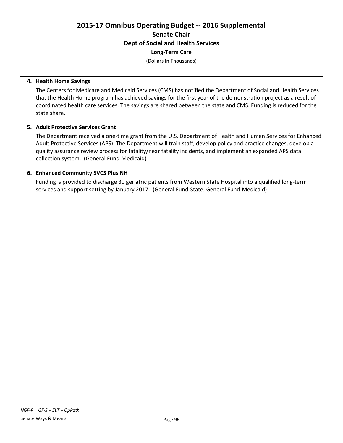**Long-Term Care**

(Dollars In Thousands)

#### **4. Health Home Savings**

The Centers for Medicare and Medicaid Services (CMS) has notified the Department of Social and Health Services that the Health Home program has achieved savings for the first year of the demonstration project as a result of coordinated health care services. The savings are shared between the state and CMS. Funding is reduced for the state share.

#### **5. Adult Protective Services Grant**

The Department received a one-time grant from the U.S. Department of Health and Human Services for Enhanced Adult Protective Services (APS). The Department will train staff, develop policy and practice changes, develop a quality assurance review process for fatality/near fatality incidents, and implement an expanded APS data collection system. (General Fund-Medicaid)

# **6. Enhanced Community SVCS Plus NH**

Funding is provided to discharge 30 geriatric patients from Western State Hospital into a qualified long-term services and support setting by January 2017. (General Fund-State; General Fund-Medicaid)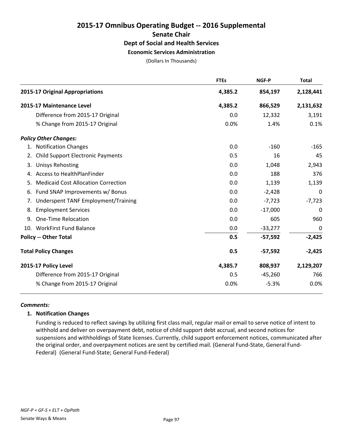# **2015-17 Omnibus Operating Budget -- 2016 Supplemental Senate Chair Dept of Social and Health Services Economic Services Administration**

(Dollars In Thousands)

|    |                                            | <b>FTEs</b> | <b>NGF-P</b> | <b>Total</b>     |
|----|--------------------------------------------|-------------|--------------|------------------|
|    | 2015-17 Original Appropriations            | 4,385.2     | 854,197      | 2,128,441        |
|    | 2015-17 Maintenance Level                  | 4,385.2     | 866,529      | 2,131,632        |
|    | Difference from 2015-17 Original           | 0.0         | 12,332       | 3,191            |
|    | % Change from 2015-17 Original             | 0.0%        | 1.4%         | 0.1%             |
|    | <b>Policy Other Changes:</b>               |             |              |                  |
| 1. | <b>Notification Changes</b>                | 0.0         | $-160$       | $-165$           |
| 2. | <b>Child Support Electronic Payments</b>   | 0.5         | 16           | 45               |
| 3. | <b>Unisys Rehosting</b>                    | 0.0         | 1,048        | 2,943            |
| 4. | Access to HealthPlanFinder                 | 0.0         | 188          | 376              |
| 5. | <b>Medicaid Cost Allocation Correction</b> | 0.0         | 1,139        | 1,139            |
| 6. | Fund SNAP Improvements w/ Bonus            | 0.0         | $-2,428$     | $\boldsymbol{0}$ |
| 7. | Underspent TANF Employment/Training        | 0.0         | $-7,723$     | $-7,723$         |
| 8. | <b>Employment Services</b>                 | 0.0         | $-17,000$    | 0                |
| 9. | One-Time Relocation                        | 0.0         | 605          | 960              |
|    | 10. WorkFirst Fund Balance                 | 0.0         | $-33,277$    | 0                |
|    | <b>Policy -- Other Total</b>               | 0.5         | $-57,592$    | $-2,425$         |
|    | <b>Total Policy Changes</b>                | 0.5         | $-57,592$    | $-2,425$         |
|    | 2015-17 Policy Level                       | 4,385.7     | 808,937      | 2,129,207        |
|    | Difference from 2015-17 Original           | 0.5         | $-45,260$    | 766              |
|    | % Change from 2015-17 Original             | 0.0%        | $-5.3%$      | 0.0%             |

# *Comments:*

# **1. Notification Changes**

Funding is reduced to reflect savings by utilizing first class mail, regular mail or email to serve notice of intent to withhold and deliver on overpayment debt, notice of child support debt accrual, and second notices for suspensions and withholdings of State licenses. Currently, child support enforcement notices, communicated after the original order, and overpayment notices are sent by certified mail. (General Fund-State, General Fund-Federal) (General Fund-State; General Fund-Federal)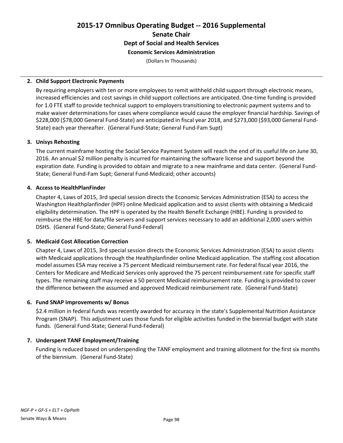# **2015-17 Omnibus Operating Budget -- 2016 Supplemental Senate Chair Dept of Social and Health Services Economic Services Administration**

(Dollars In Thousands)

#### **2. Child Support Electronic Payments**

By requiring employers with ten or more employees to remit withheld child support through electronic means, increased efficiencies and cost savings in child support collections are anticipated. One-time funding is provided for 1.0 FTE staff to provide technical support to employers transitioning to electronic payment systems and to make waiver determinations for cases where compliance would cause the employer financial hardship. Savings of \$228,000 (\$78,000 General Fund-State) are anticipated in fiscal year 2018, and \$273,000 (\$93,000 General Fund-State) each year thereafter. (General Fund-State; General Fund-Fam Supt)

#### **3. Unisys Rehosting**

The current mainframe hosting the Social Service Payment System will reach the end of its useful life on June 30, 2016. An annual \$2 million penalty is incurred for maintaining the software license and support beyond the expiration date. Funding is provided to obtain and migrate to a new mainframe and data center. (General Fund-State; General Fund-Fam Supt; General Fund-Medicaid; other accounts)

#### **4. Access to HealthPlanFinder**

Chapter 4, Laws of 2015, 3rd special session directs the Economic Services Administration (ESA) to access the Washington Healthplanfinder (HPF) online Medicaid application and to assist clients with obtaining a Medicaid eligibility determination. The HPF is operated by the Health Benefit Exchange (HBE). Funding is provided to reimburse the HBE for data/file servers and support services necessary to add an additional 2,000 users within DSHS. (General Fund-State; General Fund-Federal)

# **5. Medicaid Cost Allocation Correction**

Chapter 4, Laws of 2015, 3rd special session directs the Economic Services Administration (ESA) to assist clients with Medicaid applications through the Healthplanfinder online Medicaid application. The staffing cost allocation model assumes ESA may receive a 75 percent Medicaid reimbursement rate. For federal fiscal year 2016, the Centers for Medicare and Medicaid Services only approved the 75 percent reimbursement rate for specific staff types. The remaining staff may receive a 50 percent Medicaid reimbursement rate. Funding is provided to cover the difference between the assumed and approved Medicaid reimbursement rate. (General Fund-State)

#### **6. Fund SNAP Improvements w/ Bonus**

\$2.4 million in federal funds was recently awarded for accuracy in the state's Supplemental Nutrition Assistance Program (SNAP). This adjustment uses those funds for eligible activities funded in the biennial budget with state funds. (General Fund-State; General Fund-Federal)

# **7. Underspent TANF Employment/Training**

Funding is reduced based on underspending the TANF employment and training allotment for the first six months of the biennium. (General Fund-State)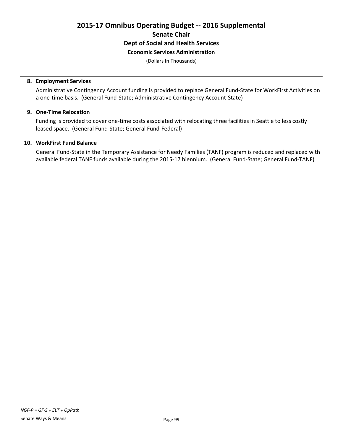# **2015-17 Omnibus Operating Budget -- 2016 Supplemental Senate Chair Dept of Social and Health Services Economic Services Administration**

(Dollars In Thousands)

#### **8. Employment Services**

Administrative Contingency Account funding is provided to replace General Fund-State for WorkFirst Activities on a one-time basis. (General Fund-State; Administrative Contingency Account-State)

# **9. One-Time Relocation**

Funding is provided to cover one-time costs associated with relocating three facilities in Seattle to less costly leased space. (General Fund-State; General Fund-Federal)

#### **10. WorkFirst Fund Balance**

General Fund-State in the Temporary Assistance for Needy Families (TANF) program is reduced and replaced with available federal TANF funds available during the 2015-17 biennium. (General Fund-State; General Fund-TANF)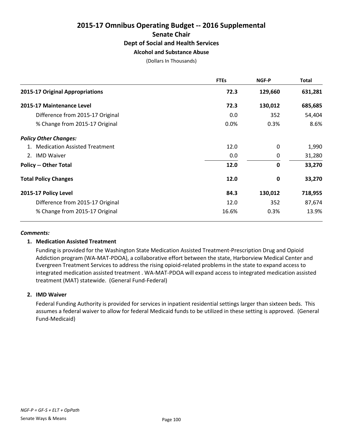# **2015-17 Omnibus Operating Budget -- 2016 Supplemental Senate Chair Dept of Social and Health Services Alcohol and Substance Abuse**

(Dollars In Thousands)

|                                  | <b>FTEs</b> | NGF-P       | Total   |
|----------------------------------|-------------|-------------|---------|
| 2015-17 Original Appropriations  | 72.3        | 129,660     | 631,281 |
| 2015-17 Maintenance Level        | 72.3        | 130,012     | 685,685 |
| Difference from 2015-17 Original | 0.0         | 352         | 54,404  |
| % Change from 2015-17 Original   | 0.0%        | 0.3%        | 8.6%    |
| <b>Policy Other Changes:</b>     |             |             |         |
| 1. Medication Assisted Treatment | 12.0        | $\Omega$    | 1,990   |
| 2. IMD Waiver                    | 0.0         | 0           | 31,280  |
| <b>Policy -- Other Total</b>     | 12.0        | $\mathbf 0$ | 33,270  |
| <b>Total Policy Changes</b>      | 12.0        | 0           | 33,270  |
| 2015-17 Policy Level             | 84.3        | 130,012     | 718,955 |
| Difference from 2015-17 Original | 12.0        | 352         | 87,674  |
| % Change from 2015-17 Original   | 16.6%       | 0.3%        | 13.9%   |

#### *Comments:*

# **1. Medication Assisted Treatment**

Funding is provided for the Washington State Medication Assisted Treatment-Prescription Drug and Opioid Addiction program (WA-MAT-PDOA), a collaborative effort between the state, Harborview Medical Center and Evergreen Treatment Services to address the rising opioid-related problems in the state to expand access to integrated medication assisted treatment . WA-MAT-PDOA will expand access to integrated medication assisted treatment (MAT) statewide. (General Fund-Federal)

# **2. IMD Waiver**

Federal Funding Authority is provided for services in inpatient residential settings larger than sixteen beds. This assumes a federal waiver to allow for federal Medicaid funds to be utilized in these setting is approved. (General Fund-Medicaid)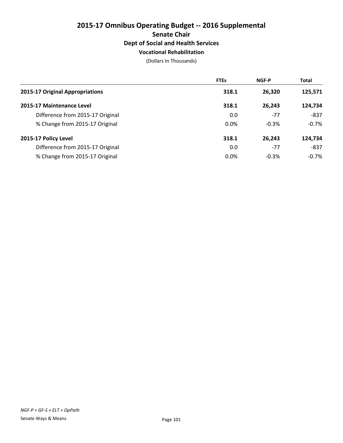# **2015-17 Omnibus Operating Budget -- 2016 Supplemental Senate Chair Dept of Social and Health Services Vocational Rehabilitation**

(Dollars In Thousands)

|                                  | <b>FTEs</b> | <b>NGF-P</b> | <b>Total</b> |
|----------------------------------|-------------|--------------|--------------|
| 2015-17 Original Appropriations  | 318.1       | 26,320       | 125,571      |
| 2015-17 Maintenance Level        | 318.1       | 26,243       | 124,734      |
| Difference from 2015-17 Original | 0.0         | $-77$        | $-837$       |
| % Change from 2015-17 Original   | $0.0\%$     | $-0.3%$      | $-0.7%$      |
| 2015-17 Policy Level             | 318.1       | 26,243       | 124,734      |
| Difference from 2015-17 Original | 0.0         | $-77$        | $-837$       |
| % Change from 2015-17 Original   | 0.0%        | $-0.3%$      | $-0.7\%$     |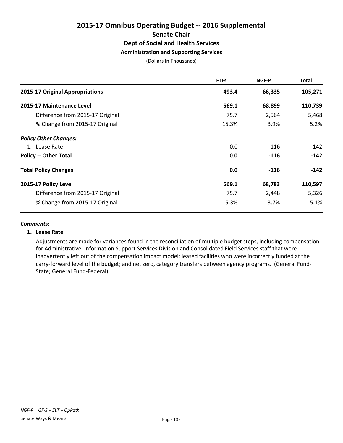# **2015-17 Omnibus Operating Budget -- 2016 Supplemental Senate Chair Dept of Social and Health Services Administration and Supporting Services**

(Dollars In Thousands)

|                                  | <b>FTEs</b> | NGF-P  | <b>Total</b> |
|----------------------------------|-------------|--------|--------------|
| 2015-17 Original Appropriations  | 493.4       | 66,335 | 105,271      |
| 2015-17 Maintenance Level        | 569.1       | 68,899 | 110,739      |
| Difference from 2015-17 Original | 75.7        | 2,564  | 5,468        |
| % Change from 2015-17 Original   | 15.3%       | 3.9%   | 5.2%         |
| <b>Policy Other Changes:</b>     |             |        |              |
| 1. Lease Rate                    | 0.0         | -116   | $-142$       |
| <b>Policy -- Other Total</b>     | 0.0         | $-116$ | $-142$       |
| <b>Total Policy Changes</b>      | 0.0         | $-116$ | $-142$       |
| 2015-17 Policy Level             | 569.1       | 68,783 | 110,597      |
| Difference from 2015-17 Original | 75.7        | 2,448  | 5,326        |
| % Change from 2015-17 Original   | 15.3%       | 3.7%   | 5.1%         |

#### *Comments:*

#### **1. Lease Rate**

Adjustments are made for variances found in the reconciliation of multiple budget steps, including compensation for Administrative, Information Support Services Division and Consolidated Field Services staff that were inadvertently left out of the compensation impact model; leased facilities who were incorrectly funded at the carry-forward level of the budget; and net zero, category transfers between agency programs. (General Fund-State; General Fund-Federal)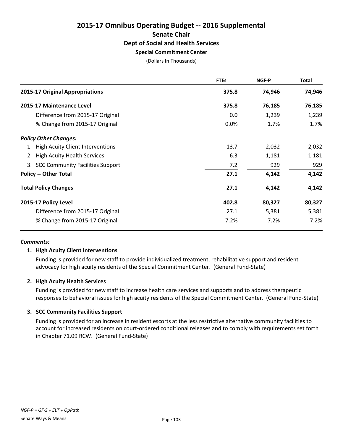# **2015-17 Omnibus Operating Budget -- 2016 Supplemental Senate Chair Dept of Social and Health Services Special Commitment Center**

(Dollars In Thousands)

|                                     | <b>FTEs</b> | <b>NGF-P</b> | <b>Total</b> |
|-------------------------------------|-------------|--------------|--------------|
| 2015-17 Original Appropriations     | 375.8       | 74,946       | 74,946       |
| 2015-17 Maintenance Level           | 375.8       | 76,185       | 76,185       |
| Difference from 2015-17 Original    | 0.0         | 1,239        | 1,239        |
| % Change from 2015-17 Original      | 0.0%        | 1.7%         | 1.7%         |
| <b>Policy Other Changes:</b>        |             |              |              |
| 1. High Acuity Client Interventions | 13.7        | 2,032        | 2,032        |
| 2. High Acuity Health Services      | 6.3         | 1,181        | 1,181        |
| 3. SCC Community Facilities Support | 7.2         | 929          | 929          |
| <b>Policy -- Other Total</b>        | 27.1        | 4,142        | 4,142        |
| <b>Total Policy Changes</b>         | 27.1        | 4,142        | 4,142        |
| 2015-17 Policy Level                | 402.8       | 80,327       | 80,327       |
| Difference from 2015-17 Original    | 27.1        | 5,381        | 5,381        |
| % Change from 2015-17 Original      | 7.2%        | 7.2%         | 7.2%         |

#### *Comments:*

# **1. High Acuity Client Interventions**

Funding is provided for new staff to provide individualized treatment, rehabilitative support and resident advocacy for high acuity residents of the Special Commitment Center. (General Fund-State)

#### **2. High Acuity Health Services**

Funding is provided for new staff to increase health care services and supports and to address therapeutic responses to behavioral issues for high acuity residents of the Special Commitment Center. (General Fund-State)

# **3. SCC Community Facilities Support**

Funding is provided for an increase in resident escorts at the less restrictive alternative community facilities to account for increased residents on court-ordered conditional releases and to comply with requirements set forth in Chapter 71.09 RCW. (General Fund-State)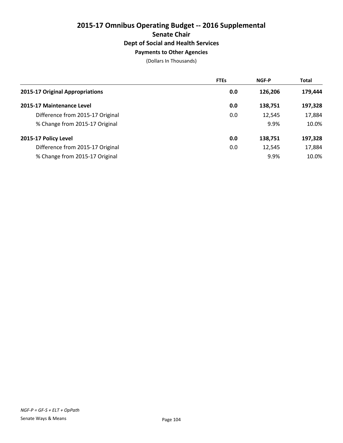# **2015-17 Omnibus Operating Budget -- 2016 Supplemental Senate Chair Dept of Social and Health Services Payments to Other Agencies**

|                                  | <b>FTEs</b> | <b>NGF-P</b> | <b>Total</b> |
|----------------------------------|-------------|--------------|--------------|
| 2015-17 Original Appropriations  | 0.0         | 126,206      | 179,444      |
| 2015-17 Maintenance Level        | 0.0         | 138,751      | 197,328      |
| Difference from 2015-17 Original | 0.0         | 12,545       | 17,884       |
| % Change from 2015-17 Original   |             | 9.9%         | 10.0%        |
| 2015-17 Policy Level             | 0.0         | 138,751      | 197,328      |
| Difference from 2015-17 Original | 0.0         | 12,545       | 17,884       |
| % Change from 2015-17 Original   |             | 9.9%         | 10.0%        |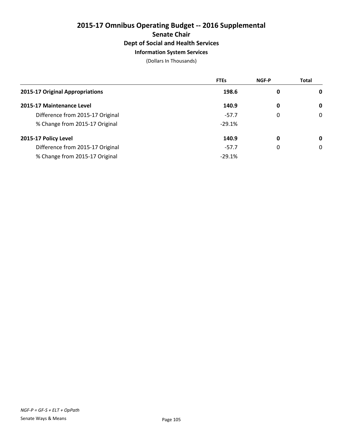# **2015-17 Omnibus Operating Budget -- 2016 Supplemental Senate Chair Dept of Social and Health Services Information System Services**

|                                  | <b>FTEs</b> | NGF-P | <b>Total</b> |
|----------------------------------|-------------|-------|--------------|
| 2015-17 Original Appropriations  | 198.6       | 0     | 0            |
| 2015-17 Maintenance Level        | 140.9       | 0     | 0            |
| Difference from 2015-17 Original | $-57.7$     | 0     | $\mathbf 0$  |
| % Change from 2015-17 Original   | $-29.1%$    |       |              |
| 2015-17 Policy Level             | 140.9       | 0     | 0            |
| Difference from 2015-17 Original | $-57.7$     | 0     | 0            |
| % Change from 2015-17 Original   | $-29.1%$    |       |              |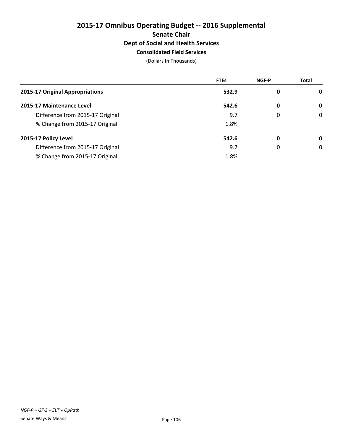# **2015-17 Omnibus Operating Budget -- 2016 Supplemental Senate Chair Dept of Social and Health Services Consolidated Field Services**

|                                  | <b>FTEs</b> | <b>NGF-P</b> | <b>Total</b> |
|----------------------------------|-------------|--------------|--------------|
| 2015-17 Original Appropriations  | 532.9       | 0            | 0            |
| 2015-17 Maintenance Level        | 542.6       | 0            | 0            |
| Difference from 2015-17 Original | 9.7         | 0            | 0            |
| % Change from 2015-17 Original   | 1.8%        |              |              |
| 2015-17 Policy Level             | 542.6       | 0            | 0            |
| Difference from 2015-17 Original | 9.7         | 0            | 0            |
| % Change from 2015-17 Original   | 1.8%        |              |              |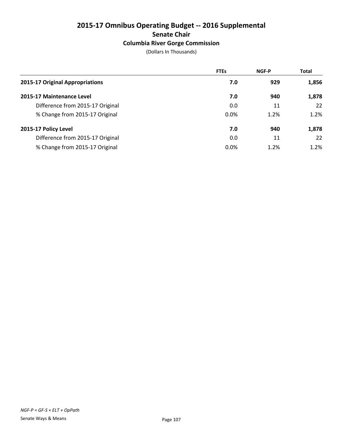# **2015-17 Omnibus Operating Budget -- 2016 Supplemental Senate Chair Columbia River Gorge Commission**

|  | (Dollars In Thousands) |
|--|------------------------|
|--|------------------------|

|                                  | <b>FTEs</b> | <b>NGF-P</b> | <b>Total</b> |
|----------------------------------|-------------|--------------|--------------|
| 2015-17 Original Appropriations  | 7.0         | 929          | 1,856        |
| 2015-17 Maintenance Level        | 7.0         | 940          | 1,878        |
| Difference from 2015-17 Original | 0.0         | 11           | 22           |
| % Change from 2015-17 Original   | 0.0%        | 1.2%         | 1.2%         |
| 2015-17 Policy Level             | 7.0         | 940          | 1,878        |
| Difference from 2015-17 Original | 0.0         | 11           | 22           |
| % Change from 2015-17 Original   | $0.0\%$     | 1.2%         | 1.2%         |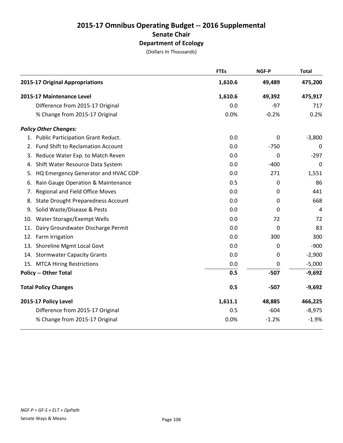|    |                                           | <b>FTEs</b> | NGF-P   | <b>Total</b> |
|----|-------------------------------------------|-------------|---------|--------------|
|    | 2015-17 Original Appropriations           | 1,610.6     | 49,489  | 475,200      |
|    | 2015-17 Maintenance Level                 | 1,610.6     | 49,392  | 475,917      |
|    | Difference from 2015-17 Original          | 0.0         | $-97$   | 717          |
|    | % Change from 2015-17 Original            | 0.0%        | $-0.2%$ | 0.2%         |
|    | <b>Policy Other Changes:</b>              |             |         |              |
|    | 1. Public Participation Grant Reduct.     | 0.0         | 0       | $-3,800$     |
|    | 2. Fund Shift to Reclamation Account      | 0.0         | $-750$  | 0            |
| 3. | Reduce Water Exp. to Match Reven          | 0.0         | 0       | $-297$       |
| 4. | Shift Water Resource Data System          | 0.0         | $-400$  | 0            |
| 5. | HQ Emergency Generator and HVAC COP       | 0.0         | 271     | 1,551        |
| 6. | Rain Gauge Operation & Maintenance        | 0.5         | 0       | 86           |
| 7. | Regional and Field Office Moves           | 0.0         | 0       | 441          |
| 8. | <b>State Drought Preparedness Account</b> | 0.0         | 0       | 668          |
|    | 9. Solid Waste/Disease & Pests            | 0.0         | 0       | 4            |
|    | 10. Water Storage/Exempt Wells            | 0.0         | 72      | 72           |
|    | 11. Dairy Groundwater Discharge Permit    | 0.0         | 0       | 83           |
|    | 12. Farm Irrigation                       | 0.0         | 300     | 300          |
|    | 13. Shoreline Mgmt Local Govt             | 0.0         | 0       | $-900$       |
|    | 14. Stormwater Capacity Grants            | 0.0         | 0       | $-2,900$     |
|    | 15. MTCA Hiring Restrictions              | 0.0         | 0       | $-5,000$     |
|    | <b>Policy -- Other Total</b>              | 0.5         | $-507$  | $-9,692$     |
|    | <b>Total Policy Changes</b>               | 0.5         | $-507$  | $-9,692$     |
|    | 2015-17 Policy Level                      | 1,611.1     | 48,885  | 466,225      |
|    | Difference from 2015-17 Original          | 0.5         | $-604$  | $-8,975$     |
|    | % Change from 2015-17 Original            | 0.0%        | $-1.2%$ | $-1.9%$      |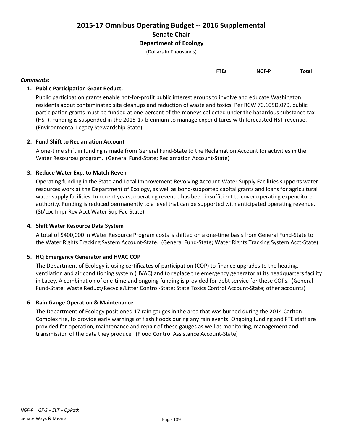(Dollars In Thousands)

| <b>NGF-P</b><br><b>FTEs</b> | Total |
|-----------------------------|-------|
|-----------------------------|-------|

#### *Comments:*

#### **1. Public Participation Grant Reduct.**

Public participation grants enable not-for-profit public interest groups to involve and educate Washington residents about contaminated site cleanups and reduction of waste and toxics. Per RCW 70.105D.070, public participation grants must be funded at one percent of the moneys collected under the hazardous substance tax (HST). Funding is suspended in the 2015-17 biennium to manage expenditures with forecasted HST revenue. (Environmental Legacy Stewardship-State)

#### **2. Fund Shift to Reclamation Account**

A one-time shift in funding is made from General Fund-State to the Reclamation Account for activities in the Water Resources program. (General Fund-State; Reclamation Account-State)

#### **3. Reduce Water Exp. to Match Reven**

Operating funding in the State and Local Improvement Revolving Account-Water Supply Facilities supports water resources work at the Department of Ecology, as well as bond-supported capital grants and loans for agricultural water supply facilities. In recent years, operating revenue has been insufficient to cover operating expenditure authority. Funding is reduced permanently to a level that can be supported with anticipated operating revenue. (St/Loc Impr Rev Acct Water Sup Fac-State)

#### **4. Shift Water Resource Data System**

A total of \$400,000 in Water Resource Program costs is shifted on a one-time basis from General Fund-State to the Water Rights Tracking System Account-State. (General Fund-State; Water Rights Tracking System Acct-State)

#### **5. HQ Emergency Generator and HVAC COP**

The Department of Ecology is using certificates of participation (COP) to finance upgrades to the heating, ventilation and air conditioning system (HVAC) and to replace the emergency generator at its headquarters facility in Lacey. A combination of one-time and ongoing funding is provided for debt service for these COPs. (General Fund-State; Waste Reduct/Recycle/Litter Control-State; State Toxics Control Account-State; other accounts)

#### **6. Rain Gauge Operation & Maintenance**

The Department of Ecology positioned 17 rain gauges in the area that was burned during the 2014 Carlton Complex fire, to provide early warnings of flash floods during any rain events. Ongoing funding and FTE staff are provided for operation, maintenance and repair of these gauges as well as monitoring, management and transmission of the data they produce. (Flood Control Assistance Account-State)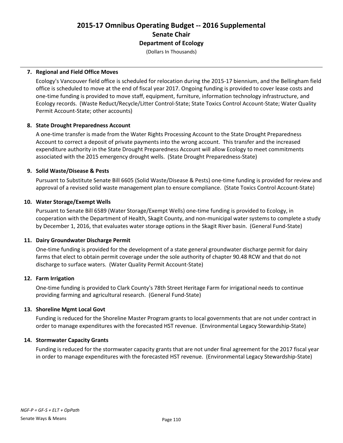(Dollars In Thousands)

#### **7. Regional and Field Office Moves**

Ecology's Vancouver field office is scheduled for relocation during the 2015-17 biennium, and the Bellingham field office is scheduled to move at the end of fiscal year 2017. Ongoing funding is provided to cover lease costs and one-time funding is provided to move staff, equipment, furniture, information technology infrastructure, and Ecology records. (Waste Reduct/Recycle/Litter Control-State; State Toxics Control Account-State; Water Quality Permit Account-State; other accounts)

#### **8. State Drought Preparedness Account**

A one-time transfer is made from the Water Rights Processing Account to the State Drought Preparedness Account to correct a deposit of private payments into the wrong account. This transfer and the increased expenditure authority in the State Drought Preparedness Account will allow Ecology to meet commitments associated with the 2015 emergency drought wells. (State Drought Preparedness-State)

#### **9. Solid Waste/Disease & Pests**

Pursuant to Substitute Senate Bill 6605 (Solid Waste/Disease & Pests) one-time funding is provided for review and approval of a revised solid waste management plan to ensure compliance. (State Toxics Control Account-State)

#### **10. Water Storage/Exempt Wells**

Pursuant to Senate Bill 6589 (Water Storage/Exempt Wells) one-time funding is provided to Ecology, in cooperation with the Department of Health, Skagit County, and non-municipal water systems to complete a study by December 1, 2016, that evaluates water storage options in the Skagit River basin. (General Fund-State)

#### **11. Dairy Groundwater Discharge Permit**

One-time funding is provided for the development of a state general groundwater discharge permit for dairy farms that elect to obtain permit coverage under the sole authority of chapter 90.48 RCW and that do not discharge to surface waters. (Water Quality Permit Account-State)

#### **12. Farm Irrigation**

One-time funding is provided to Clark County's 78th Street Heritage Farm for irrigational needs to continue providing farming and agricultural research. (General Fund-State)

#### **13. Shoreline Mgmt Local Govt**

Funding is reduced for the Shoreline Master Program grants to local governments that are not under contract in order to manage expenditures with the forecasted HST revenue. (Environmental Legacy Stewardship-State)

#### **14. Stormwater Capacity Grants**

Funding is reduced for the stormwater capacity grants that are not under final agreement for the 2017 fiscal year in order to manage expenditures with the forecasted HST revenue. (Environmental Legacy Stewardship-State)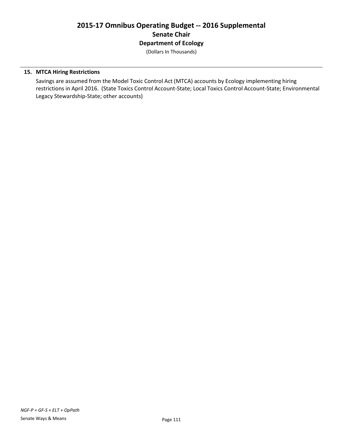(Dollars In Thousands)

#### **15. MTCA Hiring Restrictions**

Savings are assumed from the Model Toxic Control Act (MTCA) accounts by Ecology implementing hiring restrictions in April 2016. (State Toxics Control Account-State; Local Toxics Control Account-State; Environmental Legacy Stewardship-State; other accounts)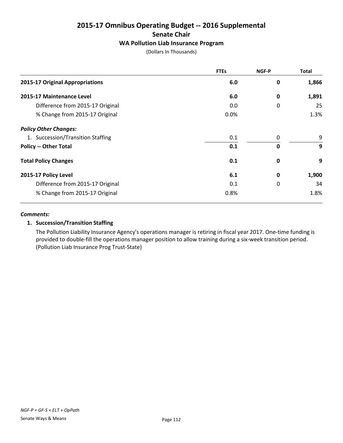# **2015-17 Omnibus Operating Budget -- 2016 Supplemental Senate Chair**

### **WA Pollution Liab Insurance Program**

(Dollars In Thousands)

|                                   | <b>FTEs</b> | NGF-P       | <b>Total</b> |
|-----------------------------------|-------------|-------------|--------------|
| 2015-17 Original Appropriations   | 6.0         | 0           | 1,866        |
| 2015-17 Maintenance Level         | 6.0         | 0           | 1,891        |
| Difference from 2015-17 Original  | 0.0         | 0           | 25           |
| % Change from 2015-17 Original    | 0.0%        |             | 1.3%         |
| <b>Policy Other Changes:</b>      |             |             |              |
| 1. Succession/Transition Staffing | 0.1         | 0           | 9            |
| <b>Policy -- Other Total</b>      | 0.1         | $\mathbf 0$ | 9            |
| <b>Total Policy Changes</b>       | 0.1         | $\mathbf 0$ | 9            |
| 2015-17 Policy Level              | 6.1         | $\mathbf 0$ | 1,900        |
| Difference from 2015-17 Original  | 0.1         | 0           | 34           |
| % Change from 2015-17 Original    | 0.8%        |             | 1.8%         |

#### *Comments:*

#### **1. Succession/Transition Staffing**

The Pollution Liability Insurance Agency's operations manager is retiring in fiscal year 2017. One-time funding is provided to double-fill the operations manager position to allow training during a six-week transition period. (Pollution Liab Insurance Prog Trust-State)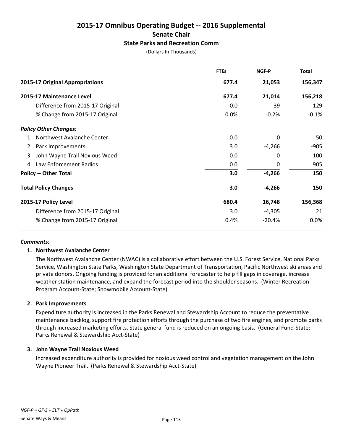### **2015-17 Omnibus Operating Budget -- 2016 Supplemental Senate Chair State Parks and Recreation Comm**

(Dollars In Thousands)

|                                  | <b>FTEs</b> | NGF-P    | <b>Total</b> |
|----------------------------------|-------------|----------|--------------|
| 2015-17 Original Appropriations  | 677.4       | 21,053   | 156,347      |
| 2015-17 Maintenance Level        | 677.4       | 21,014   | 156,218      |
| Difference from 2015-17 Original | 0.0         | $-39$    | $-129$       |
| % Change from 2015-17 Original   | 0.0%        | $-0.2%$  | $-0.1%$      |
| <b>Policy Other Changes:</b>     |             |          |              |
| 1. Northwest Avalanche Center    | 0.0         | 0        | 50           |
| 2. Park Improvements             | 3.0         | $-4,266$ | -905         |
| 3. John Wayne Trail Noxious Weed | 0.0         | 0        | 100          |
| 4. Law Enforcement Radios        | 0.0         | 0        | 905          |
| <b>Policy -- Other Total</b>     | 3.0         | $-4,266$ | 150          |
| <b>Total Policy Changes</b>      | 3.0         | $-4,266$ | 150          |
| 2015-17 Policy Level             | 680.4       | 16,748   | 156,368      |
| Difference from 2015-17 Original | 3.0         | $-4,305$ | 21           |
| % Change from 2015-17 Original   | 0.4%        | $-20.4%$ | 0.0%         |

#### *Comments:*

#### **1. Northwest Avalanche Center**

The Northwest Avalanche Center (NWAC) is a collaborative effort between the U.S. Forest Service, National Parks Service, Washington State Parks, Washington State Department of Transportation, Pacific Northwest ski areas and private donors. Ongoing funding is provided for an additional forecaster to help fill gaps in coverage, increase weather station maintenance, and expand the forecast period into the shoulder seasons. (Winter Recreation Program Account-State; Snowmobile Account-State)

#### **2. Park Improvements**

Expenditure authority is increased in the Parks Renewal and Stewardship Account to reduce the preventative maintenance backlog, support fire protection efforts through the purchase of two fire engines, and promote parks through increased marketing efforts. State general fund is reduced on an ongoing basis. (General Fund-State; Parks Renewal & Stewardship Acct-State)

#### **3. John Wayne Trail Noxious Weed**

Increased expenditure authority is provided for noxious weed control and vegetation management on the John Wayne Pioneer Trail. (Parks Renewal & Stewardship Acct-State)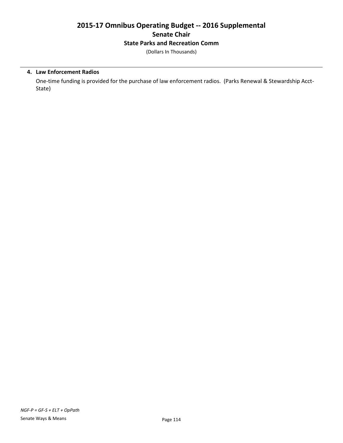# **2015-17 Omnibus Operating Budget -- 2016 Supplemental Senate Chair State Parks and Recreation Comm**

(Dollars In Thousands)

#### **4. Law Enforcement Radios**

One-time funding is provided for the purchase of law enforcement radios. (Parks Renewal & Stewardship Acct-State)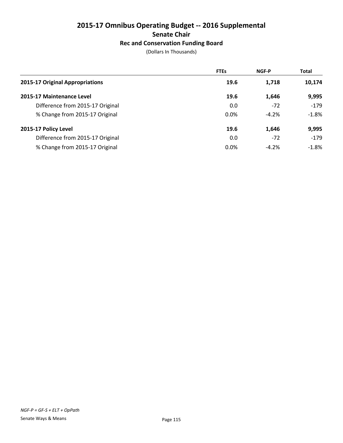# **2015-17 Omnibus Operating Budget -- 2016 Supplemental Senate Chair Rec and Conservation Funding Board**

|                                  | <b>FTEs</b> | <b>NGF-P</b> | <b>Total</b> |
|----------------------------------|-------------|--------------|--------------|
| 2015-17 Original Appropriations  | 19.6        | 1,718        | 10,174       |
| 2015-17 Maintenance Level        | 19.6        | 1,646        | 9,995        |
| Difference from 2015-17 Original | 0.0         | $-72$        | $-179$       |
| % Change from 2015-17 Original   | 0.0%        | $-4.2%$      | $-1.8%$      |
| 2015-17 Policy Level             | 19.6        | 1,646        | 9,995        |
| Difference from 2015-17 Original | 0.0         | $-72$        | $-179$       |
| % Change from 2015-17 Original   | 0.0%        | $-4.2%$      | $-1.8\%$     |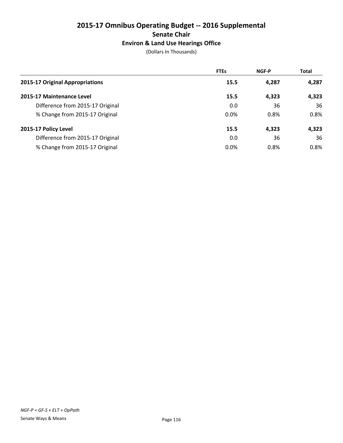# **2015-17 Omnibus Operating Budget -- 2016 Supplemental Senate Chair Environ & Land Use Hearings Office**

|                                  | <b>FTEs</b> | <b>NGF-P</b> | <b>Total</b> |
|----------------------------------|-------------|--------------|--------------|
| 2015-17 Original Appropriations  | 15.5        | 4,287        | 4,287        |
| 2015-17 Maintenance Level        | 15.5        | 4,323        | 4,323        |
| Difference from 2015-17 Original | 0.0         | 36           | 36           |
| % Change from 2015-17 Original   | 0.0%        | 0.8%         | 0.8%         |
| 2015-17 Policy Level             | 15.5        | 4,323        | 4,323        |
| Difference from 2015-17 Original | 0.0         | 36           | 36           |
| % Change from 2015-17 Original   | 0.0%        | 0.8%         | 0.8%         |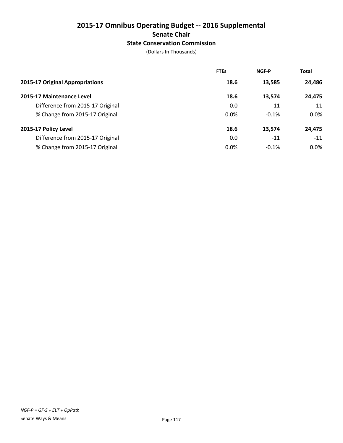# **2015-17 Omnibus Operating Budget -- 2016 Supplemental Senate Chair State Conservation Commission**

|                                  | <b>FTEs</b> | <b>NGF-P</b> | <b>Total</b> |
|----------------------------------|-------------|--------------|--------------|
| 2015-17 Original Appropriations  | 18.6        | 13,585       | 24,486       |
| 2015-17 Maintenance Level        | 18.6        | 13,574       | 24,475       |
| Difference from 2015-17 Original | 0.0         | $-11$        | $-11$        |
| % Change from 2015-17 Original   | 0.0%        | $-0.1%$      | $0.0\%$      |
| 2015-17 Policy Level             | 18.6        | 13,574       | 24,475       |
| Difference from 2015-17 Original | 0.0         | $-11$        | $-11$        |
| % Change from 2015-17 Original   | 0.0%        | $-0.1%$      | $0.0\%$      |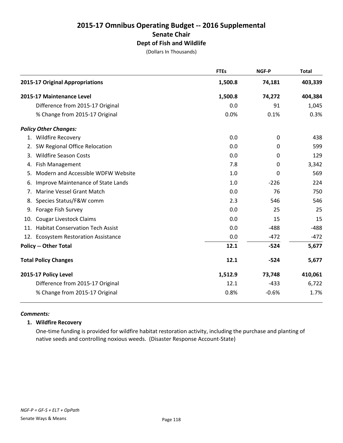# **2015-17 Omnibus Operating Budget -- 2016 Supplemental Senate Chair Dept of Fish and Wildlife**

(Dollars In Thousands)

|    |                                      | <b>FTEs</b> | <b>NGF-P</b> | <b>Total</b> |
|----|--------------------------------------|-------------|--------------|--------------|
|    | 2015-17 Original Appropriations      | 1,500.8     | 74,181       | 403,339      |
|    | 2015-17 Maintenance Level            | 1,500.8     | 74,272       | 404,384      |
|    | Difference from 2015-17 Original     | 0.0         | 91           | 1,045        |
|    | % Change from 2015-17 Original       | 0.0%        | 0.1%         | 0.3%         |
|    | <b>Policy Other Changes:</b>         |             |              |              |
|    | 1. Wildfire Recovery                 | 0.0         | 0            | 438          |
| 2. | SW Regional Office Relocation        | 0.0         | 0            | 599          |
| 3. | <b>Wildfire Season Costs</b>         | 0.0         | 0            | 129          |
|    | 4. Fish Management                   | 7.8         | 0            | 3,342        |
| 5. | Modern and Accessible WDFW Website   | 1.0         | 0            | 569          |
| 6. | Improve Maintenance of State Lands   | 1.0         | $-226$       | 224          |
| 7. | Marine Vessel Grant Match            | 0.0         | 76           | 750          |
|    | 8. Species Status/F&W comm           | 2.3         | 546          | 546          |
|    | 9. Forage Fish Survey                | 0.0         | 25           | 25           |
|    | 10. Cougar Livestock Claims          | 0.0         | 15           | 15           |
|    | 11. Habitat Conservation Tech Assist | 0.0         | $-488$       | $-488$       |
|    | 12. Ecosystem Restoration Assistance | 0.0         | $-472$       | $-472$       |
|    | <b>Policy -- Other Total</b>         | 12.1        | $-524$       | 5,677        |
|    | <b>Total Policy Changes</b>          | 12.1        | $-524$       | 5,677        |
|    | 2015-17 Policy Level                 | 1,512.9     | 73,748       | 410,061      |
|    | Difference from 2015-17 Original     | 12.1        | $-433$       | 6,722        |
|    | % Change from 2015-17 Original       | 0.8%        | $-0.6%$      | 1.7%         |

#### *Comments:*

#### **1. Wildfire Recovery**

One-time funding is provided for wildfire habitat restoration activity, including the purchase and planting of native seeds and controlling noxious weeds. (Disaster Response Account-State)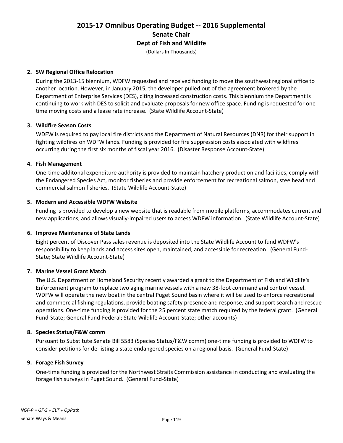### **2015-17 Omnibus Operating Budget -- 2016 Supplemental Senate Chair Dept of Fish and Wildlife**

(Dollars In Thousands)

#### **2. SW Regional Office Relocation**

During the 2013-15 biennium, WDFW requested and received funding to move the southwest regional office to another location. However, in January 2015, the developer pulled out of the agreement brokered by the Department of Enterprise Services (DES), citing increased construction costs. This biennium the Department is continuing to work with DES to solicit and evaluate proposals for new office space. Funding is requested for onetime moving costs and a lease rate increase. (State Wildlife Account-State)

#### **3. Wildfire Season Costs**

WDFW is required to pay local fire districts and the Department of Natural Resources (DNR) for their support in fighting wildfires on WDFW lands. Funding is provided for fire suppression costs associated with wildfires occurring during the first six months of fiscal year 2016. (Disaster Response Account-State)

#### **4. Fish Management**

One-time additonal expenditure authority is provided to maintain hatchery production and facilities, comply with the Endangered Species Act, monitor fisheries and provide enforcement for recreational salmon, steelhead and commercial salmon fisheries. (State Wildlife Account-State)

#### **5. Modern and Accessible WDFW Website**

Funding is provided to develop a new website that is readable from mobile platforms, accommodates current and new applications, and allows visually-impaired users to access WDFW information. (State Wildlife Account-State)

#### **6. Improve Maintenance of State Lands**

Eight percent of Discover Pass sales revenue is deposited into the State Wildlife Account to fund WDFW's responsibility to keep lands and access sites open, maintained, and accessible for recreation. (General Fund-State; State Wildlife Account-State)

#### **7. Marine Vessel Grant Match**

The U.S. Department of Homeland Security recently awarded a grant to the Department of Fish and Wildlife's Enforcement program to replace two aging marine vessels with a new 38-foot command and control vessel. WDFW will operate the new boat in the central Puget Sound basin where it will be used to enforce recreational and commercial fishing regulations, provide boating safety presence and response, and support search and rescue operations. One-time funding is provided for the 25 percent state match required by the federal grant. (General Fund-State; General Fund-Federal; State Wildlife Account-State; other accounts)

#### **8. Species Status/F&W comm**

Pursuant to Substitute Senate Bill 5583 (Species Status/F&W comm) one-time funding is provided to WDFW to consider petitions for de-listing a state endangered species on a regional basis. (General Fund-State)

#### **9. Forage Fish Survey**

One-time funding is provided for the Northwest Straits Commission assistance in conducting and evaluating the forage fish surveys in Puget Sound. (General Fund-State)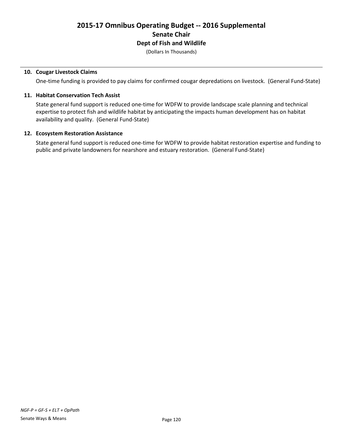(Dollars In Thousands)

#### **10. Cougar Livestock Claims**

One-time funding is provided to pay claims for confirmed cougar depredations on livestock. (General Fund-State)

#### **11. Habitat Conservation Tech Assist**

State general fund support is reduced one-time for WDFW to provide landscape scale planning and technical expertise to protect fish and wildlife habitat by anticipating the impacts human development has on habitat availability and quality. (General Fund-State)

#### **12. Ecosystem Restoration Assistance**

State general fund support is reduced one-time for WDFW to provide habitat restoration expertise and funding to public and private landowners for nearshore and estuary restoration. (General Fund-State)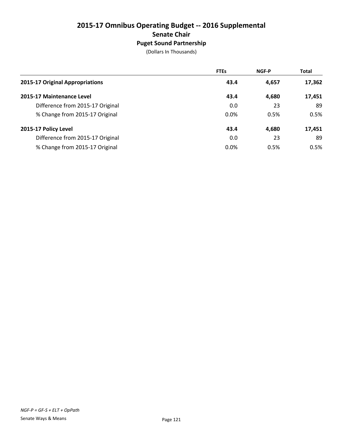# **2015-17 Omnibus Operating Budget -- 2016 Supplemental Senate Chair Puget Sound Partnership**

|                                  | <b>FTEs</b> | <b>NGF-P</b> | <b>Total</b> |
|----------------------------------|-------------|--------------|--------------|
| 2015-17 Original Appropriations  | 43.4        | 4,657        | 17,362       |
| 2015-17 Maintenance Level        | 43.4        | 4,680        | 17,451       |
| Difference from 2015-17 Original | 0.0         | 23           | 89           |
| % Change from 2015-17 Original   | $0.0\%$     | 0.5%         | 0.5%         |
| 2015-17 Policy Level             | 43.4        | 4,680        | 17,451       |
| Difference from 2015-17 Original | 0.0         | 23           | 89           |
| % Change from 2015-17 Original   | 0.0%        | 0.5%         | 0.5%         |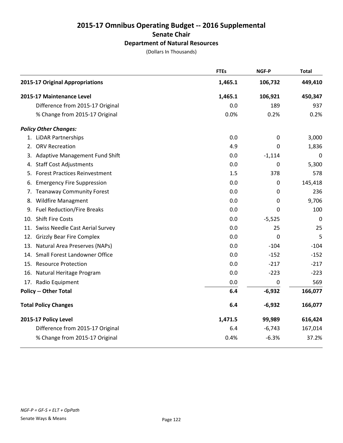# **2015-17 Omnibus Operating Budget -- 2016 Supplemental Senate Chair Department of Natural Resources**

|                                     | <b>FTEs</b> | <b>NGF-P</b>     | <b>Total</b> |
|-------------------------------------|-------------|------------------|--------------|
| 2015-17 Original Appropriations     | 1,465.1     | 106,732          | 449,410      |
| 2015-17 Maintenance Level           | 1,465.1     | 106,921          | 450,347      |
| Difference from 2015-17 Original    | 0.0         | 189              | 937          |
| % Change from 2015-17 Original      | 0.0%        | 0.2%             | 0.2%         |
| <b>Policy Other Changes:</b>        |             |                  |              |
| 1. LiDAR Partnerships               | 0.0         | 0                | 3,000        |
| 2. ORV Recreation                   | 4.9         | 0                | 1,836        |
| 3. Adaptive Management Fund Shift   | 0.0         | $-1,114$         | $\mathbf 0$  |
| 4. Staff Cost Adjustments           | 0.0         | 0                | 5,300        |
| 5. Forest Practices Reinvestment    | 1.5         | 378              | 578          |
| 6. Emergency Fire Suppression       | 0.0         | 0                | 145,418      |
| 7. Teanaway Community Forest        | 0.0         | 0                | 236          |
| 8. Wildfire Managment               | 0.0         | 0                | 9,706        |
| 9. Fuel Reduction/Fire Breaks       | 0.0         | 0                | 100          |
| 10. Shift Fire Costs                | 0.0         | $-5,525$         | $\mathbf 0$  |
| 11. Swiss Needle Cast Aerial Survey | 0.0         | 25               | 25           |
| 12. Grizzly Bear Fire Complex       | 0.0         | 0                | 5            |
| 13. Natural Area Preserves (NAPs)   | 0.0         | $-104$           | $-104$       |
| 14. Small Forest Landowner Office   | 0.0         | $-152$           | $-152$       |
| 15. Resource Protection             | 0.0         | $-217$           | $-217$       |
| 16. Natural Heritage Program        | 0.0         | $-223$           | $-223$       |
| 17. Radio Equipment                 | 0.0         | $\boldsymbol{0}$ | 569          |
| <b>Policy -- Other Total</b>        | 6.4         | $-6,932$         | 166,077      |
| <b>Total Policy Changes</b>         | 6.4         | $-6,932$         | 166,077      |
| 2015-17 Policy Level                | 1,471.5     | 99,989           | 616,424      |
| Difference from 2015-17 Original    | 6.4         | $-6,743$         | 167,014      |
| % Change from 2015-17 Original      | 0.4%        | $-6.3%$          | 37.2%        |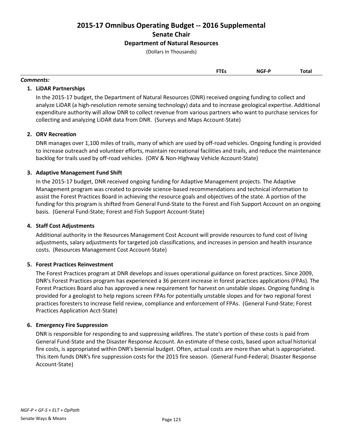**2015-17 Omnibus Operating Budget -- 2016 Supplemental Senate Chair**

### **Department of Natural Resources**

(Dollars In Thousands)

| <b>FTEs</b><br>$\sim$ | NGF-P<br>______ | Total |
|-----------------------|-----------------|-------|
|                       |                 |       |

#### *Comments:*

#### **1. LiDAR Partnerships**

In the 2015-17 budget, the Department of Natural Resources (DNR) received ongoing funding to collect and analyze LiDAR (a high-resolution remote sensing technology) data and to increase geological expertise. Additional expenditure authority will allow DNR to collect revenue from various partners who want to purchase services for collecting and analyzing LiDAR data from DNR. (Surveys and Maps Account-State)

#### **2. ORV Recreation**

DNR manages over 1,100 miles of trails, many of which are used by off-road vehicles. Ongoing funding is provided to increase outreach and volunteer efforts, maintain recreational facilities and trails, and reduce the maintenance backlog for trails used by off-road vehicles. (ORV & Non-Highway Vehicle Account-State)

#### **3. Adaptive Management Fund Shift**

In the 2015-17 budget, DNR received ongoing funding for Adaptive Management projects. The Adaptive Management program was created to provide science-based recommendations and technical information to assist the Forest Practices Board in achieving the resource goals and objectives of the state. A portion of the funding for this program is shifted from General Fund-State to the Forest and Fish Support Account on an ongoing basis. (General Fund-State; Forest and Fish Support Account-State)

#### **4. Staff Cost Adjustments**

Additional authority in the Resources Management Cost Account will provide resources to fund cost of living adjustments, salary adjustments for targeted job classifications, and increases in pension and health insurance costs. (Resources Management Cost Account-State)

#### **5. Forest Practices Reinvestment**

The Forest Practices program at DNR develops and issues operational guidance on forest practices. Since 2009, DNR's Forest Practices program has experienced a 36 percent increase in forest practices applications (FPAs). The Forest Practices Board also has approved a new requirement for harvest on unstable slopes. Ongoing funding is provided for a geologist to help regions screen FPAs for potentially unstable slopes and for two regional forest practices foresters to increase field review, compliance and enforcement of FPAs. (General Fund-State; Forest Practices Application Acct-State)

#### **6. Emergency Fire Suppression**

DNR is responsible for responding to and suppressing wildfires. The state's portion of these costs is paid from General Fund-State and the Disaster Response Account. An estimate of these costs, based upon actual historical fire costs, is appropriated within DNR's biennial budget. Often, actual costs are more than what is appropriated. This item funds DNR's fire suppression costs for the 2015 fire season. (General Fund-Federal; Disaster Response Account-State)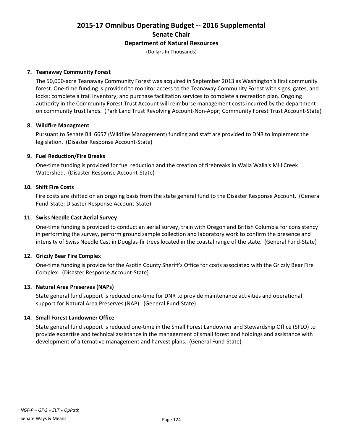### **2015-17 Omnibus Operating Budget -- 2016 Supplemental Senate Chair Department of Natural Resources**

(Dollars In Thousands)

#### **7. Teanaway Community Forest**

The 50,000-acre Teanaway Community Forest was acquired in September 2013 as Washington's first community forest. One-time funding is provided to monitor access to the Teanaway Community Forest with signs, gates, and locks; complete a trail inventory; and purchase facilitation services to complete a recreation plan. Ongoing authority in the Community Forest Trust Account will reimburse management costs incurred by the department on community trust lands. (Park Land Trust Revolving Account-Non-Appr; Community Forest Trust Account-State)

#### **8. Wildfire Managment**

Pursuant to Senate Bill 6657 (Wildfire Management) funding and staff are provided to DNR to implement the legislation. (Disaster Response Account-State)

#### **9. Fuel Reduction/Fire Breaks**

One-time funding is provided for fuel reduction and the creation of firebreaks in Walla Walla's Mill Creek Watershed. (Disaster Response Account-State)

#### **10. Shift Fire Costs**

Fire costs are shifted on an ongoing basis from the state general fund to the Disaster Response Account. (General Fund-State; Disaster Response Account-State)

#### **11. Swiss Needle Cast Aerial Survey**

One-time funding is provided to conduct an aerial survey, train with Oregon and British Columbia for consistency in performing the survey, perform ground sample collection and laboratory work to confirm the presence and intensity of Swiss Needle Cast in Douglas-fir trees located in the coastal range of the state. (General Fund-State)

#### **12. Grizzly Bear Fire Complex**

One-time funding is provide for the Asotin County Sheriff's Office for costs associated with the Grizzly Bear Fire Complex. (Disaster Response Account-State)

#### **13. Natural Area Preserves (NAPs)**

State general fund support is reduced one-time for DNR to provide maintenance activities and operational support for Natural Area Preserves (NAP). (General Fund-State)

#### **14. Small Forest Landowner Office**

State general fund support is reduced one-time in the Small Forest Landowner and Stewardship Office (SFLO) to provide expertise and technical assistance in the management of small forestland holdings and assistance with development of alternative management and harvest plans. (General Fund-State)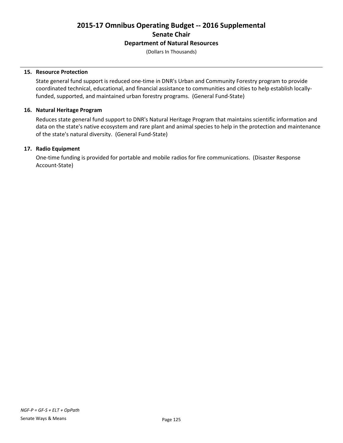### **2015-17 Omnibus Operating Budget -- 2016 Supplemental Senate Chair Department of Natural Resources**

(Dollars In Thousands)

#### **15. Resource Protection**

State general fund support is reduced one-time in DNR's Urban and Community Forestry program to provide coordinated technical, educational, and financial assistance to communities and cities to help establish locallyfunded, supported, and maintained urban forestry programs. (General Fund-State)

#### **16. Natural Heritage Program**

Reduces state general fund support to DNR's Natural Heritage Program that maintains scientific information and data on the state's native ecosystem and rare plant and animal species to help in the protection and maintenance of the state's natural diversity. (General Fund-State)

#### **17. Radio Equipment**

One-time funding is provided for portable and mobile radios for fire communications. (Disaster Response Account-State)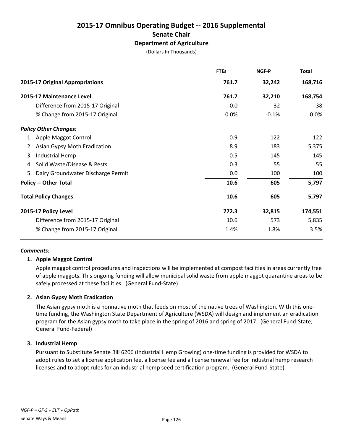(Dollars In Thousands)

|                                          | <b>FTEs</b> | NGF-P   | <b>Total</b> |
|------------------------------------------|-------------|---------|--------------|
| 2015-17 Original Appropriations          | 761.7       | 32,242  | 168,716      |
| 2015-17 Maintenance Level                | 761.7       | 32,210  | 168,754      |
| Difference from 2015-17 Original         | 0.0         | $-32$   | 38           |
| % Change from 2015-17 Original           | 0.0%        | $-0.1%$ | 0.0%         |
| <b>Policy Other Changes:</b>             |             |         |              |
| 1. Apple Maggot Control                  | 0.9         | 122     | 122          |
| 2. Asian Gypsy Moth Eradication          | 8.9         | 183     | 5,375        |
| Industrial Hemp<br>3.                    | 0.5         | 145     | 145          |
| 4. Solid Waste/Disease & Pests           | 0.3         | 55      | 55           |
| Dairy Groundwater Discharge Permit<br>5. | 0.0         | 100     | 100          |
| <b>Policy -- Other Total</b>             | 10.6        | 605     | 5,797        |
| <b>Total Policy Changes</b>              | 10.6        | 605     | 5,797        |
| 2015-17 Policy Level                     | 772.3       | 32,815  | 174,551      |
| Difference from 2015-17 Original         | 10.6        | 573     | 5,835        |
| % Change from 2015-17 Original           | 1.4%        | 1.8%    | 3.5%         |

#### *Comments:*

#### **1. Apple Maggot Control**

Apple maggot control procedures and inspections will be implemented at compost facilities in areas currently free of apple maggots. This ongoing funding will allow municipal solid waste from apple maggot quarantine areas to be safely processed at these facilities. (General Fund-State)

#### **2. Asian Gypsy Moth Eradication**

The Asian gypsy moth is a nonnative moth that feeds on most of the native trees of Washington. With this onetime funding, the Washington State Department of Agriculture (WSDA) will design and implement an eradication program for the Asian gypsy moth to take place in the spring of 2016 and spring of 2017. (General Fund-State; General Fund-Federal)

#### **3. Industrial Hemp**

Pursuant to Substitute Senate Bill 6206 (Industrial Hemp Growing) one-time funding is provided for WSDA to adopt rules to set a license application fee, a license fee and a license renewal fee for industrial hemp research licenses and to adopt rules for an industrial hemp seed certification program. (General Fund-State)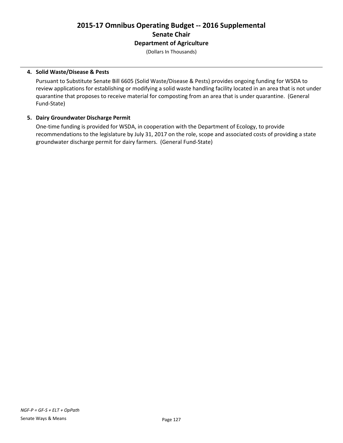(Dollars In Thousands)

#### **4. Solid Waste/Disease & Pests**

Pursuant to Substitute Senate Bill 6605 (Solid Waste/Disease & Pests) provides ongoing funding for WSDA to review applications for establishing or modifying a solid waste handling facility located in an area that is not under quarantine that proposes to receive material for composting from an area that is under quarantine. (General Fund-State)

#### **5. Dairy Groundwater Discharge Permit**

One-time funding is provided for WSDA, in cooperation with the Department of Ecology, to provide recommendations to the legislature by July 31, 2017 on the role, scope and associated costs of providing a state groundwater discharge permit for dairy farmers. (General Fund-State)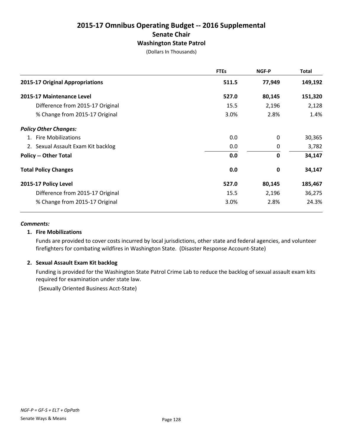### **2015-17 Omnibus Operating Budget -- 2016 Supplemental Senate Chair Washington State Patrol**

(Dollars In Thousands)

|                                    | <b>FTEs</b> | <b>NGF-P</b> | Total   |
|------------------------------------|-------------|--------------|---------|
| 2015-17 Original Appropriations    | 511.5       | 77,949       | 149,192 |
| 2015-17 Maintenance Level          | 527.0       | 80,145       | 151,320 |
| Difference from 2015-17 Original   | 15.5        | 2,196        | 2,128   |
| % Change from 2015-17 Original     | 3.0%        | 2.8%         | 1.4%    |
| <b>Policy Other Changes:</b>       |             |              |         |
| 1. Fire Mobilizations              | 0.0         | 0            | 30,365  |
| 2. Sexual Assault Exam Kit backlog | 0.0         | 0            | 3,782   |
| <b>Policy -- Other Total</b>       | 0.0         | $\mathbf 0$  | 34,147  |
| <b>Total Policy Changes</b>        | 0.0         | 0            | 34,147  |
| 2015-17 Policy Level               | 527.0       | 80,145       | 185,467 |
| Difference from 2015-17 Original   | 15.5        | 2,196        | 36,275  |
| % Change from 2015-17 Original     | 3.0%        | 2.8%         | 24.3%   |

#### *Comments:*

#### **1. Fire Mobilizations**

Funds are provided to cover costs incurred by local jurisdictions, other state and federal agencies, and volunteer firefighters for combating wildfires in Washington State. (Disaster Response Account-State)

#### **2. Sexual Assault Exam Kit backlog**

Funding is provided for the Washington State Patrol Crime Lab to reduce the backlog of sexual assault exam kits required for examination under state law.

(Sexually Oriented Business Acct-State)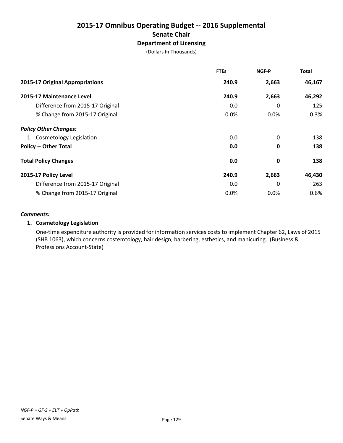(Dollars In Thousands)

|                                  | <b>FTEs</b> | NGF-P        | <b>Total</b> |
|----------------------------------|-------------|--------------|--------------|
| 2015-17 Original Appropriations  | 240.9       | 2,663        | 46,167       |
| 2015-17 Maintenance Level        | 240.9       | 2,663        | 46,292       |
| Difference from 2015-17 Original | 0.0         | $\Omega$     | 125          |
| % Change from 2015-17 Original   | 0.0%        | $0.0\%$      | 0.3%         |
| <b>Policy Other Changes:</b>     |             |              |              |
| 1. Cosmetology Legislation       | 0.0         | 0            | 138          |
| <b>Policy -- Other Total</b>     | 0.0         | $\mathbf{0}$ | 138          |
| <b>Total Policy Changes</b>      | 0.0         | 0            | 138          |
| 2015-17 Policy Level             | 240.9       | 2,663        | 46,430       |
| Difference from 2015-17 Original | 0.0         | $\Omega$     | 263          |
| % Change from 2015-17 Original   | 0.0%        | 0.0%         | 0.6%         |

#### *Comments:*

#### **1. Cosmetology Legislation**

One-time expenditure authority is provided for information services costs to implement Chapter 62, Laws of 2015 (SHB 1063), which concerns costemtology, hair design, barbering, esthetics, and manicuring. (Business & Professions Account-State)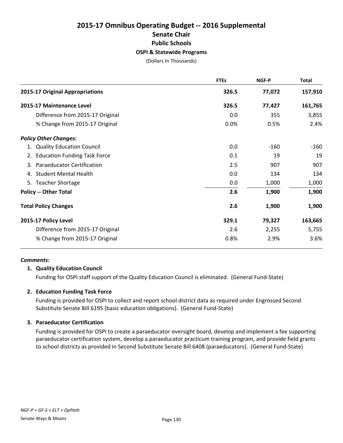# **2015-17 Omnibus Operating Budget -- 2016 Supplemental Senate Chair Public Schools OSPI & Statewide Programs**

(Dollars In Thousands)

|                                           | <b>FTEs</b> | <b>NGF-P</b> | <b>Total</b> |
|-------------------------------------------|-------------|--------------|--------------|
| 2015-17 Original Appropriations           | 326.5       | 77,072       | 157,910      |
| 2015-17 Maintenance Level                 | 326.5       | 77,427       | 161,765      |
| Difference from 2015-17 Original          | 0.0         | 355          | 3,855        |
| % Change from 2015-17 Original            | 0.0%        | 0.5%         | 2.4%         |
| <b>Policy Other Changes:</b>              |             |              |              |
| 1. Quality Education Council              | 0.0         | $-160$       | -160         |
| <b>Education Funding Task Force</b><br>2. | 0.1         | 19           | 19           |
| 3. Paraeducator Certification             | 2.5         | 907          | 907          |
| <b>Student Mental Health</b><br>4.        | 0.0         | 134          | 134          |
| 5. Teacher Shortage                       | 0.0         | 1,000        | 1,000        |
| <b>Policy -- Other Total</b>              | 2.6         | 1,900        | 1,900        |
| <b>Total Policy Changes</b>               | 2.6         | 1,900        | 1,900        |
| 2015-17 Policy Level                      | 329.1       | 79,327       | 163,665      |
| Difference from 2015-17 Original          | 2.6         | 2,255        | 5,755        |
| % Change from 2015-17 Original            | 0.8%        | 2.9%         | 3.6%         |

#### *Comments:*

#### **1. Quality Education Council**

Funding for OSPI staff support of the Quality Education Council is eliminated. (General Fund-State)

#### **2. Education Funding Task Force**

Funding is provided for OSPI to collect and report school district data as required under Engrossed Second Substitute Senate Bill 6195 (basic education obligations). (General Fund-State)

#### **3. Paraeducator Certification**

Funding is provided for OSPI to create a paraeducator oversight board, develop and implement a fee supporting paraeducator certification system, develop a paraeducator practicum training program, and provide field grants to school districts as provided in Second Substitute Senate Bill 6408 (paraeducators). (General Fund-State)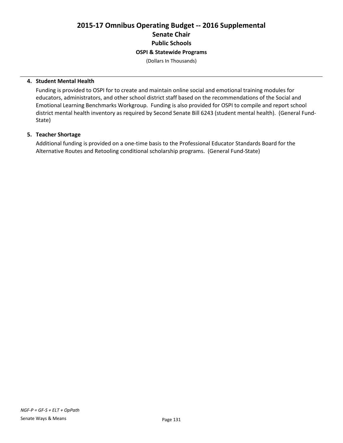# **2015-17 Omnibus Operating Budget -- 2016 Supplemental Senate Chair Public Schools OSPI & Statewide Programs**

(Dollars In Thousands)

#### **4. Student Mental Health**

Funding is provided to OSPI for to create and maintain online social and emotional training modules for educators, administrators, and other school district staff based on the recommendations of the Social and Emotional Learning Benchmarks Workgroup. Funding is also provided for OSPI to compile and report school district mental health inventory as required by Second Senate Bill 6243 (student mental health). (General Fund-State)

#### **5. Teacher Shortage**

Additional funding is provided on a one-time basis to the Professional Educator Standards Board for the Alternative Routes and Retooling conditional scholarship programs. (General Fund-State)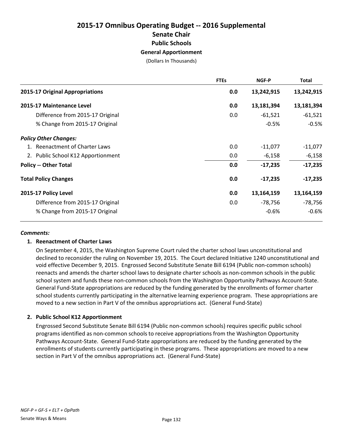# **2015-17 Omnibus Operating Budget -- 2016 Supplemental Senate Chair Public Schools General Apportionment**

(Dollars In Thousands)

|                                        | <b>FTEs</b> | NGF-P      | <b>Total</b> |
|----------------------------------------|-------------|------------|--------------|
| <b>2015-17 Original Appropriations</b> | 0.0         | 13,242,915 | 13,242,915   |
| 2015-17 Maintenance Level              | 0.0         | 13,181,394 | 13,181,394   |
| Difference from 2015-17 Original       | 0.0         | $-61,521$  | $-61,521$    |
| % Change from 2015-17 Original         |             | $-0.5%$    | $-0.5%$      |
| <b>Policy Other Changes:</b>           |             |            |              |
| 1. Reenactment of Charter Laws         | 0.0         | $-11,077$  | $-11,077$    |
| 2. Public School K12 Apportionment     | 0.0         | $-6,158$   | $-6,158$     |
| <b>Policy -- Other Total</b>           | 0.0         | $-17,235$  | $-17,235$    |
| <b>Total Policy Changes</b>            | 0.0         | $-17,235$  | $-17,235$    |
| 2015-17 Policy Level                   | 0.0         | 13,164,159 | 13,164,159   |
| Difference from 2015-17 Original       | 0.0         | -78,756    | -78,756      |
| % Change from 2015-17 Original         |             | $-0.6%$    | $-0.6%$      |

#### *Comments:*

#### **1. Reenactment of Charter Laws**

On September 4, 2015, the Washington Supreme Court ruled the charter school laws unconstitutional and declined to reconsider the ruling on November 19, 2015. The Court declared Initiative 1240 unconstitutional and void effective December 9, 2015. Engrossed Second Substitute Senate Bill 6194 (Public non-common schools) reenacts and amends the charter school laws to designate charter schools as non-common schools in the public school system and funds these non-common schools from the Washington Opportunity Pathways Account-State. General Fund-State appropriations are reduced by the funding generated by the enrollments of former charter school students currently participating in the alternative learning experience program. These appropriations are moved to a new section in Part V of the omnibus appropriations act. (General Fund-State)

#### **2. Public School K12 Apportionment**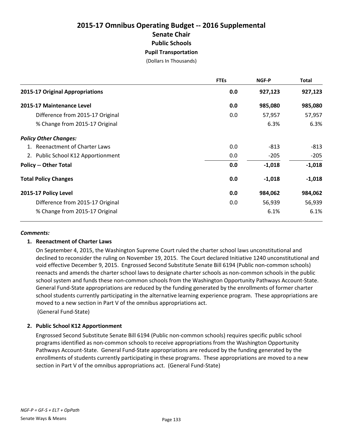# **2015-17 Omnibus Operating Budget -- 2016 Supplemental Senate Chair Public Schools Pupil Transportation**

(Dollars In Thousands)

|                                    | <b>FTEs</b> | NGF-P    | <b>Total</b> |
|------------------------------------|-------------|----------|--------------|
| 2015-17 Original Appropriations    | 0.0         | 927,123  | 927,123      |
| 2015-17 Maintenance Level          | 0.0         | 985,080  | 985,080      |
| Difference from 2015-17 Original   | 0.0         | 57,957   | 57,957       |
| % Change from 2015-17 Original     |             | 6.3%     | 6.3%         |
| <b>Policy Other Changes:</b>       |             |          |              |
| 1. Reenactment of Charter Laws     | 0.0         | $-813$   | $-813$       |
| 2. Public School K12 Apportionment | 0.0         | $-205$   | $-205$       |
| <b>Policy -- Other Total</b>       | 0.0         | $-1,018$ | $-1,018$     |
| <b>Total Policy Changes</b>        | 0.0         | $-1,018$ | $-1,018$     |
| 2015-17 Policy Level               | 0.0         | 984,062  | 984,062      |
| Difference from 2015-17 Original   | 0.0         | 56,939   | 56,939       |
| % Change from 2015-17 Original     |             | 6.1%     | 6.1%         |

#### *Comments:*

#### **1. Reenactment of Charter Laws**

On September 4, 2015, the Washington Supreme Court ruled the charter school laws unconstitutional and declined to reconsider the ruling on November 19, 2015. The Court declared Initiative 1240 unconstitutional and void effective December 9, 2015. Engrossed Second Substitute Senate Bill 6194 (Public non-common schools) reenacts and amends the charter school laws to designate charter schools as non-common schools in the public school system and funds these non-common schools from the Washington Opportunity Pathways Account-State. General Fund-State appropriations are reduced by the funding generated by the enrollments of former charter school students currently participating in the alternative learning experience program. These appropriations are moved to a new section in Part V of the omnibus appropriations act.

(General Fund-State)

#### **2. Public School K12 Apportionment**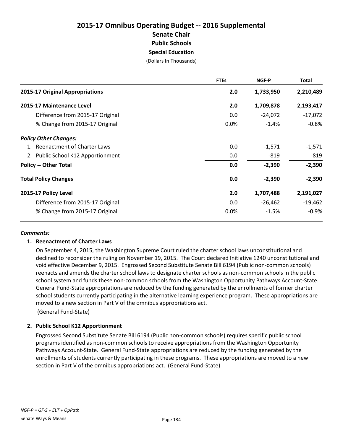# **2015-17 Omnibus Operating Budget -- 2016 Supplemental Senate Chair Public Schools Special Education**

(Dollars In Thousands)

|                                    | <b>FTEs</b> | NGF-P     | <b>Total</b> |
|------------------------------------|-------------|-----------|--------------|
| 2015-17 Original Appropriations    | 2.0         | 1,733,950 | 2,210,489    |
| 2015-17 Maintenance Level          | 2.0         | 1,709,878 | 2,193,417    |
| Difference from 2015-17 Original   | 0.0         | $-24,072$ | $-17,072$    |
| % Change from 2015-17 Original     | 0.0%        | $-1.4%$   | $-0.8%$      |
| <b>Policy Other Changes:</b>       |             |           |              |
| 1. Reenactment of Charter Laws     | 0.0         | $-1,571$  | $-1,571$     |
| 2. Public School K12 Apportionment | 0.0         | $-819$    | $-819$       |
| <b>Policy -- Other Total</b>       | 0.0         | $-2,390$  | $-2,390$     |
| <b>Total Policy Changes</b>        | 0.0         | $-2,390$  | $-2,390$     |
| 2015-17 Policy Level               | 2.0         | 1,707,488 | 2,191,027    |
| Difference from 2015-17 Original   | 0.0         | $-26,462$ | $-19,462$    |
| % Change from 2015-17 Original     | 0.0%        | $-1.5%$   | $-0.9%$      |

#### *Comments:*

#### **1. Reenactment of Charter Laws**

On September 4, 2015, the Washington Supreme Court ruled the charter school laws unconstitutional and declined to reconsider the ruling on November 19, 2015. The Court declared Initiative 1240 unconstitutional and void effective December 9, 2015. Engrossed Second Substitute Senate Bill 6194 (Public non-common schools) reenacts and amends the charter school laws to designate charter schools as non-common schools in the public school system and funds these non-common schools from the Washington Opportunity Pathways Account-State. General Fund-State appropriations are reduced by the funding generated by the enrollments of former charter school students currently participating in the alternative learning experience program. These appropriations are moved to a new section in Part V of the omnibus appropriations act.

(General Fund-State)

#### **2. Public School K12 Apportionment**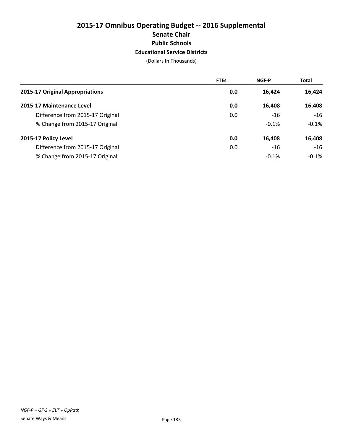# **2015-17 Omnibus Operating Budget -- 2016 Supplemental Senate Chair Public Schools Educational Service Districts**

|                                  | <b>FTEs</b> | <b>NGF-P</b> | <b>Total</b> |
|----------------------------------|-------------|--------------|--------------|
| 2015-17 Original Appropriations  | 0.0         | 16,424       | 16,424       |
| 2015-17 Maintenance Level        | 0.0         | 16,408       | 16,408       |
| Difference from 2015-17 Original | 0.0         | -16          | $-16$        |
| % Change from 2015-17 Original   |             | $-0.1%$      | $-0.1%$      |
| 2015-17 Policy Level             | 0.0         | 16,408       | 16,408       |
| Difference from 2015-17 Original | 0.0         | $-16$        | $-16$        |
| % Change from 2015-17 Original   |             | $-0.1%$      | $-0.1\%$     |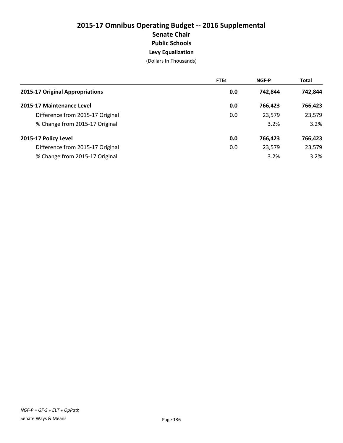# **2015-17 Omnibus Operating Budget -- 2016 Supplemental Senate Chair Public Schools Levy Equalization**

|                                  | <b>FTEs</b> | <b>NGF-P</b> | <b>Total</b> |
|----------------------------------|-------------|--------------|--------------|
| 2015-17 Original Appropriations  | 0.0         | 742,844      | 742,844      |
| 2015-17 Maintenance Level        | 0.0         | 766.423      | 766,423      |
| Difference from 2015-17 Original | 0.0         | 23,579       | 23,579       |
| % Change from 2015-17 Original   |             | 3.2%         | 3.2%         |
| 2015-17 Policy Level             | 0.0         | 766,423      | 766,423      |
| Difference from 2015-17 Original | 0.0         | 23,579       | 23,579       |
| % Change from 2015-17 Original   |             | 3.2%         | 3.2%         |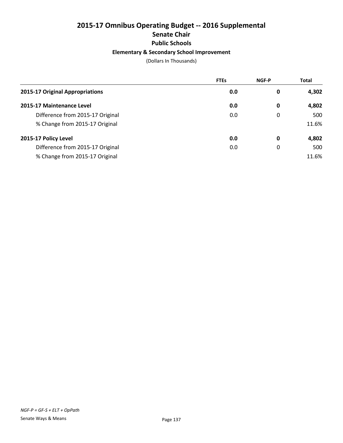# **2015-17 Omnibus Operating Budget -- 2016 Supplemental Senate Chair Public Schools Elementary & Secondary School Improvement**

|                                  | <b>FTEs</b> | <b>NGF-P</b> | <b>Total</b> |
|----------------------------------|-------------|--------------|--------------|
| 2015-17 Original Appropriations  | 0.0         | 0            | 4,302        |
| 2015-17 Maintenance Level        | 0.0         | 0            | 4,802        |
| Difference from 2015-17 Original | 0.0         | 0            | 500          |
| % Change from 2015-17 Original   |             |              | 11.6%        |
| 2015-17 Policy Level             | 0.0         | 0            | 4,802        |
| Difference from 2015-17 Original | 0.0         | 0            | 500          |
| % Change from 2015-17 Original   |             |              | 11.6%        |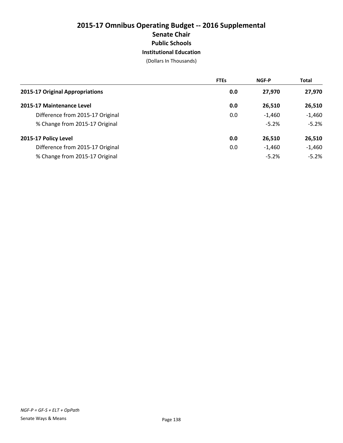# **2015-17 Omnibus Operating Budget -- 2016 Supplemental Senate Chair Public Schools Institutional Education**

|                                  | <b>FTEs</b> | <b>NGF-P</b> | <b>Total</b> |
|----------------------------------|-------------|--------------|--------------|
| 2015-17 Original Appropriations  | 0.0         | 27,970       | 27,970       |
| 2015-17 Maintenance Level        | 0.0         | 26,510       | 26,510       |
| Difference from 2015-17 Original | 0.0         | $-1,460$     | $-1,460$     |
| % Change from 2015-17 Original   |             | $-5.2%$      | $-5.2%$      |
| 2015-17 Policy Level             | 0.0         | 26,510       | 26,510       |
| Difference from 2015-17 Original | 0.0         | $-1,460$     | $-1,460$     |
| % Change from 2015-17 Original   |             | $-5.2%$      | $-5.2%$      |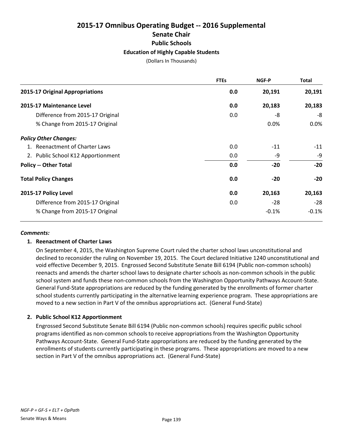# **2015-17 Omnibus Operating Budget -- 2016 Supplemental Senate Chair Public Schools Education of Highly Capable Students**

(Dollars In Thousands)

|                                        | <b>FTEs</b> | NGF-P   | <b>Total</b> |
|----------------------------------------|-------------|---------|--------------|
| <b>2015-17 Original Appropriations</b> | 0.0         | 20,191  | 20,191       |
| 2015-17 Maintenance Level              | 0.0         | 20,183  | 20,183       |
| Difference from 2015-17 Original       | 0.0         | -8      | -8           |
| % Change from 2015-17 Original         |             | 0.0%    | 0.0%         |
| <b>Policy Other Changes:</b>           |             |         |              |
| 1. Reenactment of Charter Laws         | 0.0         | $-11$   | $-11$        |
| 2. Public School K12 Apportionment     | 0.0         | -9      | -9           |
| <b>Policy -- Other Total</b>           | 0.0         | $-20$   | $-20$        |
| <b>Total Policy Changes</b>            | 0.0         | $-20$   | $-20$        |
| 2015-17 Policy Level                   | 0.0         | 20,163  | 20,163       |
| Difference from 2015-17 Original       | 0.0         | $-28$   | $-28$        |
| % Change from 2015-17 Original         |             | $-0.1%$ | $-0.1%$      |

#### *Comments:*

#### **1. Reenactment of Charter Laws**

On September 4, 2015, the Washington Supreme Court ruled the charter school laws unconstitutional and declined to reconsider the ruling on November 19, 2015. The Court declared Initiative 1240 unconstitutional and void effective December 9, 2015. Engrossed Second Substitute Senate Bill 6194 (Public non-common schools) reenacts and amends the charter school laws to designate charter schools as non-common schools in the public school system and funds these non-common schools from the Washington Opportunity Pathways Account-State. General Fund-State appropriations are reduced by the funding generated by the enrollments of former charter school students currently participating in the alternative learning experience program. These appropriations are moved to a new section in Part V of the omnibus appropriations act. (General Fund-State)

#### **2. Public School K12 Apportionment**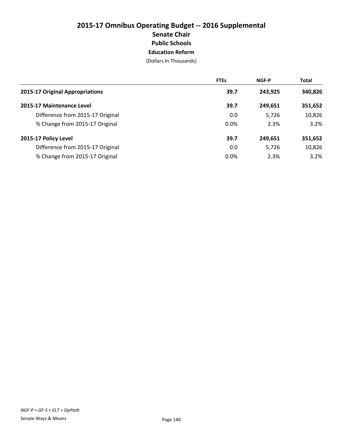# **2015-17 Omnibus Operating Budget -- 2016 Supplemental Senate Chair Public Schools Education Reform**

|                                  | <b>FTEs</b> | <b>NGF-P</b> | <b>Total</b> |
|----------------------------------|-------------|--------------|--------------|
| 2015-17 Original Appropriations  | 39.7        | 243.925      | 340,826      |
| 2015-17 Maintenance Level        | 39.7        | 249,651      | 351,652      |
| Difference from 2015-17 Original | 0.0         | 5,726        | 10,826       |
| % Change from 2015-17 Original   | 0.0%        | 2.3%         | 3.2%         |
| 2015-17 Policy Level             | 39.7        | 249.651      | 351,652      |
| Difference from 2015-17 Original | 0.0         | 5,726        | 10,826       |
| % Change from 2015-17 Original   | 0.0%        | 2.3%         | 3.2%         |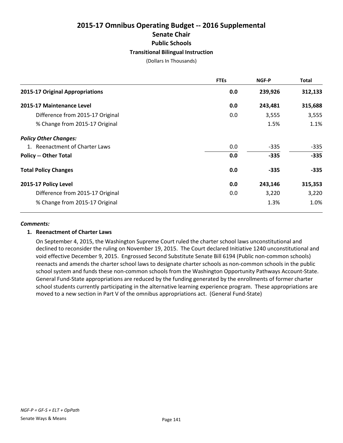# **2015-17 Omnibus Operating Budget -- 2016 Supplemental Senate Chair Public Schools Transitional Bilingual Instruction**

(Dollars In Thousands)

|                                  | <b>FTEs</b> | <b>NGF-P</b> | <b>Total</b> |
|----------------------------------|-------------|--------------|--------------|
| 2015-17 Original Appropriations  | 0.0         | 239,926      | 312,133      |
| 2015-17 Maintenance Level        | 0.0         | 243,481      | 315,688      |
| Difference from 2015-17 Original | 0.0         | 3,555        | 3,555        |
| % Change from 2015-17 Original   |             | 1.5%         | 1.1%         |
| <b>Policy Other Changes:</b>     |             |              |              |
| 1. Reenactment of Charter Laws   | 0.0         | $-335$       | $-335$       |
| <b>Policy -- Other Total</b>     | 0.0         | $-335$       | $-335$       |
| <b>Total Policy Changes</b>      | 0.0         | $-335$       | $-335$       |
| 2015-17 Policy Level             | 0.0         | 243,146      | 315,353      |
| Difference from 2015-17 Original | 0.0         | 3,220        | 3,220        |
| % Change from 2015-17 Original   |             | 1.3%         | 1.0%         |

#### *Comments:*

# **1. Reenactment of Charter Laws**

On September 4, 2015, the Washington Supreme Court ruled the charter school laws unconstitutional and declined to reconsider the ruling on November 19, 2015. The Court declared Initiative 1240 unconstitutional and void effective December 9, 2015. Engrossed Second Substitute Senate Bill 6194 (Public non-common schools) reenacts and amends the charter school laws to designate charter schools as non-common schools in the public school system and funds these non-common schools from the Washington Opportunity Pathways Account-State. General Fund-State appropriations are reduced by the funding generated by the enrollments of former charter school students currently participating in the alternative learning experience program. These appropriations are moved to a new section in Part V of the omnibus appropriations act. (General Fund-State)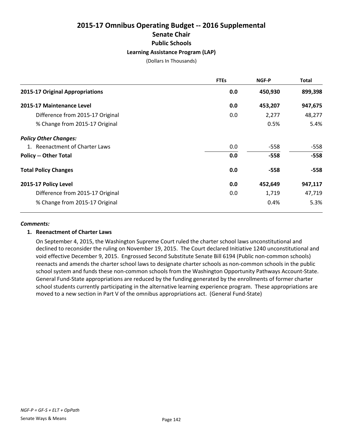# **2015-17 Omnibus Operating Budget -- 2016 Supplemental Senate Chair Public Schools Learning Assistance Program (LAP)**

(Dollars In Thousands)

|                                  | <b>FTEs</b> | NGF-P   | <b>Total</b> |
|----------------------------------|-------------|---------|--------------|
| 2015-17 Original Appropriations  | 0.0         | 450,930 | 899,398      |
| 2015-17 Maintenance Level        | 0.0         | 453,207 | 947,675      |
| Difference from 2015-17 Original | 0.0         | 2,277   | 48,277       |
| % Change from 2015-17 Original   |             | 0.5%    | 5.4%         |
| <b>Policy Other Changes:</b>     |             |         |              |
| 1. Reenactment of Charter Laws   | 0.0         | $-558$  | $-558$       |
| <b>Policy -- Other Total</b>     | 0.0         | $-558$  | $-558$       |
| <b>Total Policy Changes</b>      | 0.0         | $-558$  | $-558$       |
| 2015-17 Policy Level             | 0.0         | 452,649 | 947,117      |
| Difference from 2015-17 Original | 0.0         | 1,719   | 47,719       |
| % Change from 2015-17 Original   |             | 0.4%    | 5.3%         |

#### *Comments:*

# **1. Reenactment of Charter Laws**

On September 4, 2015, the Washington Supreme Court ruled the charter school laws unconstitutional and declined to reconsider the ruling on November 19, 2015. The Court declared Initiative 1240 unconstitutional and void effective December 9, 2015. Engrossed Second Substitute Senate Bill 6194 (Public non-common schools) reenacts and amends the charter school laws to designate charter schools as non-common schools in the public school system and funds these non-common schools from the Washington Opportunity Pathways Account-State. General Fund-State appropriations are reduced by the funding generated by the enrollments of former charter school students currently participating in the alternative learning experience program. These appropriations are moved to a new section in Part V of the omnibus appropriations act. (General Fund-State)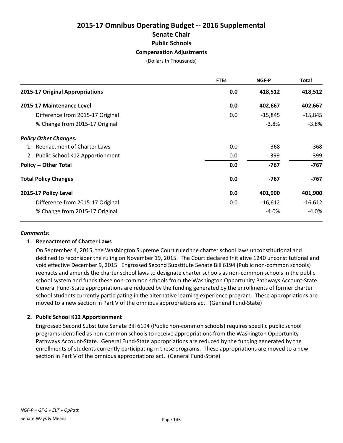# **2015-17 Omnibus Operating Budget -- 2016 Supplemental Senate Chair Public Schools Compensation Adjustments**

(Dollars In Thousands)

|                                    | <b>FTEs</b> | NGF-P     | <b>Total</b> |
|------------------------------------|-------------|-----------|--------------|
| 2015-17 Original Appropriations    | 0.0         | 418,512   | 418,512      |
| 2015-17 Maintenance Level          | 0.0         | 402,667   | 402,667      |
| Difference from 2015-17 Original   | 0.0         | $-15,845$ | $-15,845$    |
| % Change from 2015-17 Original     |             | $-3.8%$   | $-3.8%$      |
| <b>Policy Other Changes:</b>       |             |           |              |
| 1. Reenactment of Charter Laws     | 0.0         | $-368$    | $-368$       |
| 2. Public School K12 Apportionment | 0.0         | $-399$    | $-399$       |
| <b>Policy -- Other Total</b>       | 0.0         | -767      | $-767$       |
| <b>Total Policy Changes</b>        | 0.0         | -767      | -767         |
| 2015-17 Policy Level               | 0.0         | 401,900   | 401,900      |
| Difference from 2015-17 Original   | 0.0         | $-16,612$ | $-16,612$    |
| % Change from 2015-17 Original     |             | $-4.0%$   | $-4.0%$      |

#### *Comments:*

# **1. Reenactment of Charter Laws**

On September 4, 2015, the Washington Supreme Court ruled the charter school laws unconstitutional and declined to reconsider the ruling on November 19, 2015. The Court declared Initiative 1240 unconstitutional and void effective December 9, 2015. Engrossed Second Substitute Senate Bill 6194 (Public non-common schools) reenacts and amends the charter school laws to designate charter schools as non-common schools in the public school system and funds these non-common schools from the Washington Opportunity Pathways Account-State. General Fund-State appropriations are reduced by the funding generated by the enrollments of former charter school students currently participating in the alternative learning experience program. These appropriations are moved to a new section in Part V of the omnibus appropriations act. (General Fund-State)

# **2. Public School K12 Apportionment**

Engrossed Second Substitute Senate Bill 6194 (Public non-common schools) requires specific public school programs identified as non-common schools to receive appropriations from the Washington Opportunity Pathways Account-State. General Fund-State appropriations are reduced by the funding generated by the enrollments of students currently participating in these programs. These appropriations are moved to a new section in Part V of the omnibus appropriations act. (General Fund-State)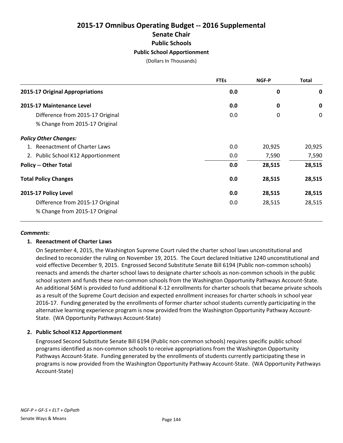# **2015-17 Omnibus Operating Budget -- 2016 Supplemental Senate Chair Public Schools Public School Apportionment**

(Dollars In Thousands)

|                                    | <b>FTEs</b> | NGF-P  | <b>Total</b> |
|------------------------------------|-------------|--------|--------------|
| 2015-17 Original Appropriations    | 0.0         | 0      | $\mathbf 0$  |
| 2015-17 Maintenance Level          | 0.0         | 0      | $\mathbf 0$  |
| Difference from 2015-17 Original   | 0.0         | 0      | 0            |
| % Change from 2015-17 Original     |             |        |              |
| <b>Policy Other Changes:</b>       |             |        |              |
| 1. Reenactment of Charter Laws     | 0.0         | 20,925 | 20,925       |
| 2. Public School K12 Apportionment | 0.0         | 7,590  | 7,590        |
| <b>Policy -- Other Total</b>       | 0.0         | 28,515 | 28,515       |
| <b>Total Policy Changes</b>        | 0.0         | 28,515 | 28,515       |
| 2015-17 Policy Level               | 0.0         | 28,515 | 28,515       |
| Difference from 2015-17 Original   | 0.0         | 28,515 | 28,515       |
| % Change from 2015-17 Original     |             |        |              |

#### *Comments:*

# **1. Reenactment of Charter Laws**

On September 4, 2015, the Washington Supreme Court ruled the charter school laws unconstitutional and declined to reconsider the ruling on November 19, 2015. The Court declared Initiative 1240 unconstitutional and void effective December 9, 2015. Engrossed Second Substitute Senate Bill 6194 (Public non-common schools) reenacts and amends the charter school laws to designate charter schools as non-common schools in the public school system and funds these non-common schools from the Washington Opportunity Pathways Account-State. An additional \$6M is provided to fund additional K-12 enrollments for charter schools that became private schools as a result of the Supreme Court decision and expected enrollment increases for charter schools in school year 2016-17. Funding generated by the enrollments of former charter school students currently participating in the alternative learning experience program is now provided from the Washington Opportunity Pathway Account-State. (WA Opportunity Pathways Account-State)

# **2. Public School K12 Apportionment**

Engrossed Second Substitute Senate Bill 6194 (Public non-common schools) requires specific public school programs identified as non-common schools to receive appropriations from the Washington Opportunity Pathways Account-State. Funding generated by the enrollments of students currently participating these in programs is now provided from the Washington Opportunity Pathway Account-State. (WA Opportunity Pathways Account-State)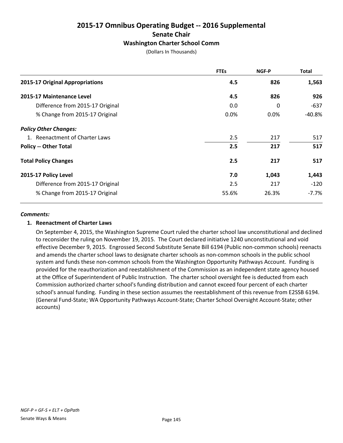# **2015-17 Omnibus Operating Budget -- 2016 Supplemental Senate Chair Washington Charter School Comm**

|  | (Dollars In Thousands) |
|--|------------------------|
|--|------------------------|

|                                  | <b>FTEs</b> | NGF-P   | <b>Total</b> |
|----------------------------------|-------------|---------|--------------|
| 2015-17 Original Appropriations  | 4.5         | 826     | 1,563        |
| 2015-17 Maintenance Level        | 4.5         | 826     | 926          |
| Difference from 2015-17 Original | 0.0         | 0       | -637         |
| % Change from 2015-17 Original   | $0.0\%$     | $0.0\%$ | -40.8%       |
| <b>Policy Other Changes:</b>     |             |         |              |
| 1. Reenactment of Charter Laws   | 2.5         | 217     | 517          |
| <b>Policy -- Other Total</b>     | 2.5         | 217     | 517          |
| <b>Total Policy Changes</b>      | 2.5         | 217     | 517          |
| 2015-17 Policy Level             | 7.0         | 1,043   | 1,443        |
| Difference from 2015-17 Original | 2.5         | 217     | $-120$       |
| % Change from 2015-17 Original   | 55.6%       | 26.3%   | $-7.7%$      |

#### *Comments:*

#### **1. Reenactment of Charter Laws**

On September 4, 2015, the Washington Supreme Court ruled the charter school law unconstitutional and declined to reconsider the ruling on November 19, 2015. The Court declared initiative 1240 unconstitutional and void effective December 9, 2015. Engrossed Second Substitute Senate Bill 6194 (Public non-common schools) reenacts and amends the charter school laws to designate charter schools as non-common schools in the public school system and funds these non-common schools from the Washington Opportunity Pathways Account. Funding is provided for the reauthorization and reestablishment of the Commission as an independent state agency housed at the Office of Superintendent of Public Instruction. The charter school oversight fee is deducted from each Commission authorized charter school's funding distribution and cannot exceed four percent of each charter school's annual funding. Funding in these section assumes the reestablishment of this revenue from E2SSB 6194. (General Fund-State; WA Opportunity Pathways Account-State; Charter School Oversight Account-State; other accounts)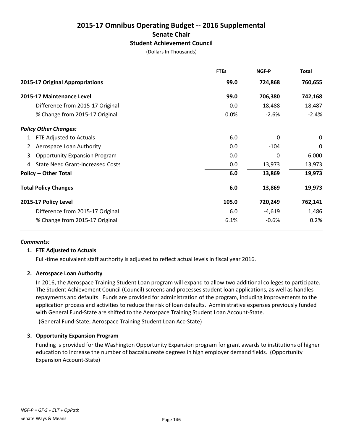# **2015-17 Omnibus Operating Budget -- 2016 Supplemental Senate Chair Student Achievement Council**

|  | (Dollars In Thousands) |
|--|------------------------|
|--|------------------------|

|                                            | <b>FTEs</b> | NGF-P     | <b>Total</b> |
|--------------------------------------------|-------------|-----------|--------------|
| 2015-17 Original Appropriations            | 99.0        | 724,868   | 760,655      |
| 2015-17 Maintenance Level                  | 99.0        | 706,380   | 742,168      |
| Difference from 2015-17 Original           | 0.0         | $-18,488$ | $-18,487$    |
| % Change from 2015-17 Original             | 0.0%        | $-2.6%$   | $-2.4%$      |
| <b>Policy Other Changes:</b>               |             |           |              |
| 1. FTE Adjusted to Actuals                 | 6.0         | 0         | 0            |
| 2. Aerospace Loan Authority                | 0.0         | $-104$    | 0            |
| <b>Opportunity Expansion Program</b><br>3. | 0.0         | 0         | 6,000        |
| 4. State Need Grant-Increased Costs        | 0.0         | 13,973    | 13,973       |
| <b>Policy -- Other Total</b>               | 6.0         | 13,869    | 19,973       |
| <b>Total Policy Changes</b>                | 6.0         | 13,869    | 19,973       |
| 2015-17 Policy Level                       | 105.0       | 720,249   | 762,141      |
| Difference from 2015-17 Original           | 6.0         | $-4,619$  | 1,486        |
| % Change from 2015-17 Original             | 6.1%        | $-0.6%$   | 0.2%         |

#### *Comments:*

#### **1. FTE Adjusted to Actuals**

Full-time equivalent staff authority is adjusted to reflect actual levels in fiscal year 2016.

#### **2. Aerospace Loan Authority**

In 2016, the Aerospace Training Student Loan program will expand to allow two additional colleges to participate. The Student Achievement Council (Council) screens and processes student loan applications, as well as handles repayments and defaults. Funds are provided for administration of the program, including improvements to the application process and activities to reduce the risk of loan defaults. Administrative expenses previously funded with General Fund-State are shifted to the Aerospace Training Student Loan Account-State.

(General Fund-State; Aerospace Training Student Loan Acc-State)

# **3. Opportunity Expansion Program**

Funding is provided for the Washington Opportunity Expansion program for grant awards to institutions of higher education to increase the number of baccalaureate degrees in high employer demand fields. (Opportunity Expansion Account-State)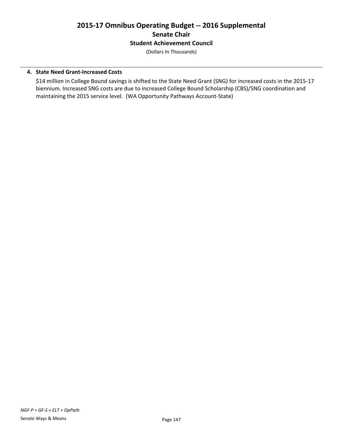# **2015-17 Omnibus Operating Budget -- 2016 Supplemental Senate Chair Student Achievement Council**

(Dollars In Thousands)

# **4. State Need Grant-Increased Costs**

\$14 million in College Bound savings is shifted to the State Need Grant (SNG) for increased costs in the 2015-17 biennium. Increased SNG costs are due to increased College Bound Scholarship (CBS)/SNG coordination and maintaining the 2015 service level. (WA Opportunity Pathways Account-State)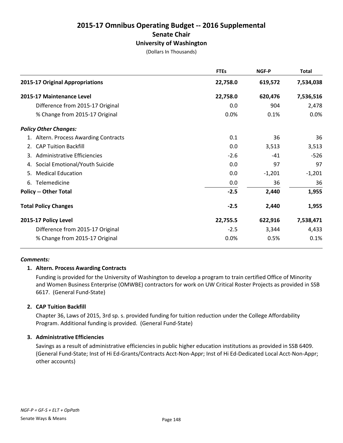# **2015-17 Omnibus Operating Budget -- 2016 Supplemental Senate Chair University of Washington**

(Dollars In Thousands)

|                                       | <b>FTEs</b> | <b>NGF-P</b> | <b>Total</b> |
|---------------------------------------|-------------|--------------|--------------|
| 2015-17 Original Appropriations       | 22,758.0    | 619,572      | 7,534,038    |
| 2015-17 Maintenance Level             | 22,758.0    | 620,476      | 7,536,516    |
| Difference from 2015-17 Original      | 0.0         | 904          | 2,478        |
| % Change from 2015-17 Original        | 0.0%        | 0.1%         | 0.0%         |
| <b>Policy Other Changes:</b>          |             |              |              |
| 1. Altern. Process Awarding Contracts | 0.1         | 36           | 36           |
| <b>CAP Tuition Backfill</b><br>2.     | 0.0         | 3,513        | 3,513        |
| Administrative Efficiencies<br>3.     | $-2.6$      | $-41$        | $-526$       |
| Social Emotional/Youth Suicide<br>4.  | 0.0         | 97           | 97           |
| <b>Medical Education</b><br>5.        | 0.0         | $-1,201$     | $-1,201$     |
| Telemedicine<br>6.                    | 0.0         | 36           | 36           |
| <b>Policy -- Other Total</b>          | $-2.5$      | 2,440        | 1,955        |
| <b>Total Policy Changes</b>           | $-2.5$      | 2,440        | 1,955        |
| 2015-17 Policy Level                  | 22,755.5    | 622,916      | 7,538,471    |
| Difference from 2015-17 Original      | $-2.5$      | 3,344        | 4,433        |
| % Change from 2015-17 Original        | 0.0%        | 0.5%         | 0.1%         |

#### *Comments:*

# **1. Altern. Process Awarding Contracts**

Funding is provided for the University of Washington to develop a program to train certified Office of Minority and Women Business Enterprise (OMWBE) contractors for work on UW Critical Roster Projects as provided in SSB 6617. (General Fund-State)

# **2. CAP Tuition Backfill**

Chapter 36, Laws of 2015, 3rd sp. s. provided funding for tuition reduction under the College Affordability Program. Additional funding is provided. (General Fund-State)

# **3. Administrative Efficiencies**

Savings as a result of administrative efficiencies in public higher education institutions as provided in SSB 6409. (General Fund-State; Inst of Hi Ed-Grants/Contracts Acct-Non-Appr; Inst of Hi Ed-Dedicated Local Acct-Non-Appr; other accounts)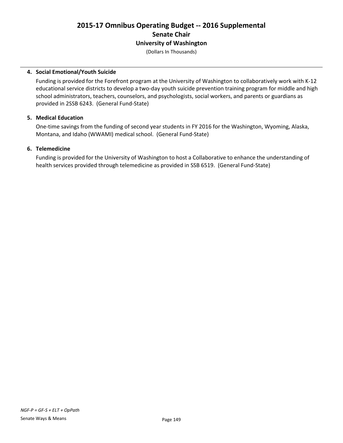# **2015-17 Omnibus Operating Budget -- 2016 Supplemental Senate Chair University of Washington**

(Dollars In Thousands)

### **4. Social Emotional/Youth Suicide**

Funding is provided for the Forefront program at the University of Washington to collaboratively work with K-12 educational service districts to develop a two-day youth suicide prevention training program for middle and high school administrators, teachers, counselors, and psychologists, social workers, and parents or guardians as provided in 2SSB 6243. (General Fund-State)

### **5. Medical Education**

One-time savings from the funding of second year students in FY 2016 for the Washington, Wyoming, Alaska, Montana, and Idaho (WWAMI) medical school. (General Fund-State)

### **6. Telemedicine**

Funding is provided for the University of Washington to host a Collaborative to enhance the understanding of health services provided through telemedicine as provided in SSB 6519. (General Fund-State)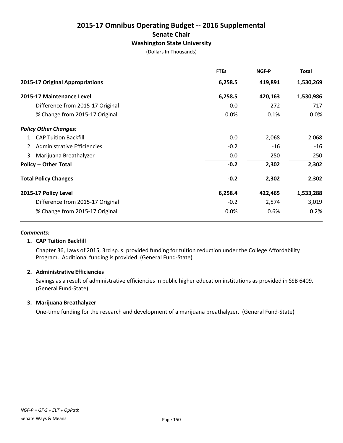# **2015-17 Omnibus Operating Budget -- 2016 Supplemental Senate Chair Washington State University**

(Dollars In Thousands)

|                                  | <b>FTEs</b> | NGF-P   | Total     |
|----------------------------------|-------------|---------|-----------|
| 2015-17 Original Appropriations  | 6,258.5     | 419,891 | 1,530,269 |
| 2015-17 Maintenance Level        | 6,258.5     | 420,163 | 1,530,986 |
| Difference from 2015-17 Original | 0.0         | 272     | 717       |
| % Change from 2015-17 Original   | 0.0%        | 0.1%    | 0.0%      |
| <b>Policy Other Changes:</b>     |             |         |           |
| 1. CAP Tuition Backfill          | 0.0         | 2,068   | 2,068     |
| 2. Administrative Efficiencies   | $-0.2$      | $-16$   | $-16$     |
| 3. Marijuana Breathalyzer        | 0.0         | 250     | 250       |
| <b>Policy -- Other Total</b>     | $-0.2$      | 2,302   | 2,302     |
| <b>Total Policy Changes</b>      | $-0.2$      | 2,302   | 2,302     |
| 2015-17 Policy Level             | 6,258.4     | 422,465 | 1,533,288 |
| Difference from 2015-17 Original | $-0.2$      | 2,574   | 3,019     |
| % Change from 2015-17 Original   | 0.0%        | 0.6%    | 0.2%      |

# *Comments:*

# **1. CAP Tuition Backfill**

Chapter 36, Laws of 2015, 3rd sp. s. provided funding for tuition reduction under the College Affordability Program. Additional funding is provided (General Fund-State)

# **2. Administrative Efficiencies**

Savings as a result of administrative efficiencies in public higher education institutions as provided in SSB 6409. (General Fund-State)

# **3. Marijuana Breathalyzer**

One-time funding for the research and development of a marijuana breathalyzer. (General Fund-State)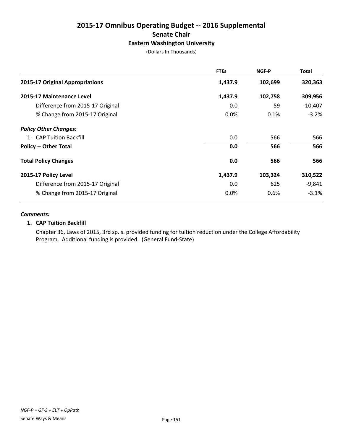# **2015-17 Omnibus Operating Budget -- 2016 Supplemental Senate Chair Eastern Washington University**

(Dollars In Thousands)

|                                  | <b>FTEs</b> | NGF-P   | <b>Total</b> |
|----------------------------------|-------------|---------|--------------|
| 2015-17 Original Appropriations  | 1,437.9     | 102,699 | 320,363      |
| 2015-17 Maintenance Level        | 1,437.9     | 102,758 | 309,956      |
| Difference from 2015-17 Original | 0.0         | 59      | $-10,407$    |
| % Change from 2015-17 Original   | 0.0%        | 0.1%    | $-3.2%$      |
| <b>Policy Other Changes:</b>     |             |         |              |
| 1. CAP Tuition Backfill          | 0.0         | 566     | 566          |
| <b>Policy -- Other Total</b>     | 0.0         | 566     | 566          |
| <b>Total Policy Changes</b>      | 0.0         | 566     | 566          |
| 2015-17 Policy Level             | 1,437.9     | 103,324 | 310,522      |
| Difference from 2015-17 Original | 0.0         | 625     | $-9,841$     |
| % Change from 2015-17 Original   | 0.0%        | 0.6%    | $-3.1%$      |

### *Comments:*

# **1. CAP Tuition Backfill**

Chapter 36, Laws of 2015, 3rd sp. s. provided funding for tuition reduction under the College Affordability Program. Additional funding is provided. (General Fund-State)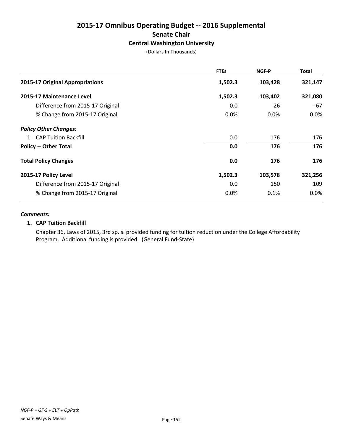# **2015-17 Omnibus Operating Budget -- 2016 Supplemental Senate Chair Central Washington University**

(Dollars In Thousands)

|                                  | <b>FTEs</b> | NGF-P   | Total   |
|----------------------------------|-------------|---------|---------|
| 2015-17 Original Appropriations  | 1,502.3     | 103,428 | 321,147 |
| 2015-17 Maintenance Level        | 1,502.3     | 103,402 | 321,080 |
| Difference from 2015-17 Original | 0.0         | $-26$   | -67     |
| % Change from 2015-17 Original   | $0.0\%$     | $0.0\%$ | $0.0\%$ |
| <b>Policy Other Changes:</b>     |             |         |         |
| 1. CAP Tuition Backfill          | 0.0         | 176     | 176     |
| <b>Policy -- Other Total</b>     | 0.0         | 176     | 176     |
| <b>Total Policy Changes</b>      | 0.0         | 176     | 176     |
| 2015-17 Policy Level             | 1,502.3     | 103,578 | 321,256 |
| Difference from 2015-17 Original | 0.0         | 150     | 109     |
| % Change from 2015-17 Original   | 0.0%        | 0.1%    | $0.0\%$ |

### *Comments:*

# **1. CAP Tuition Backfill**

Chapter 36, Laws of 2015, 3rd sp. s. provided funding for tuition reduction under the College Affordability Program. Additional funding is provided. (General Fund-State)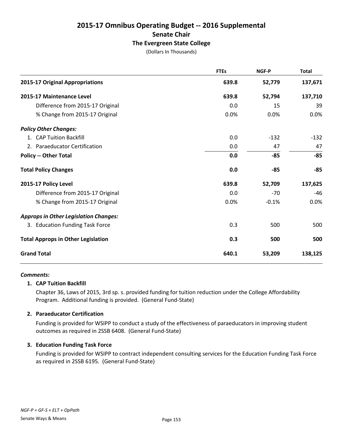# **2015-17 Omnibus Operating Budget -- 2016 Supplemental Senate Chair The Evergreen State College**

(Dollars In Thousands)

|                                              | <b>FTEs</b> | NGF-P   | <b>Total</b> |
|----------------------------------------------|-------------|---------|--------------|
| 2015-17 Original Appropriations              | 639.8       | 52,779  | 137,671      |
| 2015-17 Maintenance Level                    | 639.8       | 52,794  | 137,710      |
| Difference from 2015-17 Original             | 0.0         | 15      | 39           |
| % Change from 2015-17 Original               | 0.0%        | 0.0%    | 0.0%         |
| <b>Policy Other Changes:</b>                 |             |         |              |
| 1. CAP Tuition Backfill                      | 0.0         | $-132$  | $-132$       |
| 2. Paraeducator Certification                | 0.0         | 47      | 47           |
| <b>Policy -- Other Total</b>                 | 0.0         | $-85$   | $-85$        |
| <b>Total Policy Changes</b>                  | 0.0         | $-85$   | $-85$        |
| 2015-17 Policy Level                         | 639.8       | 52,709  | 137,625      |
| Difference from 2015-17 Original             | 0.0         | $-70$   | $-46$        |
| % Change from 2015-17 Original               | 0.0%        | $-0.1%$ | 0.0%         |
| <b>Approps in Other Legislation Changes:</b> |             |         |              |
| 3. Education Funding Task Force              | 0.3         | 500     | 500          |
| <b>Total Approps in Other Legislation</b>    | 0.3         | 500     | 500          |
| <b>Grand Total</b>                           | 640.1       | 53,209  | 138,125      |

#### *Comments:*

# **1. CAP Tuition Backfill**

Chapter 36, Laws of 2015, 3rd sp. s. provided funding for tuition reduction under the College Affordability Program. Additional funding is provided. (General Fund-State)

# **2. Paraeducator Certification**

Funding is provided for WSIPP to conduct a study of the effectiveness of paraeducators in improving student outcomes as required in 2SSB 6408. (General Fund-State)

# **3. Education Funding Task Force**

Funding is provided for WSIPP to contract independent consulting services for the Education Funding Task Force as required in 2SSB 6195. (General Fund-State)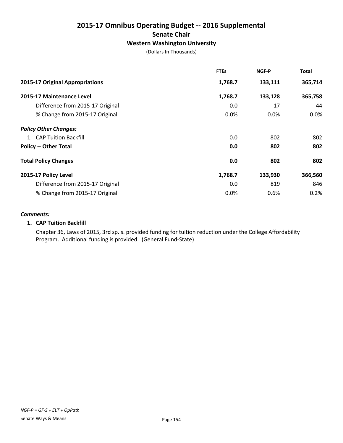# **2015-17 Omnibus Operating Budget -- 2016 Supplemental Senate Chair Western Washington University**

(Dollars In Thousands)

|                                  | <b>FTEs</b> | NGF-P   | Total   |
|----------------------------------|-------------|---------|---------|
| 2015-17 Original Appropriations  | 1,768.7     | 133,111 | 365,714 |
| 2015-17 Maintenance Level        | 1,768.7     | 133,128 | 365,758 |
| Difference from 2015-17 Original | 0.0         | 17      | 44      |
| % Change from 2015-17 Original   | 0.0%        | $0.0\%$ | $0.0\%$ |
| <b>Policy Other Changes:</b>     |             |         |         |
| 1. CAP Tuition Backfill          | 0.0         | 802     | 802     |
| <b>Policy -- Other Total</b>     | 0.0         | 802     | 802     |
| <b>Total Policy Changes</b>      | 0.0         | 802     | 802     |
| 2015-17 Policy Level             | 1,768.7     | 133,930 | 366,560 |
| Difference from 2015-17 Original | 0.0         | 819     | 846     |
| % Change from 2015-17 Original   | 0.0%        | 0.6%    | 0.2%    |

#### *Comments:*

# **1. CAP Tuition Backfill**

Chapter 36, Laws of 2015, 3rd sp. s. provided funding for tuition reduction under the College Affordability Program. Additional funding is provided. (General Fund-State)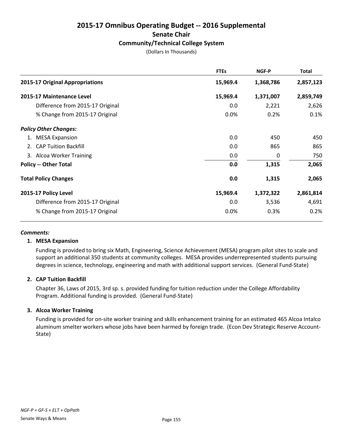# **2015-17 Omnibus Operating Budget -- 2016 Supplemental Senate Chair Community/Technical College System**

(Dollars In Thousands)

|                                  | <b>FTEs</b> | NGF-P     | <b>Total</b> |
|----------------------------------|-------------|-----------|--------------|
| 2015-17 Original Appropriations  | 15,969.4    | 1,368,786 | 2,857,123    |
| 2015-17 Maintenance Level        | 15,969.4    | 1,371,007 | 2,859,749    |
| Difference from 2015-17 Original | 0.0         | 2,221     | 2,626        |
| % Change from 2015-17 Original   | 0.0%        | 0.2%      | 0.1%         |
| <b>Policy Other Changes:</b>     |             |           |              |
| 1. MESA Expansion                | 0.0         | 450       | 450          |
| 2. CAP Tuition Backfill          | 0.0         | 865       | 865          |
| 3. Alcoa Worker Training         | 0.0         | 0         | 750          |
| <b>Policy -- Other Total</b>     | 0.0         | 1,315     | 2,065        |
| <b>Total Policy Changes</b>      | 0.0         | 1,315     | 2,065        |
| 2015-17 Policy Level             | 15,969.4    | 1,372,322 | 2,861,814    |
| Difference from 2015-17 Original | 0.0         | 3,536     | 4,691        |
| % Change from 2015-17 Original   | 0.0%        | 0.3%      | 0.2%         |

#### *Comments:*

#### **1. MESA Expansion**

Funding is provided to bring six Math, Engineering, Science Achievement (MESA) program pilot sites to scale and support an additional 350 students at community colleges. MESA provides underrepresented students pursuing degrees in science, technology, engineering and math with additional support services. (General Fund-State)

# **2. CAP Tuition Backfill**

Chapter 36, Laws of 2015, 3rd sp. s. provided funding for tuition reduction under the College Affordability Program. Additional funding is provided. (General Fund-State)

# **3. Alcoa Worker Training**

Funding is provided for on-site worker training and skills enhancement training for an estimated 465 Alcoa Intalco aluminum smelter workers whose jobs have been harmed by foreign trade. (Econ Dev Strategic Reserve Account-State)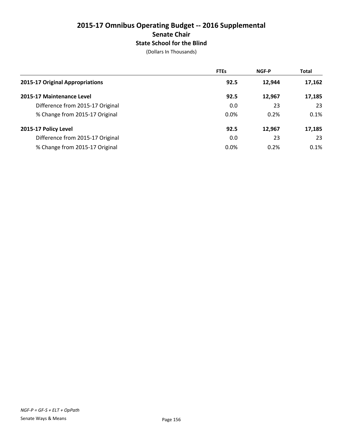# **2015-17 Omnibus Operating Budget -- 2016 Supplemental Senate Chair State School for the Blind**

|                                  | <b>FTEs</b> | <b>NGF-P</b> | <b>Total</b> |
|----------------------------------|-------------|--------------|--------------|
| 2015-17 Original Appropriations  | 92.5        | 12,944       | 17,162       |
| 2015-17 Maintenance Level        | 92.5        | 12.967       | 17,185       |
| Difference from 2015-17 Original | 0.0         | 23           | 23           |
| % Change from 2015-17 Original   | 0.0%        | 0.2%         | 0.1%         |
| 2015-17 Policy Level             | 92.5        | 12,967       | 17,185       |
| Difference from 2015-17 Original | 0.0         | 23           | 23           |
| % Change from 2015-17 Original   | 0.0%        | 0.2%         | 0.1%         |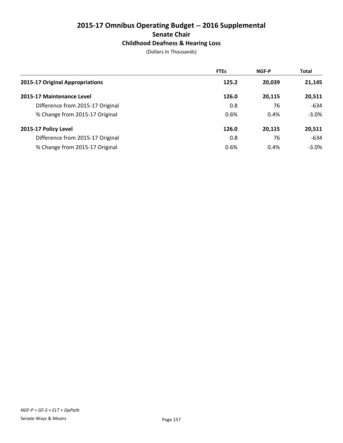# **2015-17 Omnibus Operating Budget -- 2016 Supplemental Senate Chair Childhood Deafness & Hearing Loss**

|                                  | <b>FTEs</b> | <b>NGF-P</b> | <b>Total</b> |
|----------------------------------|-------------|--------------|--------------|
| 2015-17 Original Appropriations  | 125.2       | 20.039       | 21,145       |
| 2015-17 Maintenance Level        | 126.0       | 20.115       | 20,511       |
| Difference from 2015-17 Original | 0.8         | 76           | $-634$       |
| % Change from 2015-17 Original   | 0.6%        | 0.4%         | $-3.0\%$     |
| 2015-17 Policy Level             | 126.0       | 20,115       | 20,511       |
| Difference from 2015-17 Original | 0.8         | 76           | $-634$       |
| % Change from 2015-17 Original   | 0.6%        | 0.4%         | $-3.0\%$     |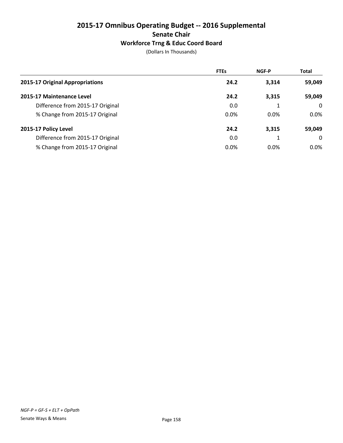# **2015-17 Omnibus Operating Budget -- 2016 Supplemental Senate Chair Workforce Trng & Educ Coord Board**

|                                  | <b>FTEs</b> | <b>NGF-P</b> | <b>Total</b> |
|----------------------------------|-------------|--------------|--------------|
| 2015-17 Original Appropriations  | 24.2        | 3,314        | 59,049       |
| 2015-17 Maintenance Level        | 24.2        | 3,315        | 59,049       |
| Difference from 2015-17 Original | 0.0         |              | $\Omega$     |
| % Change from 2015-17 Original   | 0.0%        | $0.0\%$      | $0.0\%$      |
| 2015-17 Policy Level             | 24.2        | 3,315        | 59,049       |
| Difference from 2015-17 Original | 0.0         |              | $\Omega$     |
| % Change from 2015-17 Original   | 0.0%        | $0.0\%$      | $0.0\%$      |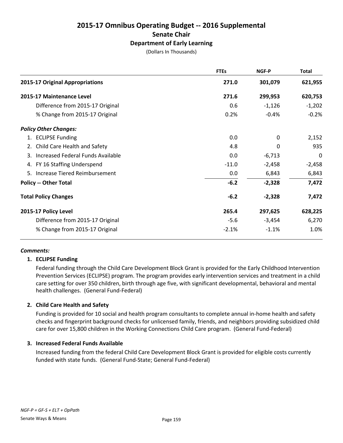# **2015-17 Omnibus Operating Budget -- 2016 Supplemental Senate Chair Department of Early Learning**

(Dollars In Thousands)

|                                   | <b>FTEs</b> | NGF-P    | <b>Total</b> |
|-----------------------------------|-------------|----------|--------------|
| 2015-17 Original Appropriations   | 271.0       | 301,079  | 621,955      |
| 2015-17 Maintenance Level         | 271.6       | 299,953  | 620,753      |
| Difference from 2015-17 Original  | 0.6         | $-1,126$ | $-1,202$     |
| % Change from 2015-17 Original    | 0.2%        | $-0.4%$  | $-0.2%$      |
| <b>Policy Other Changes:</b>      |             |          |              |
| 1. ECLIPSE Funding                | 0.0         | $\Omega$ | 2,152        |
| 2. Child Care Health and Safety   | 4.8         | 0        | 935          |
| Increased Federal Funds Available | 0.0         | $-6,713$ | $\mathbf 0$  |
| 4. FY 16 Staffing Underspend      | $-11.0$     | $-2,458$ | $-2,458$     |
| 5. Increase Tiered Reimbursement  | 0.0         | 6,843    | 6,843        |
| <b>Policy -- Other Total</b>      | $-6.2$      | $-2,328$ | 7,472        |
| <b>Total Policy Changes</b>       | $-6.2$      | $-2,328$ | 7,472        |
| 2015-17 Policy Level              | 265.4       | 297,625  | 628,225      |
| Difference from 2015-17 Original  | $-5.6$      | $-3,454$ | 6,270        |
| % Change from 2015-17 Original    | $-2.1%$     | $-1.1%$  | 1.0%         |
|                                   |             |          |              |

# *Comments:*

# **1. ECLIPSE Funding**

Federal funding through the Child Care Development Block Grant is provided for the Early Childhood Intervention Prevention Services (ECLIPSE) program. The program provides early intervention services and treatment in a child care setting for over 350 children, birth through age five, with significant developmental, behavioral and mental health challenges. (General Fund-Federal)

# **2. Child Care Health and Safety**

Funding is provided for 10 social and health program consultants to complete annual in-home health and safety checks and fingerprint background checks for unlicensed family, friends, and neighbors providing subsidized child care for over 15,800 children in the Working Connections Child Care program. (General Fund-Federal)

#### **3. Increased Federal Funds Available**

Increased funding from the federal Child Care Development Block Grant is provided for eligible costs currently funded with state funds. (General Fund-State; General Fund-Federal)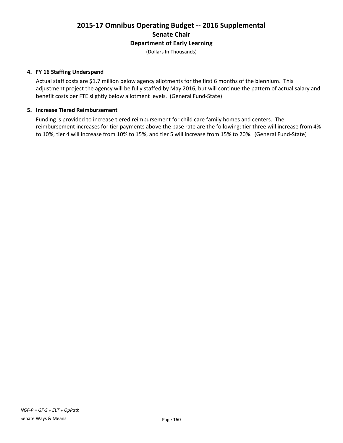# **2015-17 Omnibus Operating Budget -- 2016 Supplemental Senate Chair Department of Early Learning**

(Dollars In Thousands)

### **4. FY 16 Staffing Underspend**

Actual staff costs are \$1.7 million below agency allotments for the first 6 months of the biennium. This adjustment project the agency will be fully staffed by May 2016, but will continue the pattern of actual salary and benefit costs per FTE slightly below allotment levels. (General Fund-State)

### **5. Increase Tiered Reimbursement**

Funding is provided to increase tiered reimbursement for child care family homes and centers. The reimbursement increases for tier payments above the base rate are the following: tier three will increase from 4% to 10%, tier 4 will increase from 10% to 15%, and tier 5 will increase from 15% to 20%. (General Fund-State)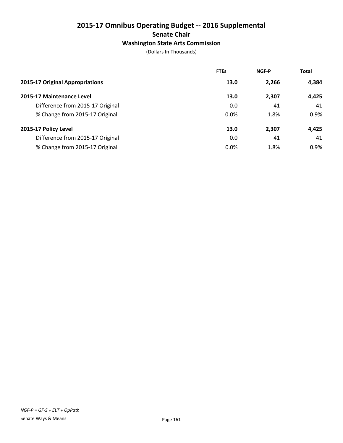# **2015-17 Omnibus Operating Budget -- 2016 Supplemental Senate Chair Washington State Arts Commission**

|                                  | <b>FTEs</b> | <b>NGF-P</b> | <b>Total</b> |
|----------------------------------|-------------|--------------|--------------|
| 2015-17 Original Appropriations  | 13.0        | 2,266        | 4,384        |
| 2015-17 Maintenance Level        | 13.0        | 2,307        | 4,425        |
| Difference from 2015-17 Original | 0.0         | 41           | 41           |
| % Change from 2015-17 Original   | 0.0%        | 1.8%         | 0.9%         |
| 2015-17 Policy Level             | 13.0        | 2,307        | 4,425        |
| Difference from 2015-17 Original | 0.0         | 41           | 41           |
| % Change from 2015-17 Original   | 0.0%        | 1.8%         | 0.9%         |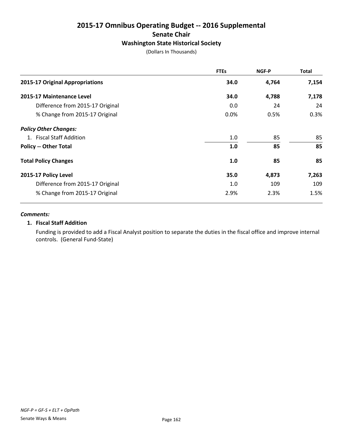# **2015-17 Omnibus Operating Budget -- 2016 Supplemental Senate Chair Washington State Historical Society**

(Dollars In Thousands)

|                                  | <b>FTEs</b> | NGF-P | Total |
|----------------------------------|-------------|-------|-------|
| 2015-17 Original Appropriations  | 34.0        | 4,764 | 7,154 |
| 2015-17 Maintenance Level        | 34.0        | 4,788 | 7,178 |
| Difference from 2015-17 Original | 0.0         | 24    | 24    |
| % Change from 2015-17 Original   | 0.0%        | 0.5%  | 0.3%  |
| <b>Policy Other Changes:</b>     |             |       |       |
| 1. Fiscal Staff Addition         | 1.0         | 85    | 85    |
| <b>Policy -- Other Total</b>     | 1.0         | 85    | 85    |
| <b>Total Policy Changes</b>      | 1.0         | 85    | 85    |
| 2015-17 Policy Level             | 35.0        | 4,873 | 7,263 |
| Difference from 2015-17 Original | 1.0         | 109   | 109   |
| % Change from 2015-17 Original   | 2.9%        | 2.3%  | 1.5%  |

#### *Comments:*

# **1. Fiscal Staff Addition**

Funding is provided to add a Fiscal Analyst position to separate the duties in the fiscal office and improve internal controls. (General Fund-State)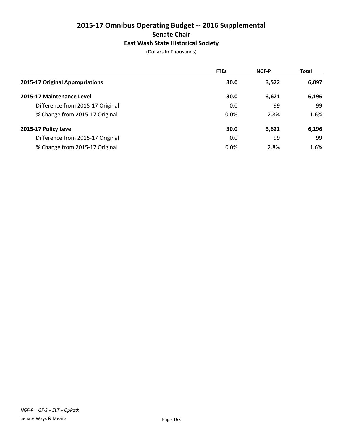# **2015-17 Omnibus Operating Budget -- 2016 Supplemental Senate Chair East Wash State Historical Society**

|                                  | <b>FTEs</b> | <b>NGF-P</b> | <b>Total</b> |
|----------------------------------|-------------|--------------|--------------|
| 2015-17 Original Appropriations  | 30.0        | 3,522        | 6,097        |
| 2015-17 Maintenance Level        | 30.0        | 3,621        | 6,196        |
| Difference from 2015-17 Original | 0.0         | 99           | 99           |
| % Change from 2015-17 Original   | 0.0%        | 2.8%         | 1.6%         |
| 2015-17 Policy Level             | 30.0        | 3,621        | 6,196        |
| Difference from 2015-17 Original | 0.0         | 99           | 99           |
| % Change from 2015-17 Original   | 0.0%        | 2.8%         | 1.6%         |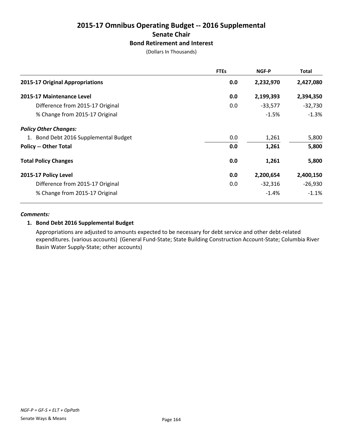# **2015-17 Omnibus Operating Budget -- 2016 Supplemental Senate Chair Bond Retirement and Interest**

(Dollars In Thousands)

|                                       | <b>FTEs</b> | NGF-P     | <b>Total</b> |
|---------------------------------------|-------------|-----------|--------------|
| 2015-17 Original Appropriations       | 0.0         | 2,232,970 | 2,427,080    |
| 2015-17 Maintenance Level             | 0.0         | 2,199,393 | 2,394,350    |
| Difference from 2015-17 Original      | 0.0         | $-33,577$ | $-32,730$    |
| % Change from 2015-17 Original        |             | $-1.5%$   | $-1.3%$      |
| <b>Policy Other Changes:</b>          |             |           |              |
| 1. Bond Debt 2016 Supplemental Budget | 0.0         | 1,261     | 5,800        |
| <b>Policy -- Other Total</b>          | 0.0         | 1,261     | 5,800        |
| <b>Total Policy Changes</b>           | 0.0         | 1,261     | 5,800        |
| 2015-17 Policy Level                  | 0.0         | 2,200,654 | 2,400,150    |
| Difference from 2015-17 Original      | 0.0         | $-32,316$ | $-26,930$    |
| % Change from 2015-17 Original        |             | $-1.4%$   | $-1.1%$      |

### *Comments:*

# **1. Bond Debt 2016 Supplemental Budget**

Appropriations are adjusted to amounts expected to be necessary for debt service and other debt-related expenditures. (various accounts) (General Fund-State; State Building Construction Account-State; Columbia River Basin Water Supply-State; other accounts)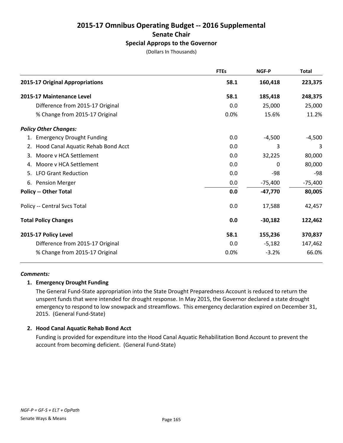# **2015-17 Omnibus Operating Budget -- 2016 Supplemental Senate Chair Special Approps to the Governor**

(Dollars In Thousands)

|                                          | <b>FTEs</b> | <b>NGF-P</b> | <b>Total</b> |
|------------------------------------------|-------------|--------------|--------------|
| 2015-17 Original Appropriations          | 58.1        | 160,418      | 223,375      |
| 2015-17 Maintenance Level                | 58.1        | 185,418      | 248,375      |
| Difference from 2015-17 Original         | 0.0         | 25,000       | 25,000       |
| % Change from 2015-17 Original           | 0.0%        | 15.6%        | 11.2%        |
| <b>Policy Other Changes:</b>             |             |              |              |
| 1. Emergency Drought Funding             | 0.0         | $-4,500$     | $-4,500$     |
| Hood Canal Aquatic Rehab Bond Acct<br>2. | 0.0         | 3            | 3            |
| Moore v HCA Settlement<br>3.             | 0.0         | 32,225       | 80,000       |
| 4. Moore v HCA Settlement                | 0.0         | 0            | 80,000       |
| 5. LFO Grant Reduction                   | 0.0         | -98          | -98          |
| 6. Pension Merger                        | 0.0         | $-75,400$    | $-75,400$    |
| <b>Policy -- Other Total</b>             | 0.0         | $-47,770$    | 80,005       |
| Policy -- Central Svcs Total             | 0.0         | 17,588       | 42,457       |
| <b>Total Policy Changes</b>              | 0.0         | $-30,182$    | 122,462      |
| 2015-17 Policy Level                     | 58.1        | 155,236      | 370,837      |
| Difference from 2015-17 Original         | 0.0         | $-5,182$     | 147,462      |
| % Change from 2015-17 Original           | 0.0%        | $-3.2%$      | 66.0%        |
|                                          |             |              |              |

#### *Comments:*

#### **1. Emergency Drought Funding**

The General Fund-State appropriation into the State Drought Preparedness Account is reduced to return the unspent funds that were intended for drought response. In May 2015, the Governor declared a state drought emergency to respond to low snowpack and streamflows. This emergency declaration expired on December 31, 2015. (General Fund-State)

#### **2. Hood Canal Aquatic Rehab Bond Acct**

Funding is provided for expenditure into the Hood Canal Aquatic Rehabilitation Bond Account to prevent the account from becoming deficient. (General Fund-State)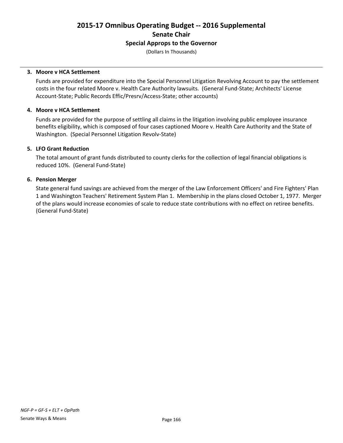**2015-17 Omnibus Operating Budget -- 2016 Supplemental Senate Chair Special Approps to the Governor**

(Dollars In Thousands)

#### **3. Moore v HCA Settlement**

Funds are provided for expenditure into the Special Personnel Litigation Revolving Account to pay the settlement costs in the four related Moore v. Health Care Authority lawsuits. (General Fund-State; Architects' License Account-State; Public Records Effic/Presrv/Access-State; other accounts)

### **4. Moore v HCA Settlement**

Funds are provided for the purpose of settling all claims in the litigation involving public employee insurance benefits eligibility, which is composed of four cases captioned Moore v. Health Care Authority and the State of Washington. (Special Personnel Litigation Revolv-State)

### **5. LFO Grant Reduction**

The total amount of grant funds distributed to county clerks for the collection of legal financial obligations is reduced 10%. (General Fund-State)

### **6. Pension Merger**

State general fund savings are achieved from the merger of the Law Enforcement Officers' and Fire Fighters' Plan 1 and Washington Teachers' Retirement System Plan 1. Membership in the plans closed October 1, 1977. Merger of the plans would increase economies of scale to reduce state contributions with no effect on retiree benefits. (General Fund-State)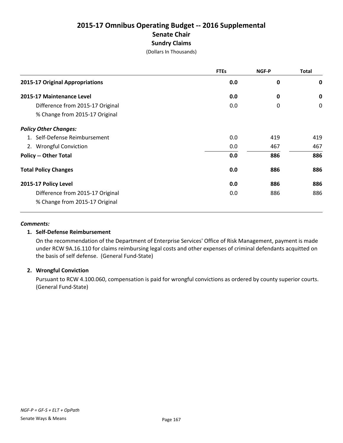# **2015-17 Omnibus Operating Budget -- 2016 Supplemental Senate Chair Sundry Claims**

(Dollars In Thousands)

|                                        | <b>FTEs</b> | NGF-P       | <b>Total</b> |
|----------------------------------------|-------------|-------------|--------------|
| <b>2015-17 Original Appropriations</b> | 0.0         | 0           | $\mathbf 0$  |
| 2015-17 Maintenance Level              | 0.0         | 0           | $\mathbf 0$  |
| Difference from 2015-17 Original       | 0.0         | $\mathbf 0$ | $\mathbf 0$  |
| % Change from 2015-17 Original         |             |             |              |
| <b>Policy Other Changes:</b>           |             |             |              |
| 1. Self-Defense Reimbursement          | 0.0         | 419         | 419          |
| 2. Wrongful Conviction                 | 0.0         | 467         | 467          |
| <b>Policy -- Other Total</b>           | 0.0         | 886         | 886          |
| <b>Total Policy Changes</b>            | 0.0         | 886         | 886          |
| 2015-17 Policy Level                   | 0.0         | 886         | 886          |
| Difference from 2015-17 Original       | 0.0         | 886         | 886          |
| % Change from 2015-17 Original         |             |             |              |

#### *Comments:*

# **1. Self-Defense Reimbursement**

On the recommendation of the Department of Enterprise Services' Office of Risk Management, payment is made under RCW 9A.16.110 for claims reimbursing legal costs and other expenses of criminal defendants acquitted on the basis of self defense. (General Fund-State)

# **2. Wrongful Conviction**

Pursuant to RCW 4.100.060, compensation is paid for wrongful convictions as ordered by county superior courts. (General Fund-State)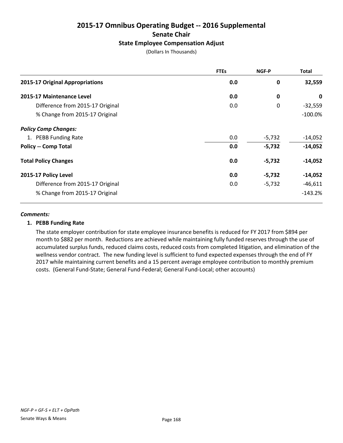# **2015-17 Omnibus Operating Budget -- 2016 Supplemental Senate Chair State Employee Compensation Adjust**

(Dollars In Thousands)

|                                  | <b>FTEs</b> | NGF-P    | <b>Total</b> |
|----------------------------------|-------------|----------|--------------|
| 2015-17 Original Appropriations  | 0.0         | 0        | 32,559       |
| 2015-17 Maintenance Level        | 0.0         | $\bf{0}$ | 0            |
| Difference from 2015-17 Original | 0.0         | 0        | $-32,559$    |
| % Change from 2015-17 Original   |             |          | $-100.0\%$   |
| <b>Policy Comp Changes:</b>      |             |          |              |
| 1. PEBB Funding Rate             | 0.0         | $-5,732$ | $-14,052$    |
| <b>Policy -- Comp Total</b>      | 0.0         | $-5,732$ | $-14,052$    |
| <b>Total Policy Changes</b>      | 0.0         | $-5,732$ | $-14,052$    |
| 2015-17 Policy Level             | 0.0         | $-5,732$ | $-14,052$    |
| Difference from 2015-17 Original | 0.0         | $-5,732$ | $-46,611$    |
| % Change from 2015-17 Original   |             |          | $-143.2%$    |

#### *Comments:*

#### **1. PEBB Funding Rate**

The state employer contribution for state employee insurance benefits is reduced for FY 2017 from \$894 per month to \$882 per month. Reductions are achieved while maintaining fully funded reserves through the use of accumulated surplus funds, reduced claims costs, reduced costs from completed litigation, and elimination of the wellness vendor contract. The new funding level is sufficient to fund expected expenses through the end of FY 2017 while maintaining current benefits and a 15 percent average employee contribution to monthly premium costs. (General Fund-State; General Fund-Federal; General Fund-Local; other accounts)